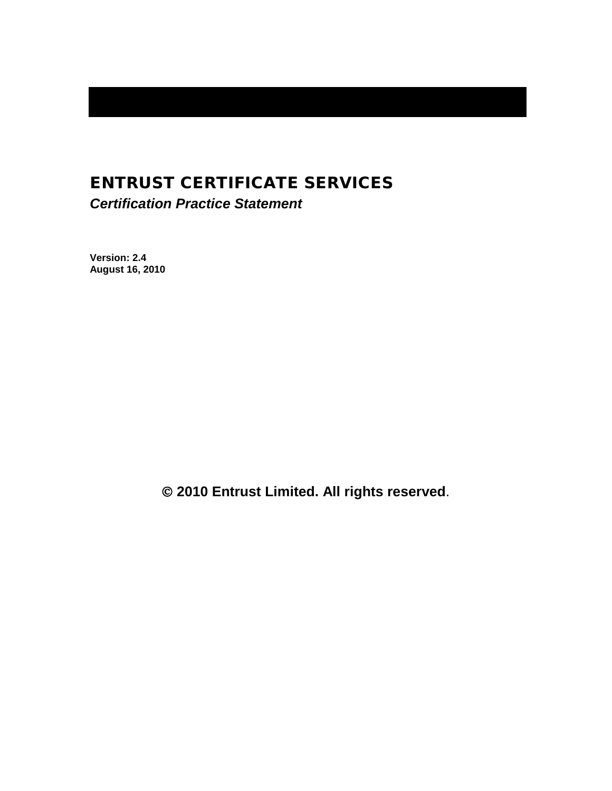# ENTRUST CERTIFICATE SERVICES

*Certification Practice Statement*

**Version: 2.4 August 16, 2010**

**2010 Entrust Limited. All rights reserved**.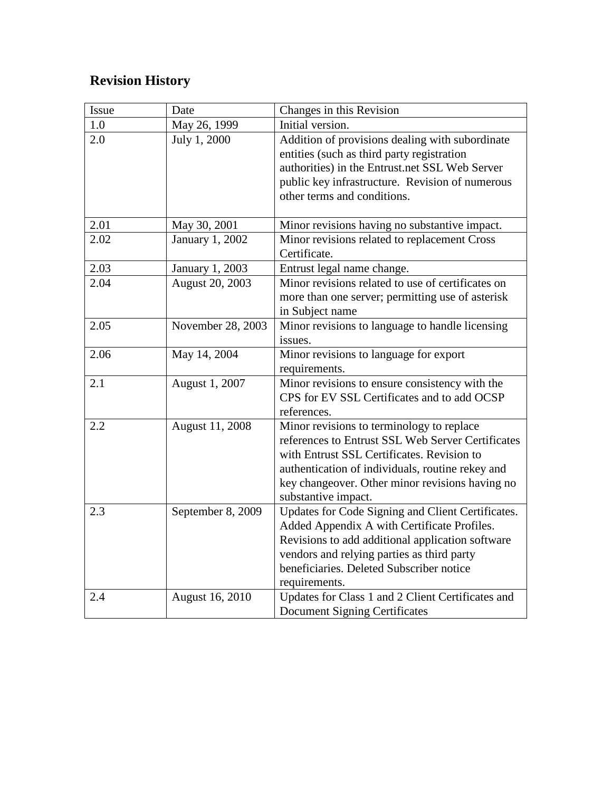# **Revision History**

| Issue | Date              | Changes in this Revision                          |  |
|-------|-------------------|---------------------------------------------------|--|
| 1.0   | May 26, 1999      | Initial version.                                  |  |
| 2.0   | July 1, 2000      | Addition of provisions dealing with subordinate   |  |
|       |                   | entities (such as third party registration        |  |
|       |                   | authorities) in the Entrust.net SSL Web Server    |  |
|       |                   | public key infrastructure. Revision of numerous   |  |
|       |                   | other terms and conditions.                       |  |
| 2.01  | May 30, 2001      | Minor revisions having no substantive impact.     |  |
| 2.02  | January 1, 2002   | Minor revisions related to replacement Cross      |  |
|       |                   | Certificate.                                      |  |
| 2.03  | January 1, 2003   | Entrust legal name change.                        |  |
| 2.04  | August 20, 2003   | Minor revisions related to use of certificates on |  |
|       |                   | more than one server; permitting use of asterisk  |  |
|       |                   | in Subject name                                   |  |
| 2.05  | November 28, 2003 | Minor revisions to language to handle licensing   |  |
|       |                   | issues.                                           |  |
| 2.06  | May 14, 2004      | Minor revisions to language for export            |  |
|       |                   | requirements.                                     |  |
| 2.1   | August 1, 2007    | Minor revisions to ensure consistency with the    |  |
|       |                   | CPS for EV SSL Certificates and to add OCSP       |  |
|       |                   | references.                                       |  |
| 2.2   | August 11, 2008   | Minor revisions to terminology to replace         |  |
|       |                   | references to Entrust SSL Web Server Certificates |  |
|       |                   | with Entrust SSL Certificates. Revision to        |  |
|       |                   | authentication of individuals, routine rekey and  |  |
|       |                   | key changeover. Other minor revisions having no   |  |
|       |                   | substantive impact.                               |  |
| 2.3   | September 8, 2009 | Updates for Code Signing and Client Certificates. |  |
|       |                   | Added Appendix A with Certificate Profiles.       |  |
|       |                   | Revisions to add additional application software  |  |
|       |                   | vendors and relying parties as third party        |  |
|       |                   | beneficiaries. Deleted Subscriber notice          |  |
|       |                   | requirements.                                     |  |
| 2.4   | August 16, 2010   | Updates for Class 1 and 2 Client Certificates and |  |
|       |                   | <b>Document Signing Certificates</b>              |  |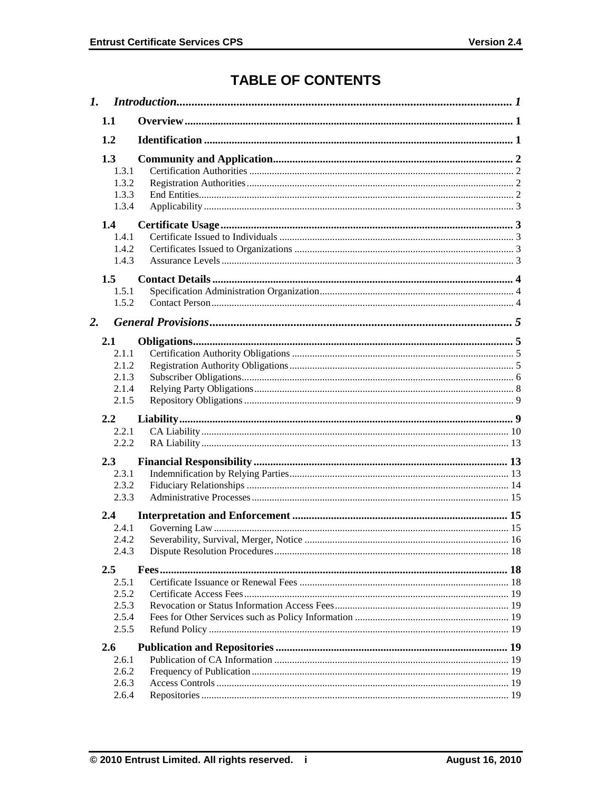# **TABLE OF CONTENTS**

| 1.1                                              |  |  |  |
|--------------------------------------------------|--|--|--|
| 1.2                                              |  |  |  |
| 1.3<br>1.3.1<br>1.3.2<br>1.3.3<br>1.3.4          |  |  |  |
| 1.4<br>1.4.1<br>1.4.2<br>1.4.3<br>1.5<br>1.5.1   |  |  |  |
| 1.5.2                                            |  |  |  |
| $\overline{2}$ .                                 |  |  |  |
| 2.1<br>2.1.1<br>2.1.2<br>2.1.3<br>2.1.4<br>2.1.5 |  |  |  |
| 2.2                                              |  |  |  |
| 2.2.1<br>2.2.2                                   |  |  |  |
| 2.3<br>2.3.1<br>2.3.2<br>2.3.3                   |  |  |  |
| 2.4                                              |  |  |  |
| 2.4.1<br>2.4.2<br>2.4.3                          |  |  |  |
| 2.5<br>2.5.1<br>2.5.2<br>2.5.3<br>2.5.4<br>2.5.5 |  |  |  |
| 2.6                                              |  |  |  |
| 2.6.1<br>2.6.2<br>2.6.3<br>2.6.4                 |  |  |  |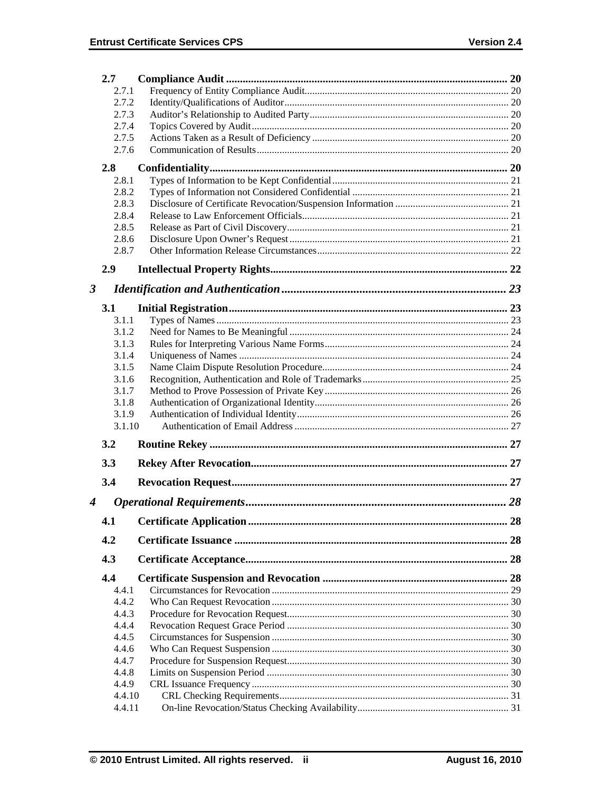|                      | 2.7            |  |    |  |  |  |
|----------------------|----------------|--|----|--|--|--|
|                      | 2.7.1          |  |    |  |  |  |
|                      | 2.7.2          |  |    |  |  |  |
| 2.7.3                |                |  |    |  |  |  |
|                      | 2.7.4          |  |    |  |  |  |
|                      | 2.7.5          |  |    |  |  |  |
|                      | 2.7.6          |  |    |  |  |  |
|                      | 2.8            |  |    |  |  |  |
|                      | 2.8.1          |  |    |  |  |  |
|                      | 2.8.2          |  |    |  |  |  |
|                      | 2.8.3          |  |    |  |  |  |
|                      | 2.8.4          |  |    |  |  |  |
|                      | 2.8.5          |  |    |  |  |  |
|                      | 2.8.6          |  |    |  |  |  |
|                      | 2.8.7          |  |    |  |  |  |
|                      |                |  |    |  |  |  |
|                      | 2.9            |  |    |  |  |  |
| $\boldsymbol{\beta}$ |                |  |    |  |  |  |
|                      |                |  |    |  |  |  |
|                      | 3.1            |  |    |  |  |  |
|                      | 3.1.1          |  |    |  |  |  |
|                      | 3.1.2          |  |    |  |  |  |
|                      | 3.1.3          |  |    |  |  |  |
|                      | 3.1.4<br>3.1.5 |  |    |  |  |  |
|                      | 3.1.6          |  |    |  |  |  |
|                      | 3.1.7          |  |    |  |  |  |
|                      | 3.1.8          |  |    |  |  |  |
|                      | 3.1.9          |  |    |  |  |  |
|                      | 3.1.10         |  |    |  |  |  |
|                      |                |  |    |  |  |  |
|                      | 3.2            |  |    |  |  |  |
|                      | 3.3            |  |    |  |  |  |
|                      |                |  |    |  |  |  |
|                      | 3.4            |  |    |  |  |  |
| 4                    |                |  | 28 |  |  |  |
|                      |                |  |    |  |  |  |
|                      | 4.1            |  | 28 |  |  |  |
|                      | 4.2            |  |    |  |  |  |
|                      | 4.3            |  |    |  |  |  |
|                      | 4.4            |  |    |  |  |  |
|                      | 4.4.1          |  |    |  |  |  |
|                      | 4.4.2          |  |    |  |  |  |
|                      | 4.4.3          |  |    |  |  |  |
|                      | 4.4.4          |  |    |  |  |  |
|                      | 4.4.5          |  |    |  |  |  |
|                      | 4.4.6          |  |    |  |  |  |
|                      | 4.4.7          |  |    |  |  |  |
|                      | 4.4.8          |  |    |  |  |  |
|                      | 4.4.9          |  |    |  |  |  |
|                      | 4.4.10         |  |    |  |  |  |
|                      | 4.4.11         |  |    |  |  |  |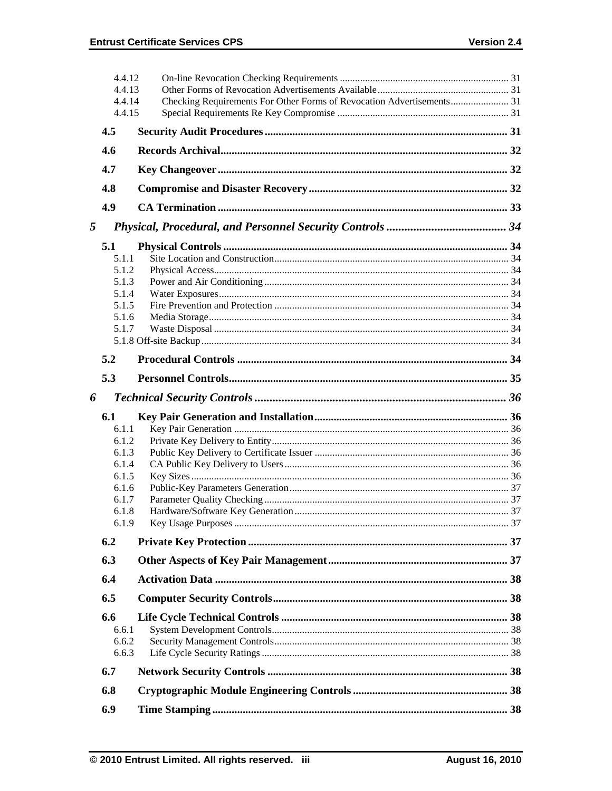|   | 4.4.12           |  |
|---|------------------|--|
|   | 4.4.13           |  |
|   | 4.4.14<br>4.4.15 |  |
|   |                  |  |
|   | 4.5              |  |
|   | 4.6              |  |
|   | 4.7              |  |
|   | 4.8              |  |
|   | 4.9              |  |
| 5 |                  |  |
|   | 5.1              |  |
|   | 5.1.1            |  |
|   | 5.1.2            |  |
|   | 5.1.3            |  |
|   | 5.1.4            |  |
|   | 5.1.5            |  |
|   | 5.1.6            |  |
|   | 5.1.7            |  |
|   |                  |  |
|   | 5.2              |  |
|   | 5.3              |  |
| 6 |                  |  |
|   | 6.1              |  |
|   | 6.1.1            |  |
|   | 6.1.2            |  |
|   | 6.1.3            |  |
|   | 6.1.4            |  |
|   | 6.1.5            |  |
|   | 6.1.6            |  |
|   | 6.1.7            |  |
|   | 6.1.8            |  |
|   | 6.1.9            |  |
|   | 6.2              |  |
|   | 6.3              |  |
|   | 6.4              |  |
|   | 6.5              |  |
|   | 6.6              |  |
|   | 6.6.1            |  |
|   | 6.6.2            |  |
|   | 6.6.3            |  |
|   |                  |  |
|   | 6.7              |  |
|   | 6.8              |  |
|   | 6.9              |  |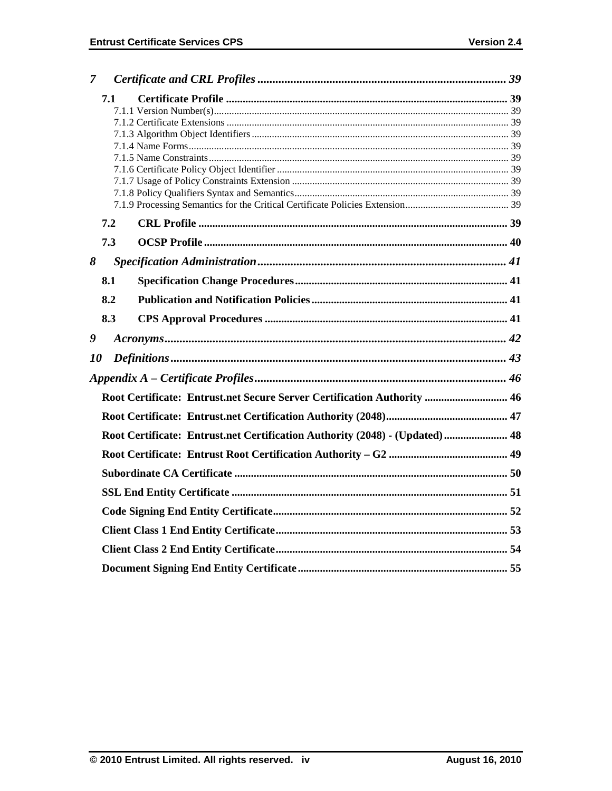| 7  |     |                                                                             |  |  |  |
|----|-----|-----------------------------------------------------------------------------|--|--|--|
|    | 7.1 |                                                                             |  |  |  |
|    |     |                                                                             |  |  |  |
|    |     |                                                                             |  |  |  |
|    |     |                                                                             |  |  |  |
|    |     |                                                                             |  |  |  |
|    |     |                                                                             |  |  |  |
|    |     |                                                                             |  |  |  |
|    |     |                                                                             |  |  |  |
|    |     |                                                                             |  |  |  |
|    | 7.2 |                                                                             |  |  |  |
|    | 7.3 |                                                                             |  |  |  |
| 8  |     |                                                                             |  |  |  |
|    | 8.1 |                                                                             |  |  |  |
|    | 8.2 |                                                                             |  |  |  |
|    | 8.3 |                                                                             |  |  |  |
| 9  |     |                                                                             |  |  |  |
| 10 |     |                                                                             |  |  |  |
|    |     |                                                                             |  |  |  |
|    |     | Root Certificate: Entrust.net Secure Server Certification Authority  46     |  |  |  |
|    |     |                                                                             |  |  |  |
|    |     | Root Certificate: Entrust.net Certification Authority (2048) - (Updated) 48 |  |  |  |
|    |     |                                                                             |  |  |  |
|    |     |                                                                             |  |  |  |
|    |     |                                                                             |  |  |  |
|    |     |                                                                             |  |  |  |
|    |     |                                                                             |  |  |  |
|    |     |                                                                             |  |  |  |
|    |     |                                                                             |  |  |  |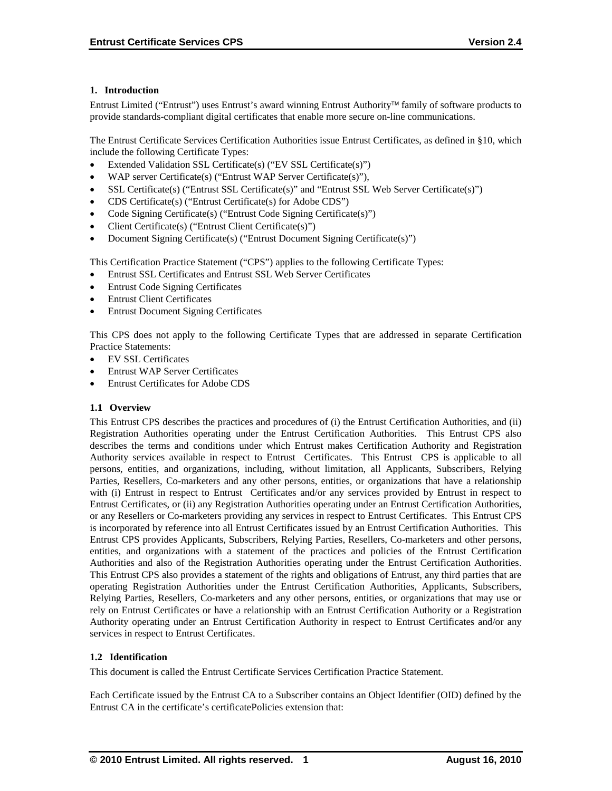# **1. Introduction**

Entrust Limited ("Entrust") uses Entrust's award winning Entrust Authority family of software products to provide standards-compliant digital certificates that enable more secure on-line communications.

The Entrust Certificate Services Certification Authorities issue Entrust Certificates, as defined in §10, which include the following Certificate Types:

- Extended Validation SSL Certificate(s) ("EV SSL Certificate(s)")
- WAP server Certificate(s) ("Entrust WAP Server Certificate(s)"),
- SSL Certificate(s) ("Entrust SSL Certificate(s)" and "Entrust SSL Web Server Certificate(s)")
- CDS Certificate(s) ("Entrust Certificate(s) for Adobe CDS")
- Code Signing Certificate(s) ("Entrust Code Signing Certificate(s)")
- Client Certificate(s) ("Entrust Client Certificate(s)")
- Document Signing Certificate(s) ("Entrust Document Signing Certificate(s)")

This Certification Practice Statement ("CPS") applies to the following Certificate Types:

- Entrust SSL Certificates and Entrust SSL Web Server Certificates
- Entrust Code Signing Certificates
- Entrust Client Certificates
- Entrust Document Signing Certificates

This CPS does not apply to the following Certificate Types that are addressed in separate Certification Practice Statements:

- EV SSL Certificates
- Entrust WAP Server Certificates
- Entrust Certificates for Adobe CDS

#### **1.1 Overview**

This Entrust CPS describes the practices and procedures of (i) the Entrust Certification Authorities, and (ii) Registration Authorities operating under the Entrust Certification Authorities. This Entrust CPS also describes the terms and conditions under which Entrust makes Certification Authority and Registration Authority services available in respect to Entrust Certificates. This Entrust CPS is applicable to all persons, entities, and organizations, including, without limitation, all Applicants, Subscribers, Relying Parties, Resellers, Co-marketers and any other persons, entities, or organizations that have a relationship with (i) Entrust in respect to Entrust Certificates and/or any services provided by Entrust in respect to Entrust Certificates, or (ii) any Registration Authorities operating under an Entrust Certification Authorities, or any Resellers or Co-marketers providing any services in respect to Entrust Certificates. This Entrust CPS is incorporated by reference into all Entrust Certificates issued by an Entrust Certification Authorities. This Entrust CPS provides Applicants, Subscribers, Relying Parties, Resellers, Co-marketers and other persons, entities, and organizations with a statement of the practices and policies of the Entrust Certification Authorities and also of the Registration Authorities operating under the Entrust Certification Authorities. This Entrust CPS also provides a statement of the rights and obligations of Entrust, any third parties that are operating Registration Authorities under the Entrust Certification Authorities, Applicants, Subscribers, Relying Parties, Resellers, Co-marketers and any other persons, entities, or organizations that may use or rely on Entrust Certificates or have a relationship with an Entrust Certification Authority or a Registration Authority operating under an Entrust Certification Authority in respect to Entrust Certificates and/or any services in respect to Entrust Certificates.

#### **1.2 Identification**

This document is called the Entrust Certificate Services Certification Practice Statement.

Each Certificate issued by the Entrust CA to a Subscriber contains an Object Identifier (OID) defined by the Entrust CA in the certificate's certificatePolicies extension that: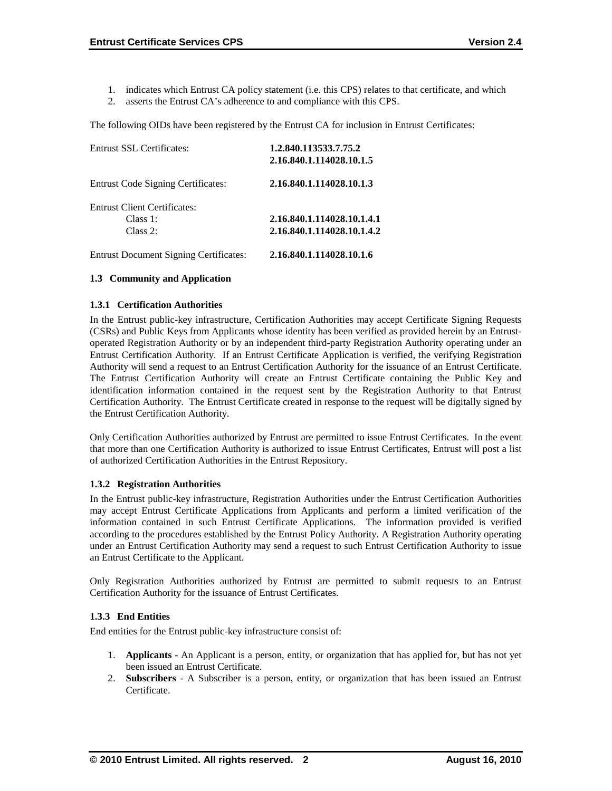- 1. indicates which Entrust CA policy statement (i.e. this CPS) relates to that certificate, and which
- 2. asserts the Entrust CA's adherence to and compliance with this CPS.

The following OIDs have been registered by the Entrust CA for inclusion in Entrust Certificates:

| 1.2.840.113533.7.75.2      |  |
|----------------------------|--|
| 2.16.840.1.114028.10.1.5   |  |
| 2.16.840.1.114028.10.1.3   |  |
|                            |  |
| 2.16.840.1.114028.10.1.4.1 |  |
| 2.16.840.1.114028.10.1.4.2 |  |
| 2.16.840.1.114028.10.1.6   |  |
|                            |  |

#### **1.3 Community and Application**

#### **1.3.1 Certification Authorities**

In the Entrust public-key infrastructure, Certification Authorities may accept Certificate Signing Requests (CSRs) and Public Keys from Applicants whose identity has been verified as provided herein by an Entrustoperated Registration Authority or by an independent third-party Registration Authority operating under an Entrust Certification Authority. If an Entrust Certificate Application is verified, the verifying Registration Authority will send a request to an Entrust Certification Authority for the issuance of an Entrust Certificate. The Entrust Certification Authority will create an Entrust Certificate containing the Public Key and identification information contained in the request sent by the Registration Authority to that Entrust Certification Authority. The Entrust Certificate created in response to the request will be digitally signed by the Entrust Certification Authority.

Only Certification Authorities authorized by Entrust are permitted to issue Entrust Certificates. In the event that more than one Certification Authority is authorized to issue Entrust Certificates, Entrust will post a list of authorized Certification Authorities in the Entrust Repository.

#### **1.3.2 Registration Authorities**

In the Entrust public-key infrastructure, Registration Authorities under the Entrust Certification Authorities may accept Entrust Certificate Applications from Applicants and perform a limited verification of the information contained in such Entrust Certificate Applications. The information provided is verified according to the procedures established by the Entrust Policy Authority. A Registration Authority operating under an Entrust Certification Authority may send a request to such Entrust Certification Authority to issue an Entrust Certificate to the Applicant.

Only Registration Authorities authorized by Entrust are permitted to submit requests to an Entrust Certification Authority for the issuance of Entrust Certificates.

#### **1.3.3 End Entities**

End entities for the Entrust public-key infrastructure consist of:

- 1. **Applicants** An Applicant is a person, entity, or organization that has applied for, but has not yet been issued an Entrust Certificate.
- 2. **Subscribers**  A Subscriber is a person, entity, or organization that has been issued an Entrust Certificate.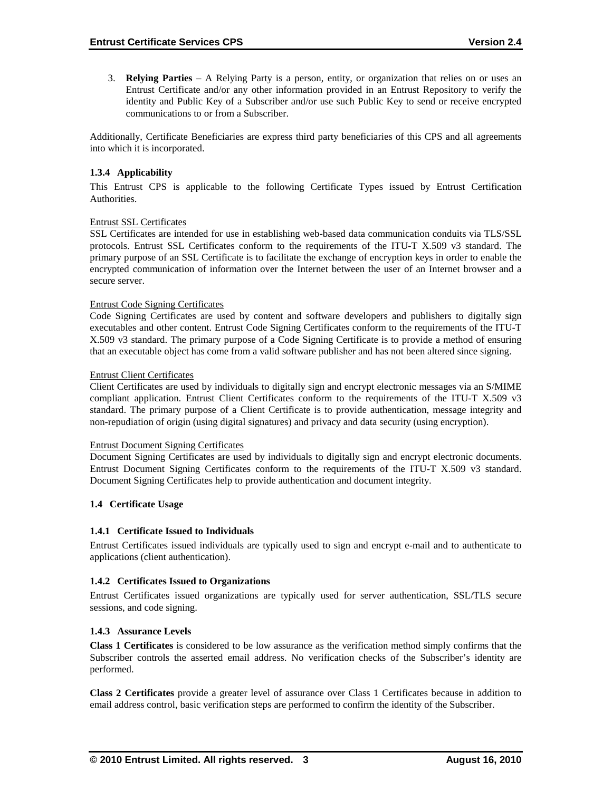3. **Relying Parties** – A Relying Party is a person, entity, or organization that relies on or uses an Entrust Certificate and/or any other information provided in an Entrust Repository to verify the identity and Public Key of a Subscriber and/or use such Public Key to send or receive encrypted communications to or from a Subscriber.

Additionally, Certificate Beneficiaries are express third party beneficiaries of this CPS and all agreements into which it is incorporated.

#### **1.3.4 Applicability**

This Entrust CPS is applicable to the following Certificate Types issued by Entrust Certification Authorities.

#### Entrust SSL Certificates

SSL Certificates are intended for use in establishing web-based data communication conduits via TLS/SSL protocols. Entrust SSL Certificates conform to the requirements of the ITU-T X.509 v3 standard. The primary purpose of an SSL Certificate is to facilitate the exchange of encryption keys in order to enable the encrypted communication of information over the Internet between the user of an Internet browser and a secure server.

#### Entrust Code Signing Certificates

Code Signing Certificates are used by content and software developers and publishers to digitally sign executables and other content. Entrust Code Signing Certificates conform to the requirements of the ITU-T X.509 v3 standard. The primary purpose of a Code Signing Certificate is to provide a method of ensuring that an executable object has come from a valid software publisher and has not been altered since signing.

#### Entrust Client Certificates

Client Certificates are used by individuals to digitally sign and encrypt electronic messages via an S/MIME compliant application. Entrust Client Certificates conform to the requirements of the ITU-T X.509 v3 standard. The primary purpose of a Client Certificate is to provide authentication, message integrity and non-repudiation of origin (using digital signatures) and privacy and data security (using encryption).

#### Entrust Document Signing Certificates

Document Signing Certificates are used by individuals to digitally sign and encrypt electronic documents. Entrust Document Signing Certificates conform to the requirements of the ITU-T X.509 v3 standard. Document Signing Certificates help to provide authentication and document integrity.

#### **1.4 Certificate Usage**

#### **1.4.1 Certificate Issued to Individuals**

Entrust Certificates issued individuals are typically used to sign and encrypt e-mail and to authenticate to applications (client authentication).

#### **1.4.2 Certificates Issued to Organizations**

Entrust Certificates issued organizations are typically used for server authentication, SSL/TLS secure sessions, and code signing.

#### **1.4.3 Assurance Levels**

**Class 1 Certificates** is considered to be low assurance as the verification method simply confirms that the Subscriber controls the asserted email address. No verification checks of the Subscriber's identity are performed.

**Class 2 Certificates** provide a greater level of assurance over Class 1 Certificates because in addition to email address control, basic verification steps are performed to confirm the identity of the Subscriber.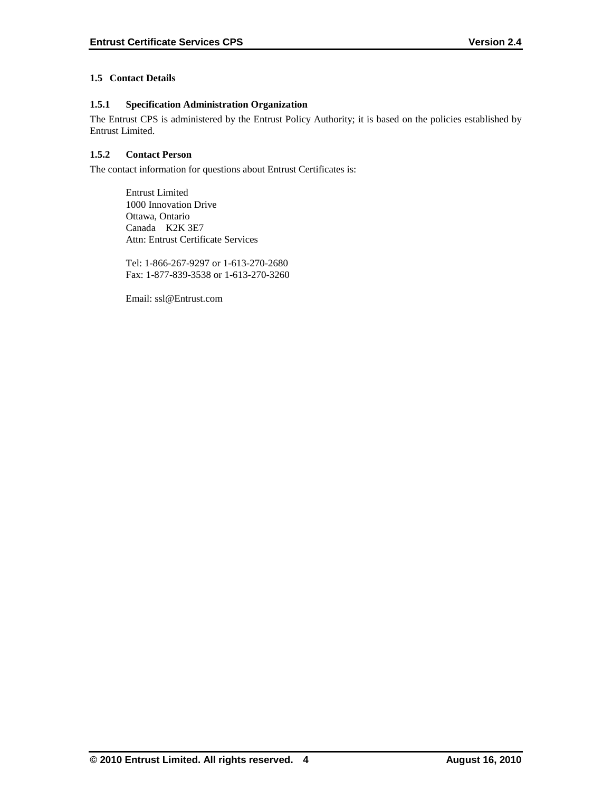# **1.5 Contact Details**

# **1.5.1 Specification Administration Organization**

The Entrust CPS is administered by the Entrust Policy Authority; it is based on the policies established by Entrust Limited.

# **1.5.2 Contact Person**

The contact information for questions about Entrust Certificates is:

Entrust Limited 1000 Innovation Drive Ottawa, Ontario Canada K2K 3E7 Attn: Entrust Certificate Services

Tel: 1-866-267-9297 or 1-613-270-2680 Fax: 1-877-839-3538 or 1-613-270-3260

Email: ssl@Entrust.com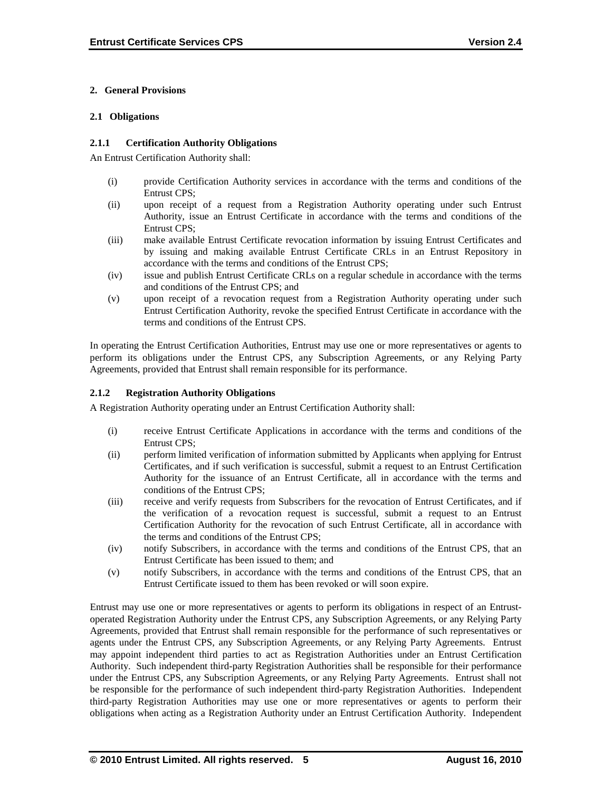# **2. General Provisions**

#### **2.1 Obligations**

#### **2.1.1 Certification Authority Obligations**

An Entrust Certification Authority shall:

- (i) provide Certification Authority services in accordance with the terms and conditions of the Entrust CPS;
- (ii) upon receipt of a request from a Registration Authority operating under such Entrust Authority, issue an Entrust Certificate in accordance with the terms and conditions of the Entrust CPS;
- (iii) make available Entrust Certificate revocation information by issuing Entrust Certificates and by issuing and making available Entrust Certificate CRLs in an Entrust Repository in accordance with the terms and conditions of the Entrust CPS;
- (iv) issue and publish Entrust Certificate CRLs on a regular schedule in accordance with the terms and conditions of the Entrust CPS; and
- (v) upon receipt of a revocation request from a Registration Authority operating under such Entrust Certification Authority, revoke the specified Entrust Certificate in accordance with the terms and conditions of the Entrust CPS.

In operating the Entrust Certification Authorities, Entrust may use one or more representatives or agents to perform its obligations under the Entrust CPS, any Subscription Agreements, or any Relying Party Agreements, provided that Entrust shall remain responsible for its performance.

## **2.1.2 Registration Authority Obligations**

A Registration Authority operating under an Entrust Certification Authority shall:

- (i) receive Entrust Certificate Applications in accordance with the terms and conditions of the Entrust CPS;
- (ii) perform limited verification of information submitted by Applicants when applying for Entrust Certificates, and if such verification is successful, submit a request to an Entrust Certification Authority for the issuance of an Entrust Certificate, all in accordance with the terms and conditions of the Entrust CPS;
- (iii) receive and verify requests from Subscribers for the revocation of Entrust Certificates, and if the verification of a revocation request is successful, submit a request to an Entrust Certification Authority for the revocation of such Entrust Certificate, all in accordance with the terms and conditions of the Entrust CPS;
- (iv) notify Subscribers, in accordance with the terms and conditions of the Entrust CPS, that an Entrust Certificate has been issued to them; and
- (v) notify Subscribers, in accordance with the terms and conditions of the Entrust CPS, that an Entrust Certificate issued to them has been revoked or will soon expire.

Entrust may use one or more representatives or agents to perform its obligations in respect of an Entrustoperated Registration Authority under the Entrust CPS, any Subscription Agreements, or any Relying Party Agreements, provided that Entrust shall remain responsible for the performance of such representatives or agents under the Entrust CPS, any Subscription Agreements, or any Relying Party Agreements. Entrust may appoint independent third parties to act as Registration Authorities under an Entrust Certification Authority. Such independent third-party Registration Authorities shall be responsible for their performance under the Entrust CPS, any Subscription Agreements, or any Relying Party Agreements. Entrust shall not be responsible for the performance of such independent third-party Registration Authorities. Independent third-party Registration Authorities may use one or more representatives or agents to perform their obligations when acting as a Registration Authority under an Entrust Certification Authority. Independent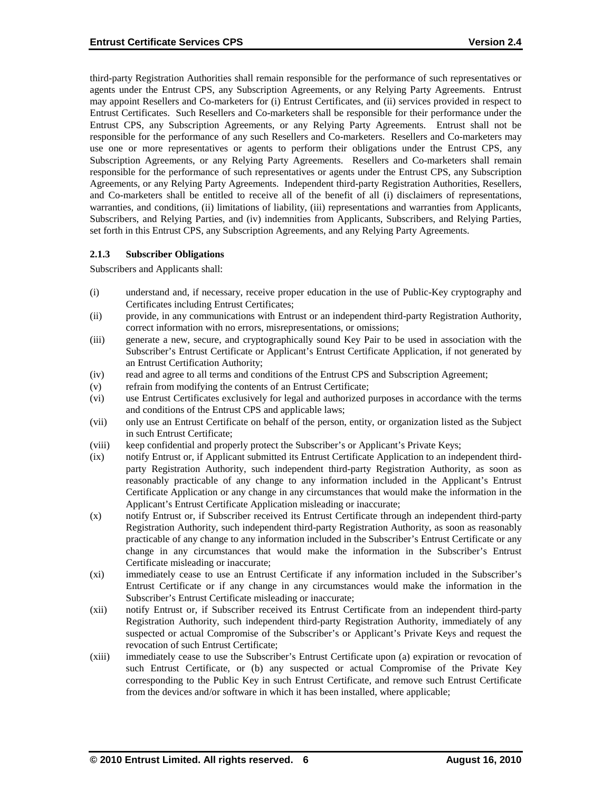third-party Registration Authorities shall remain responsible for the performance of such representatives or agents under the Entrust CPS, any Subscription Agreements, or any Relying Party Agreements. Entrust may appoint Resellers and Co-marketers for (i) Entrust Certificates, and (ii) services provided in respect to Entrust Certificates. Such Resellers and Co-marketers shall be responsible for their performance under the Entrust CPS, any Subscription Agreements, or any Relying Party Agreements. Entrust shall not be responsible for the performance of any such Resellers and Co-marketers. Resellers and Co-marketers may use one or more representatives or agents to perform their obligations under the Entrust CPS, any Subscription Agreements, or any Relying Party Agreements. Resellers and Co-marketers shall remain responsible for the performance of such representatives or agents under the Entrust CPS, any Subscription Agreements, or any Relying Party Agreements. Independent third-party Registration Authorities, Resellers, and Co-marketers shall be entitled to receive all of the benefit of all (i) disclaimers of representations, warranties, and conditions, (ii) limitations of liability, (iii) representations and warranties from Applicants, Subscribers, and Relying Parties, and (iv) indemnities from Applicants, Subscribers, and Relying Parties, set forth in this Entrust CPS, any Subscription Agreements, and any Relying Party Agreements.

#### **2.1.3 Subscriber Obligations**

Subscribers and Applicants shall:

- (i) understand and, if necessary, receive proper education in the use of Public-Key cryptography and Certificates including Entrust Certificates;
- (ii) provide, in any communications with Entrust or an independent third-party Registration Authority, correct information with no errors, misrepresentations, or omissions;
- (iii) generate a new, secure, and cryptographically sound Key Pair to be used in association with the Subscriber's Entrust Certificate or Applicant's Entrust Certificate Application, if not generated by an Entrust Certification Authority;
- (iv) read and agree to all terms and conditions of the Entrust CPS and Subscription Agreement;
- (v) refrain from modifying the contents of an Entrust Certificate;
- (vi) use Entrust Certificates exclusively for legal and authorized purposes in accordance with the terms and conditions of the Entrust CPS and applicable laws;
- (vii) only use an Entrust Certificate on behalf of the person, entity, or organization listed as the Subject in such Entrust Certificate;
- (viii) keep confidential and properly protect the Subscriber's or Applicant's Private Keys;
- (ix) notify Entrust or, if Applicant submitted its Entrust Certificate Application to an independent thirdparty Registration Authority, such independent third-party Registration Authority, as soon as reasonably practicable of any change to any information included in the Applicant's Entrust Certificate Application or any change in any circumstances that would make the information in the Applicant's Entrust Certificate Application misleading or inaccurate;
- (x) notify Entrust or, if Subscriber received its Entrust Certificate through an independent third-party Registration Authority, such independent third-party Registration Authority, as soon as reasonably practicable of any change to any information included in the Subscriber's Entrust Certificate or any change in any circumstances that would make the information in the Subscriber's Entrust Certificate misleading or inaccurate;
- (xi) immediately cease to use an Entrust Certificate if any information included in the Subscriber's Entrust Certificate or if any change in any circumstances would make the information in the Subscriber's Entrust Certificate misleading or inaccurate;
- (xii) notify Entrust or, if Subscriber received its Entrust Certificate from an independent third-party Registration Authority, such independent third-party Registration Authority, immediately of any suspected or actual Compromise of the Subscriber's or Applicant's Private Keys and request the revocation of such Entrust Certificate;
- (xiii) immediately cease to use the Subscriber's Entrust Certificate upon (a) expiration or revocation of such Entrust Certificate, or (b) any suspected or actual Compromise of the Private Key corresponding to the Public Key in such Entrust Certificate, and remove such Entrust Certificate from the devices and/or software in which it has been installed, where applicable;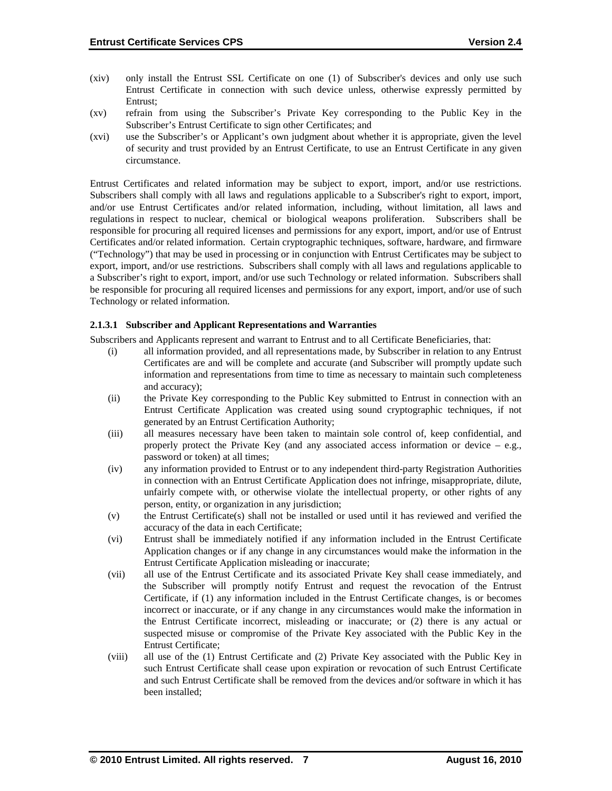- (xiv) only install the Entrust SSL Certificate on one (1) of Subscriber's devices and only use such Entrust Certificate in connection with such device unless, otherwise expressly permitted by Entrust;
- (xv) refrain from using the Subscriber's Private Key corresponding to the Public Key in the Subscriber's Entrust Certificate to sign other Certificates; and
- (xvi) use the Subscriber's or Applicant's own judgment about whether it is appropriate, given the level of security and trust provided by an Entrust Certificate, to use an Entrust Certificate in any given circumstance.

Entrust Certificates and related information may be subject to export, import, and/or use restrictions. Subscribers shall comply with all laws and regulations applicable to a Subscriber's right to export, import, and/or use Entrust Certificates and/or related information, including, without limitation, all laws and regulations in respect to nuclear, chemical or biological weapons proliferation. Subscribers shall be responsible for procuring all required licenses and permissions for any export, import, and/or use of Entrust Certificates and/or related information. Certain cryptographic techniques, software, hardware, and firmware ("Technology") that may be used in processing or in conjunction with Entrust Certificates may be subject to export, import, and/or use restrictions. Subscribers shall comply with all laws and regulations applicable to a Subscriber's right to export, import, and/or use such Technology or related information. Subscribers shall be responsible for procuring all required licenses and permissions for any export, import, and/or use of such Technology or related information.

#### **2.1.3.1 Subscriber and Applicant Representations and Warranties**

Subscribers and Applicants represent and warrant to Entrust and to all Certificate Beneficiaries, that:

- (i) all information provided, and all representations made, by Subscriber in relation to any Entrust Certificates are and will be complete and accurate (and Subscriber will promptly update such information and representations from time to time as necessary to maintain such completeness and accuracy);
- (ii) the Private Key corresponding to the Public Key submitted to Entrust in connection with an Entrust Certificate Application was created using sound cryptographic techniques, if not generated by an Entrust Certification Authority;
- (iii) all measures necessary have been taken to maintain sole control of, keep confidential, and properly protect the Private Key (and any associated access information or device – e.g., password or token) at all times;
- (iv) any information provided to Entrust or to any independent third-party Registration Authorities in connection with an Entrust Certificate Application does not infringe, misappropriate, dilute, unfairly compete with, or otherwise violate the intellectual property, or other rights of any person, entity, or organization in any jurisdiction;
- (v) the Entrust Certificate(s) shall not be installed or used until it has reviewed and verified the accuracy of the data in each Certificate;
- (vi) Entrust shall be immediately notified if any information included in the Entrust Certificate Application changes or if any change in any circumstances would make the information in the Entrust Certificate Application misleading or inaccurate;
- (vii) all use of the Entrust Certificate and its associated Private Key shall cease immediately, and the Subscriber will promptly notify Entrust and request the revocation of the Entrust Certificate, if (1) any information included in the Entrust Certificate changes, is or becomes incorrect or inaccurate, or if any change in any circumstances would make the information in the Entrust Certificate incorrect, misleading or inaccurate; or (2) there is any actual or suspected misuse or compromise of the Private Key associated with the Public Key in the Entrust Certificate;
- (viii) all use of the (1) Entrust Certificate and (2) Private Key associated with the Public Key in such Entrust Certificate shall cease upon expiration or revocation of such Entrust Certificate and such Entrust Certificate shall be removed from the devices and/or software in which it has been installed;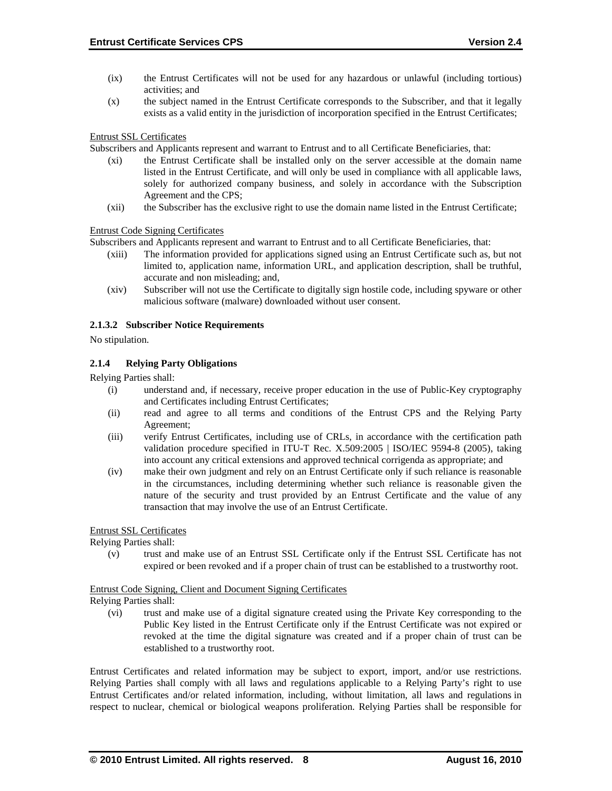- (ix) the Entrust Certificates will not be used for any hazardous or unlawful (including tortious) activities; and
- (x) the subject named in the Entrust Certificate corresponds to the Subscriber, and that it legally exists as a valid entity in the jurisdiction of incorporation specified in the Entrust Certificates;

Entrust SSL Certificates

Subscribers and Applicants represent and warrant to Entrust and to all Certificate Beneficiaries, that:

- (xi) the Entrust Certificate shall be installed only on the server accessible at the domain name listed in the Entrust Certificate, and will only be used in compliance with all applicable laws, solely for authorized company business, and solely in accordance with the Subscription Agreement and the CPS;
- (xii) the Subscriber has the exclusive right to use the domain name listed in the Entrust Certificate;

#### Entrust Code Signing Certificates

Subscribers and Applicants represent and warrant to Entrust and to all Certificate Beneficiaries, that:

- (xiii) The information provided for applications signed using an Entrust Certificate such as, but not limited to, application name, information URL, and application description, shall be truthful, accurate and non misleading; and,
- (xiv) Subscriber will not use the Certificate to digitally sign hostile code, including spyware or other malicious software (malware) downloaded without user consent.

#### **2.1.3.2 Subscriber Notice Requirements**

No stipulation.

#### **2.1.4 Relying Party Obligations**

Relying Parties shall:

- (i) understand and, if necessary, receive proper education in the use of Public-Key cryptography and Certificates including Entrust Certificates;
- (ii) read and agree to all terms and conditions of the Entrust CPS and the Relying Party Agreement;
- (iii) verify Entrust Certificates, including use of CRLs, in accordance with the certification path validation procedure specified in ITU-T Rec. X.509:2005 | ISO/IEC 9594-8 (2005), taking into account any critical extensions and approved technical corrigenda as appropriate; and
- (iv) make their own judgment and rely on an Entrust Certificate only if such reliance is reasonable in the circumstances, including determining whether such reliance is reasonable given the nature of the security and trust provided by an Entrust Certificate and the value of any transaction that may involve the use of an Entrust Certificate.

#### Entrust SSL Certificates

Relying Parties shall:

(v) trust and make use of an Entrust SSL Certificate only if the Entrust SSL Certificate has not expired or been revoked and if a proper chain of trust can be established to a trustworthy root.

#### Entrust Code Signing, Client and Document Signing Certificates

Relying Parties shall:

(vi) trust and make use of a digital signature created using the Private Key corresponding to the Public Key listed in the Entrust Certificate only if the Entrust Certificate was not expired or revoked at the time the digital signature was created and if a proper chain of trust can be established to a trustworthy root.

Entrust Certificates and related information may be subject to export, import, and/or use restrictions. Relying Parties shall comply with all laws and regulations applicable to a Relying Party's right to use Entrust Certificates and/or related information, including, without limitation, all laws and regulations in respect to nuclear, chemical or biological weapons proliferation. Relying Parties shall be responsible for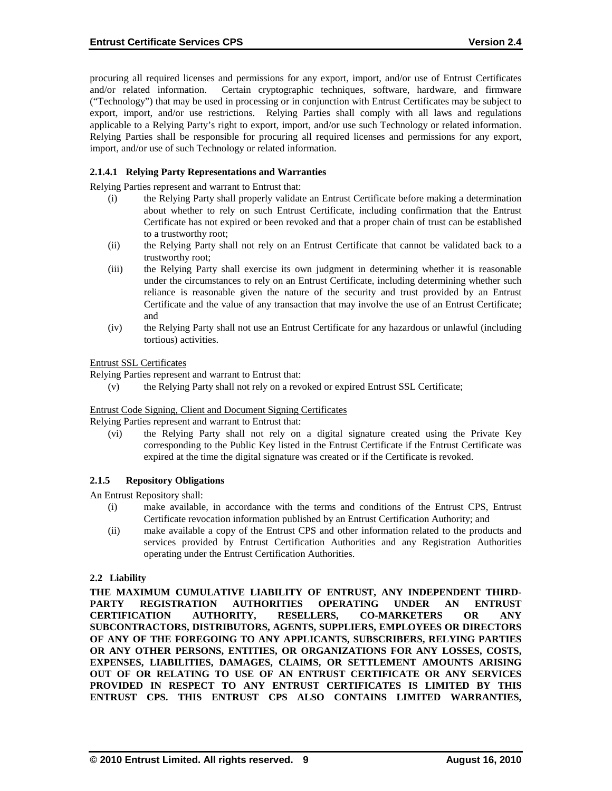procuring all required licenses and permissions for any export, import, and/or use of Entrust Certificates and/or related information. Certain cryptographic techniques, software, hardware, and firmware ("Technology") that may be used in processing or in conjunction with Entrust Certificates may be subject to export, import, and/or use restrictions. Relying Parties shall comply with all laws and regulations applicable to a Relying Party's right to export, import, and/or use such Technology or related information. Relying Parties shall be responsible for procuring all required licenses and permissions for any export, import, and/or use of such Technology or related information.

### **2.1.4.1 Relying Party Representations and Warranties**

Relying Parties represent and warrant to Entrust that:

- (i) the Relying Party shall properly validate an Entrust Certificate before making a determination about whether to rely on such Entrust Certificate, including confirmation that the Entrust Certificate has not expired or been revoked and that a proper chain of trust can be established to a trustworthy root;
- (ii) the Relying Party shall not rely on an Entrust Certificate that cannot be validated back to a trustworthy root;
- (iii) the Relying Party shall exercise its own judgment in determining whether it is reasonable under the circumstances to rely on an Entrust Certificate, including determining whether such reliance is reasonable given the nature of the security and trust provided by an Entrust Certificate and the value of any transaction that may involve the use of an Entrust Certificate; and
- (iv) the Relying Party shall not use an Entrust Certificate for any hazardous or unlawful (including tortious) activities.

#### Entrust SSL Certificates

Relying Parties represent and warrant to Entrust that:

(v) the Relying Party shall not rely on a revoked or expired Entrust SSL Certificate;

#### Entrust Code Signing, Client and Document Signing Certificates

Relying Parties represent and warrant to Entrust that:

(vi) the Relying Party shall not rely on a digital signature created using the Private Key corresponding to the Public Key listed in the Entrust Certificate if the Entrust Certificate was expired at the time the digital signature was created or if the Certificate is revoked.

#### **2.1.5 Repository Obligations**

An Entrust Repository shall:

- (i) make available, in accordance with the terms and conditions of the Entrust CPS, Entrust Certificate revocation information published by an Entrust Certification Authority; and
- (ii) make available a copy of the Entrust CPS and other information related to the products and services provided by Entrust Certification Authorities and any Registration Authorities operating under the Entrust Certification Authorities.

#### **2.2 Liability**

**THE MAXIMUM CUMULATIVE LIABILITY OF ENTRUST, ANY INDEPENDENT THIRD-PARTY REGISTRATION AUTHORITIES OPERATING UNDER AN ENTRUST CERTIFICATION AUTHORITY, RESELLERS, CO-MARKETERS OR ANY SUBCONTRACTORS, DISTRIBUTORS, AGENTS, SUPPLIERS, EMPLOYEES OR DIRECTORS OF ANY OF THE FOREGOING TO ANY APPLICANTS, SUBSCRIBERS, RELYING PARTIES OR ANY OTHER PERSONS, ENTITIES, OR ORGANIZATIONS FOR ANY LOSSES, COSTS, EXPENSES, LIABILITIES, DAMAGES, CLAIMS, OR SETTLEMENT AMOUNTS ARISING OUT OF OR RELATING TO USE OF AN ENTRUST CERTIFICATE OR ANY SERVICES PROVIDED IN RESPECT TO ANY ENTRUST CERTIFICATES IS LIMITED BY THIS ENTRUST CPS. THIS ENTRUST CPS ALSO CONTAINS LIMITED WARRANTIES,**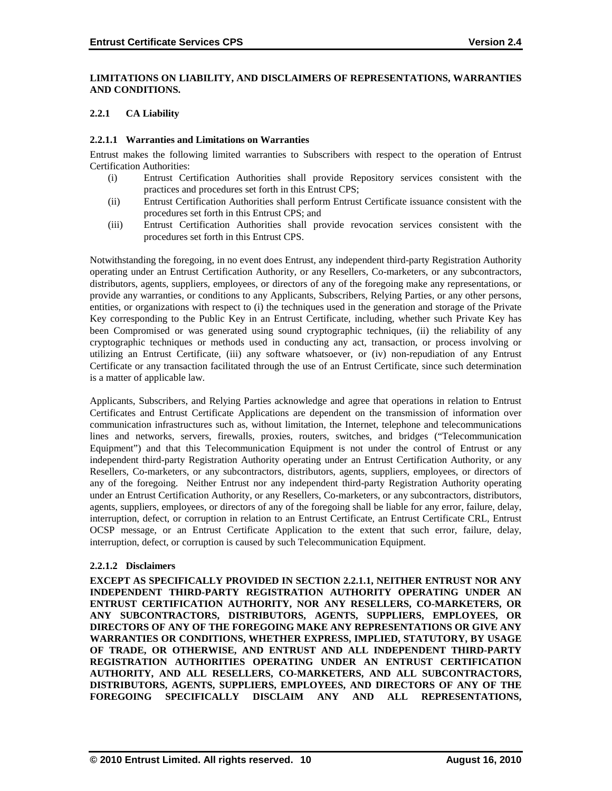#### **LIMITATIONS ON LIABILITY, AND DISCLAIMERS OF REPRESENTATIONS, WARRANTIES AND CONDITIONS.**

#### **2.2.1 CA Liability**

#### **2.2.1.1 Warranties and Limitations on Warranties**

Entrust makes the following limited warranties to Subscribers with respect to the operation of Entrust Certification Authorities:

- (i) Entrust Certification Authorities shall provide Repository services consistent with the practices and procedures set forth in this Entrust CPS;
- (ii) Entrust Certification Authorities shall perform Entrust Certificate issuance consistent with the procedures set forth in this Entrust CPS; and
- (iii) Entrust Certification Authorities shall provide revocation services consistent with the procedures set forth in this Entrust CPS.

Notwithstanding the foregoing, in no event does Entrust, any independent third-party Registration Authority operating under an Entrust Certification Authority, or any Resellers, Co-marketers, or any subcontractors, distributors, agents, suppliers, employees, or directors of any of the foregoing make any representations, or provide any warranties, or conditions to any Applicants, Subscribers, Relying Parties, or any other persons, entities, or organizations with respect to (i) the techniques used in the generation and storage of the Private Key corresponding to the Public Key in an Entrust Certificate, including, whether such Private Key has been Compromised or was generated using sound cryptographic techniques, (ii) the reliability of any cryptographic techniques or methods used in conducting any act, transaction, or process involving or utilizing an Entrust Certificate, (iii) any software whatsoever, or (iv) non-repudiation of any Entrust Certificate or any transaction facilitated through the use of an Entrust Certificate, since such determination is a matter of applicable law.

Applicants, Subscribers, and Relying Parties acknowledge and agree that operations in relation to Entrust Certificates and Entrust Certificate Applications are dependent on the transmission of information over communication infrastructures such as, without limitation, the Internet, telephone and telecommunications lines and networks, servers, firewalls, proxies, routers, switches, and bridges ("Telecommunication Equipment") and that this Telecommunication Equipment is not under the control of Entrust or any independent third-party Registration Authority operating under an Entrust Certification Authority, or any Resellers, Co-marketers, or any subcontractors, distributors, agents, suppliers, employees, or directors of any of the foregoing. Neither Entrust nor any independent third-party Registration Authority operating under an Entrust Certification Authority, or any Resellers, Co-marketers, or any subcontractors, distributors, agents, suppliers, employees, or directors of any of the foregoing shall be liable for any error, failure, delay, interruption, defect, or corruption in relation to an Entrust Certificate, an Entrust Certificate CRL, Entrust OCSP message, or an Entrust Certificate Application to the extent that such error, failure, delay, interruption, defect, or corruption is caused by such Telecommunication Equipment.

#### **2.2.1.2 Disclaimers**

**EXCEPT AS SPECIFICALLY PROVIDED IN SECTION 2.2.1.1, NEITHER ENTRUST NOR ANY INDEPENDENT THIRD-PARTY REGISTRATION AUTHORITY OPERATING UNDER AN ENTRUST CERTIFICATION AUTHORITY, NOR ANY RESELLERS, CO-MARKETERS, OR ANY SUBCONTRACTORS, DISTRIBUTORS, AGENTS, SUPPLIERS, EMPLOYEES, OR DIRECTORS OF ANY OF THE FOREGOING MAKE ANY REPRESENTATIONS OR GIVE ANY WARRANTIES OR CONDITIONS, WHETHER EXPRESS, IMPLIED, STATUTORY, BY USAGE OF TRADE, OR OTHERWISE, AND ENTRUST AND ALL INDEPENDENT THIRD-PARTY REGISTRATION AUTHORITIES OPERATING UNDER AN ENTRUST CERTIFICATION AUTHORITY, AND ALL RESELLERS, CO-MARKETERS, AND ALL SUBCONTRACTORS, DISTRIBUTORS, AGENTS, SUPPLIERS, EMPLOYEES, AND DIRECTORS OF ANY OF THE FOREGOING SPECIFICALLY DISCLAIM ANY AND ALL REPRESENTATIONS,**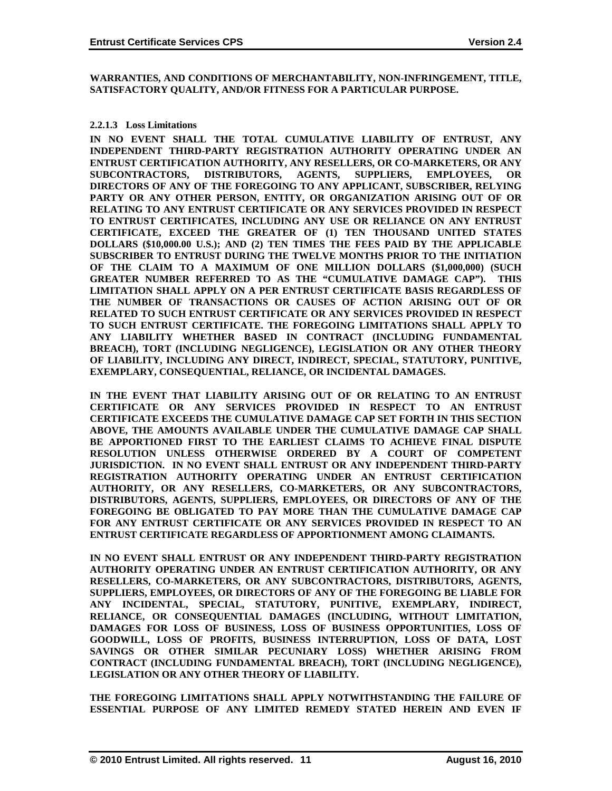**WARRANTIES, AND CONDITIONS OF MERCHANTABILITY, NON-INFRINGEMENT, TITLE, SATISFACTORY QUALITY, AND/OR FITNESS FOR A PARTICULAR PURPOSE.**

#### **2.2.1.3 Loss Limitations**

**IN NO EVENT SHALL THE TOTAL CUMULATIVE LIABILITY OF ENTRUST, ANY INDEPENDENT THIRD-PARTY REGISTRATION AUTHORITY OPERATING UNDER AN ENTRUST CERTIFICATION AUTHORITY, ANY RESELLERS, OR CO-MARKETERS, OR ANY SUBCONTRACTORS, DISTRIBUTORS, AGENTS, SUPPLIERS, EMPLOYEES, OR DIRECTORS OF ANY OF THE FOREGOING TO ANY APPLICANT, SUBSCRIBER, RELYING PARTY OR ANY OTHER PERSON, ENTITY, OR ORGANIZATION ARISING OUT OF OR RELATING TO ANY ENTRUST CERTIFICATE OR ANY SERVICES PROVIDED IN RESPECT TO ENTRUST CERTIFICATES, INCLUDING ANY USE OR RELIANCE ON ANY ENTRUST CERTIFICATE, EXCEED THE GREATER OF (1) TEN THOUSAND UNITED STATES DOLLARS (\$10,000.00 U.S.); AND (2) TEN TIMES THE FEES PAID BY THE APPLICABLE SUBSCRIBER TO ENTRUST DURING THE TWELVE MONTHS PRIOR TO THE INITIATION OF THE CLAIM TO A MAXIMUM OF ONE MILLION DOLLARS (\$1,000,000) (SUCH GREATER NUMBER REFERRED TO AS THE "CUMULATIVE DAMAGE CAP"). THIS LIMITATION SHALL APPLY ON A PER ENTRUST CERTIFICATE BASIS REGARDLESS OF THE NUMBER OF TRANSACTIONS OR CAUSES OF ACTION ARISING OUT OF OR RELATED TO SUCH ENTRUST CERTIFICATE OR ANY SERVICES PROVIDED IN RESPECT TO SUCH ENTRUST CERTIFICATE. THE FOREGOING LIMITATIONS SHALL APPLY TO ANY LIABILITY WHETHER BASED IN CONTRACT (INCLUDING FUNDAMENTAL BREACH), TORT (INCLUDING NEGLIGENCE), LEGISLATION OR ANY OTHER THEORY OF LIABILITY, INCLUDING ANY DIRECT, INDIRECT, SPECIAL, STATUTORY, PUNITIVE, EXEMPLARY, CONSEQUENTIAL, RELIANCE, OR INCIDENTAL DAMAGES.**

**IN THE EVENT THAT LIABILITY ARISING OUT OF OR RELATING TO AN ENTRUST CERTIFICATE OR ANY SERVICES PROVIDED IN RESPECT TO AN ENTRUST CERTIFICATE EXCEEDS THE CUMULATIVE DAMAGE CAP SET FORTH IN THIS SECTION ABOVE, THE AMOUNTS AVAILABLE UNDER THE CUMULATIVE DAMAGE CAP SHALL BE APPORTIONED FIRST TO THE EARLIEST CLAIMS TO ACHIEVE FINAL DISPUTE RESOLUTION UNLESS OTHERWISE ORDERED BY A COURT OF COMPETENT JURISDICTION. IN NO EVENT SHALL ENTRUST OR ANY INDEPENDENT THIRD-PARTY REGISTRATION AUTHORITY OPERATING UNDER AN ENTRUST CERTIFICATION AUTHORITY, OR ANY RESELLERS, CO-MARKETERS, OR ANY SUBCONTRACTORS, DISTRIBUTORS, AGENTS, SUPPLIERS, EMPLOYEES, OR DIRECTORS OF ANY OF THE FOREGOING BE OBLIGATED TO PAY MORE THAN THE CUMULATIVE DAMAGE CAP FOR ANY ENTRUST CERTIFICATE OR ANY SERVICES PROVIDED IN RESPECT TO AN ENTRUST CERTIFICATE REGARDLESS OF APPORTIONMENT AMONG CLAIMANTS.**

**IN NO EVENT SHALL ENTRUST OR ANY INDEPENDENT THIRD-PARTY REGISTRATION AUTHORITY OPERATING UNDER AN ENTRUST CERTIFICATION AUTHORITY, OR ANY RESELLERS, CO-MARKETERS, OR ANY SUBCONTRACTORS, DISTRIBUTORS, AGENTS, SUPPLIERS, EMPLOYEES, OR DIRECTORS OF ANY OF THE FOREGOING BE LIABLE FOR ANY INCIDENTAL, SPECIAL, STATUTORY, PUNITIVE, EXEMPLARY, INDIRECT, RELIANCE, OR CONSEQUENTIAL DAMAGES (INCLUDING, WITHOUT LIMITATION, DAMAGES FOR LOSS OF BUSINESS, LOSS OF BUSINESS OPPORTUNITIES, LOSS OF GOODWILL, LOSS OF PROFITS, BUSINESS INTERRUPTION, LOSS OF DATA, LOST SAVINGS OR OTHER SIMILAR PECUNIARY LOSS) WHETHER ARISING FROM CONTRACT (INCLUDING FUNDAMENTAL BREACH), TORT (INCLUDING NEGLIGENCE), LEGISLATION OR ANY OTHER THEORY OF LIABILITY.** 

**THE FOREGOING LIMITATIONS SHALL APPLY NOTWITHSTANDING THE FAILURE OF ESSENTIAL PURPOSE OF ANY LIMITED REMEDY STATED HEREIN AND EVEN IF**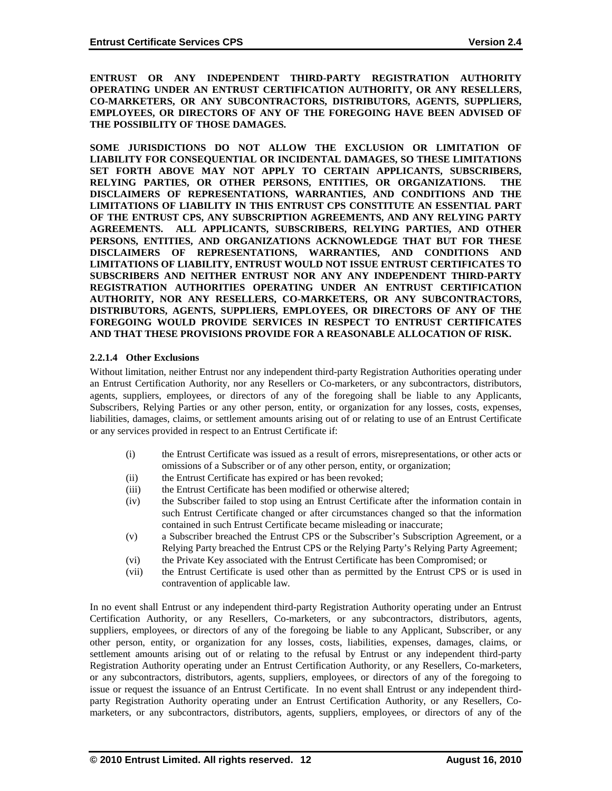**ENTRUST OR ANY INDEPENDENT THIRD-PARTY REGISTRATION AUTHORITY OPERATING UNDER AN ENTRUST CERTIFICATION AUTHORITY, OR ANY RESELLERS, CO-MARKETERS, OR ANY SUBCONTRACTORS, DISTRIBUTORS, AGENTS, SUPPLIERS, EMPLOYEES, OR DIRECTORS OF ANY OF THE FOREGOING HAVE BEEN ADVISED OF THE POSSIBILITY OF THOSE DAMAGES.**

**SOME JURISDICTIONS DO NOT ALLOW THE EXCLUSION OR LIMITATION OF LIABILITY FOR CONSEQUENTIAL OR INCIDENTAL DAMAGES, SO THESE LIMITATIONS SET FORTH ABOVE MAY NOT APPLY TO CERTAIN APPLICANTS, SUBSCRIBERS, RELYING PARTIES, OR OTHER PERSONS, ENTITIES, OR ORGANIZATIONS. THE DISCLAIMERS OF REPRESENTATIONS, WARRANTIES, AND CONDITIONS AND THE LIMITATIONS OF LIABILITY IN THIS ENTRUST CPS CONSTITUTE AN ESSENTIAL PART OF THE ENTRUST CPS, ANY SUBSCRIPTION AGREEMENTS, AND ANY RELYING PARTY AGREEMENTS. ALL APPLICANTS, SUBSCRIBERS, RELYING PARTIES, AND OTHER PERSONS, ENTITIES, AND ORGANIZATIONS ACKNOWLEDGE THAT BUT FOR THESE DISCLAIMERS OF REPRESENTATIONS, WARRANTIES, AND CONDITIONS AND LIMITATIONS OF LIABILITY, ENTRUST WOULD NOT ISSUE ENTRUST CERTIFICATES TO SUBSCRIBERS AND NEITHER ENTRUST NOR ANY ANY INDEPENDENT THIRD-PARTY REGISTRATION AUTHORITIES OPERATING UNDER AN ENTRUST CERTIFICATION AUTHORITY, NOR ANY RESELLERS, CO-MARKETERS, OR ANY SUBCONTRACTORS, DISTRIBUTORS, AGENTS, SUPPLIERS, EMPLOYEES, OR DIRECTORS OF ANY OF THE FOREGOING WOULD PROVIDE SERVICES IN RESPECT TO ENTRUST CERTIFICATES AND THAT THESE PROVISIONS PROVIDE FOR A REASONABLE ALLOCATION OF RISK.**

#### **2.2.1.4 Other Exclusions**

Without limitation, neither Entrust nor any independent third-party Registration Authorities operating under an Entrust Certification Authority, nor any Resellers or Co-marketers, or any subcontractors, distributors, agents, suppliers, employees, or directors of any of the foregoing shall be liable to any Applicants, Subscribers, Relying Parties or any other person, entity, or organization for any losses, costs, expenses, liabilities, damages, claims, or settlement amounts arising out of or relating to use of an Entrust Certificate or any services provided in respect to an Entrust Certificate if:

- (i) the Entrust Certificate was issued as a result of errors, misrepresentations, or other acts or omissions of a Subscriber or of any other person, entity, or organization;
- (ii) the Entrust Certificate has expired or has been revoked;
- (iii) the Entrust Certificate has been modified or otherwise altered;
- (iv) the Subscriber failed to stop using an Entrust Certificate after the information contain in such Entrust Certificate changed or after circumstances changed so that the information contained in such Entrust Certificate became misleading or inaccurate;
- (v) a Subscriber breached the Entrust CPS or the Subscriber's Subscription Agreement, or a Relying Party breached the Entrust CPS or the Relying Party's Relying Party Agreement;
- (vi) the Private Key associated with the Entrust Certificate has been Compromised; or
- (vii) the Entrust Certificate is used other than as permitted by the Entrust CPS or is used in contravention of applicable law.

In no event shall Entrust or any independent third-party Registration Authority operating under an Entrust Certification Authority, or any Resellers, Co-marketers, or any subcontractors, distributors, agents, suppliers, employees, or directors of any of the foregoing be liable to any Applicant, Subscriber, or any other person, entity, or organization for any losses, costs, liabilities, expenses, damages, claims, or settlement amounts arising out of or relating to the refusal by Entrust or any independent third-party Registration Authority operating under an Entrust Certification Authority, or any Resellers, Co-marketers, or any subcontractors, distributors, agents, suppliers, employees, or directors of any of the foregoing to issue or request the issuance of an Entrust Certificate. In no event shall Entrust or any independent thirdparty Registration Authority operating under an Entrust Certification Authority, or any Resellers, Comarketers, or any subcontractors, distributors, agents, suppliers, employees, or directors of any of the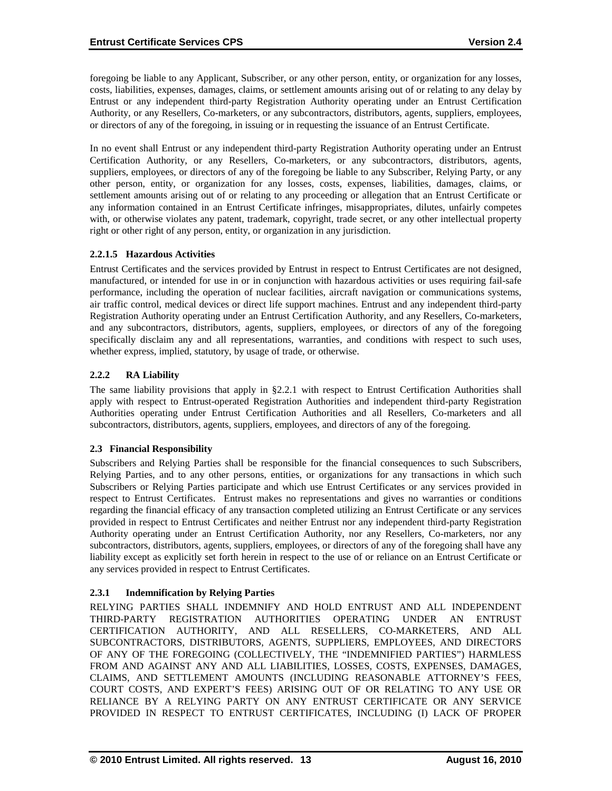foregoing be liable to any Applicant, Subscriber, or any other person, entity, or organization for any losses, costs, liabilities, expenses, damages, claims, or settlement amounts arising out of or relating to any delay by Entrust or any independent third-party Registration Authority operating under an Entrust Certification Authority, or any Resellers, Co-marketers, or any subcontractors, distributors, agents, suppliers, employees, or directors of any of the foregoing, in issuing or in requesting the issuance of an Entrust Certificate.

In no event shall Entrust or any independent third-party Registration Authority operating under an Entrust Certification Authority, or any Resellers, Co-marketers, or any subcontractors, distributors, agents, suppliers, employees, or directors of any of the foregoing be liable to any Subscriber, Relying Party, or any other person, entity, or organization for any losses, costs, expenses, liabilities, damages, claims, or settlement amounts arising out of or relating to any proceeding or allegation that an Entrust Certificate or any information contained in an Entrust Certificate infringes, misappropriates, dilutes, unfairly competes with, or otherwise violates any patent, trademark, copyright, trade secret, or any other intellectual property right or other right of any person, entity, or organization in any jurisdiction.

### **2.2.1.5 Hazardous Activities**

Entrust Certificates and the services provided by Entrust in respect to Entrust Certificates are not designed, manufactured, or intended for use in or in conjunction with hazardous activities or uses requiring fail-safe performance, including the operation of nuclear facilities, aircraft navigation or communications systems, air traffic control, medical devices or direct life support machines. Entrust and any independent third-party Registration Authority operating under an Entrust Certification Authority, and any Resellers, Co-marketers, and any subcontractors, distributors, agents, suppliers, employees, or directors of any of the foregoing specifically disclaim any and all representations, warranties, and conditions with respect to such uses, whether express, implied, statutory, by usage of trade, or otherwise.

### **2.2.2 RA Liability**

The same liability provisions that apply in §2.2.1 with respect to Entrust Certification Authorities shall apply with respect to Entrust-operated Registration Authorities and independent third-party Registration Authorities operating under Entrust Certification Authorities and all Resellers, Co-marketers and all subcontractors, distributors, agents, suppliers, employees, and directors of any of the foregoing.

#### **2.3 Financial Responsibility**

Subscribers and Relying Parties shall be responsible for the financial consequences to such Subscribers, Relying Parties, and to any other persons, entities, or organizations for any transactions in which such Subscribers or Relying Parties participate and which use Entrust Certificates or any services provided in respect to Entrust Certificates. Entrust makes no representations and gives no warranties or conditions regarding the financial efficacy of any transaction completed utilizing an Entrust Certificate or any services provided in respect to Entrust Certificates and neither Entrust nor any independent third-party Registration Authority operating under an Entrust Certification Authority, nor any Resellers, Co-marketers, nor any subcontractors, distributors, agents, suppliers, employees, or directors of any of the foregoing shall have any liability except as explicitly set forth herein in respect to the use of or reliance on an Entrust Certificate or any services provided in respect to Entrust Certificates.

# **2.3.1 Indemnification by Relying Parties**

RELYING PARTIES SHALL INDEMNIFY AND HOLD ENTRUST AND ALL INDEPENDENT THIRD-PARTY REGISTRATION AUTHORITIES OPERATING UNDER AN ENTRUST CERTIFICATION AUTHORITY, AND ALL RESELLERS, CO-MARKETERS, AND ALL SUBCONTRACTORS, DISTRIBUTORS, AGENTS, SUPPLIERS, EMPLOYEES, AND DIRECTORS OF ANY OF THE FOREGOING (COLLECTIVELY, THE "INDEMNIFIED PARTIES") HARMLESS FROM AND AGAINST ANY AND ALL LIABILITIES, LOSSES, COSTS, EXPENSES, DAMAGES, CLAIMS, AND SETTLEMENT AMOUNTS (INCLUDING REASONABLE ATTORNEY'S FEES, COURT COSTS, AND EXPERT'S FEES) ARISING OUT OF OR RELATING TO ANY USE OR RELIANCE BY A RELYING PARTY ON ANY ENTRUST CERTIFICATE OR ANY SERVICE PROVIDED IN RESPECT TO ENTRUST CERTIFICATES, INCLUDING (I) LACK OF PROPER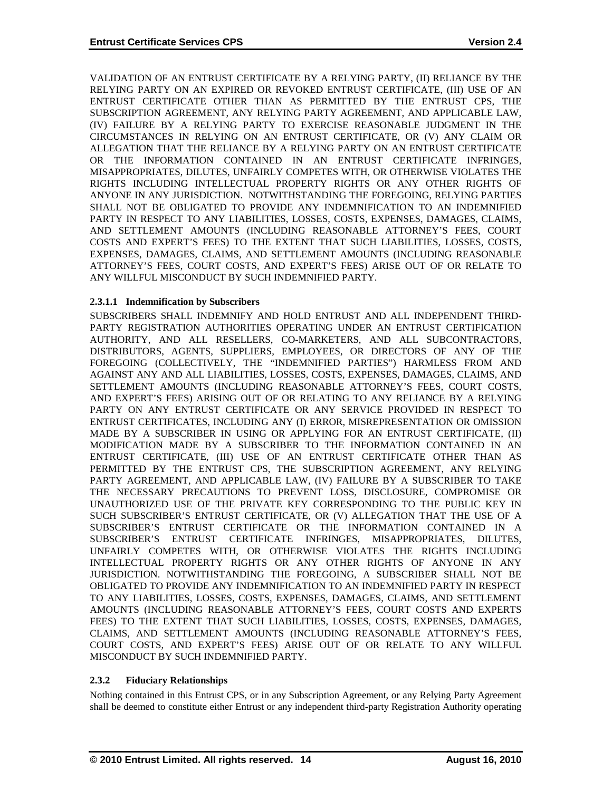VALIDATION OF AN ENTRUST CERTIFICATE BY A RELYING PARTY, (II) RELIANCE BY THE RELYING PARTY ON AN EXPIRED OR REVOKED ENTRUST CERTIFICATE, (III) USE OF AN ENTRUST CERTIFICATE OTHER THAN AS PERMITTED BY THE ENTRUST CPS, THE SUBSCRIPTION AGREEMENT, ANY RELYING PARTY AGREEMENT, AND APPLICABLE LAW, (IV) FAILURE BY A RELYING PARTY TO EXERCISE REASONABLE JUDGMENT IN THE CIRCUMSTANCES IN RELYING ON AN ENTRUST CERTIFICATE, OR (V) ANY CLAIM OR ALLEGATION THAT THE RELIANCE BY A RELYING PARTY ON AN ENTRUST CERTIFICATE OR THE INFORMATION CONTAINED IN AN ENTRUST CERTIFICATE INFRINGES, MISAPPROPRIATES, DILUTES, UNFAIRLY COMPETES WITH, OR OTHERWISE VIOLATES THE RIGHTS INCLUDING INTELLECTUAL PROPERTY RIGHTS OR ANY OTHER RIGHTS OF ANYONE IN ANY JURISDICTION. NOTWITHSTANDING THE FOREGOING, RELYING PARTIES SHALL NOT BE OBLIGATED TO PROVIDE ANY INDEMNIFICATION TO AN INDEMNIFIED PARTY IN RESPECT TO ANY LIABILITIES, LOSSES, COSTS, EXPENSES, DAMAGES, CLAIMS, AND SETTLEMENT AMOUNTS (INCLUDING REASONABLE ATTORNEY'S FEES, COURT COSTS AND EXPERT'S FEES) TO THE EXTENT THAT SUCH LIABILITIES, LOSSES, COSTS, EXPENSES, DAMAGES, CLAIMS, AND SETTLEMENT AMOUNTS (INCLUDING REASONABLE ATTORNEY'S FEES, COURT COSTS, AND EXPERT'S FEES) ARISE OUT OF OR RELATE TO ANY WILLFUL MISCONDUCT BY SUCH INDEMNIFIED PARTY.

# **2.3.1.1 Indemnification by Subscribers**

SUBSCRIBERS SHALL INDEMNIFY AND HOLD ENTRUST AND ALL INDEPENDENT THIRD-PARTY REGISTRATION AUTHORITIES OPERATING UNDER AN ENTRUST CERTIFICATION AUTHORITY, AND ALL RESELLERS, CO-MARKETERS, AND ALL SUBCONTRACTORS, DISTRIBUTORS, AGENTS, SUPPLIERS, EMPLOYEES, OR DIRECTORS OF ANY OF THE FOREGOING (COLLECTIVELY, THE "INDEMNIFIED PARTIES") HARMLESS FROM AND AGAINST ANY AND ALL LIABILITIES, LOSSES, COSTS, EXPENSES, DAMAGES, CLAIMS, AND SETTLEMENT AMOUNTS (INCLUDING REASONABLE ATTORNEY'S FEES, COURT COSTS, AND EXPERT'S FEES) ARISING OUT OF OR RELATING TO ANY RELIANCE BY A RELYING PARTY ON ANY ENTRUST CERTIFICATE OR ANY SERVICE PROVIDED IN RESPECT TO ENTRUST CERTIFICATES, INCLUDING ANY (I) ERROR, MISREPRESENTATION OR OMISSION MADE BY A SUBSCRIBER IN USING OR APPLYING FOR AN ENTRUST CERTIFICATE, (II) MODIFICATION MADE BY A SUBSCRIBER TO THE INFORMATION CONTAINED IN AN ENTRUST CERTIFICATE, (III) USE OF AN ENTRUST CERTIFICATE OTHER THAN AS PERMITTED BY THE ENTRUST CPS, THE SUBSCRIPTION AGREEMENT, ANY RELYING PARTY AGREEMENT, AND APPLICABLE LAW, (IV) FAILURE BY A SUBSCRIBER TO TAKE THE NECESSARY PRECAUTIONS TO PREVENT LOSS, DISCLOSURE, COMPROMISE OR UNAUTHORIZED USE OF THE PRIVATE KEY CORRESPONDING TO THE PUBLIC KEY IN SUCH SUBSCRIBER'S ENTRUST CERTIFICATE, OR (V) ALLEGATION THAT THE USE OF A SUBSCRIBER'S ENTRUST CERTIFICATE OR THE INFORMATION CONTAINED IN A SUBSCRIBER'S ENTRUST CERTIFICATE INFRINGES, MISAPPROPRIATES, DILUTES, UNFAIRLY COMPETES WITH, OR OTHERWISE VIOLATES THE RIGHTS INCLUDING INTELLECTUAL PROPERTY RIGHTS OR ANY OTHER RIGHTS OF ANYONE IN ANY JURISDICTION. NOTWITHSTANDING THE FOREGOING, A SUBSCRIBER SHALL NOT BE OBLIGATED TO PROVIDE ANY INDEMNIFICATION TO AN INDEMNIFIED PARTY IN RESPECT TO ANY LIABILITIES, LOSSES, COSTS, EXPENSES, DAMAGES, CLAIMS, AND SETTLEMENT AMOUNTS (INCLUDING REASONABLE ATTORNEY'S FEES, COURT COSTS AND EXPERTS FEES) TO THE EXTENT THAT SUCH LIABILITIES, LOSSES, COSTS, EXPENSES, DAMAGES, CLAIMS, AND SETTLEMENT AMOUNTS (INCLUDING REASONABLE ATTORNEY'S FEES, COURT COSTS, AND EXPERT'S FEES) ARISE OUT OF OR RELATE TO ANY WILLFUL MISCONDUCT BY SUCH INDEMNIFIED PARTY.

# **2.3.2 Fiduciary Relationships**

Nothing contained in this Entrust CPS, or in any Subscription Agreement, or any Relying Party Agreement shall be deemed to constitute either Entrust or any independent third-party Registration Authority operating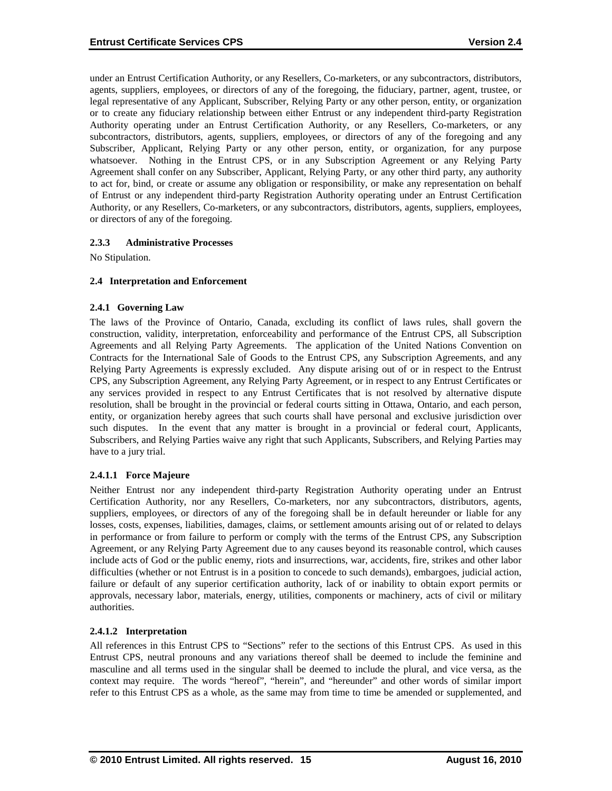under an Entrust Certification Authority, or any Resellers, Co-marketers, or any subcontractors, distributors, agents, suppliers, employees, or directors of any of the foregoing, the fiduciary, partner, agent, trustee, or legal representative of any Applicant, Subscriber, Relying Party or any other person, entity, or organization or to create any fiduciary relationship between either Entrust or any independent third-party Registration Authority operating under an Entrust Certification Authority, or any Resellers, Co-marketers, or any subcontractors, distributors, agents, suppliers, employees, or directors of any of the foregoing and any Subscriber, Applicant, Relying Party or any other person, entity, or organization, for any purpose whatsoever. Nothing in the Entrust CPS, or in any Subscription Agreement or any Relying Party Agreement shall confer on any Subscriber, Applicant, Relying Party, or any other third party, any authority to act for, bind, or create or assume any obligation or responsibility, or make any representation on behalf of Entrust or any independent third-party Registration Authority operating under an Entrust Certification Authority, or any Resellers, Co-marketers, or any subcontractors, distributors, agents, suppliers, employees, or directors of any of the foregoing.

### **2.3.3 Administrative Processes**

No Stipulation.

#### **2.4 Interpretation and Enforcement**

### **2.4.1 Governing Law**

The laws of the Province of Ontario, Canada, excluding its conflict of laws rules, shall govern the construction, validity, interpretation, enforceability and performance of the Entrust CPS, all Subscription Agreements and all Relying Party Agreements. The application of the United Nations Convention on Contracts for the International Sale of Goods to the Entrust CPS, any Subscription Agreements, and any Relying Party Agreements is expressly excluded. Any dispute arising out of or in respect to the Entrust CPS, any Subscription Agreement, any Relying Party Agreement, or in respect to any Entrust Certificates or any services provided in respect to any Entrust Certificates that is not resolved by alternative dispute resolution, shall be brought in the provincial or federal courts sitting in Ottawa, Ontario, and each person, entity, or organization hereby agrees that such courts shall have personal and exclusive jurisdiction over such disputes. In the event that any matter is brought in a provincial or federal court, Applicants, Subscribers, and Relying Parties waive any right that such Applicants, Subscribers, and Relying Parties may have to a jury trial.

#### **2.4.1.1 Force Majeure**

Neither Entrust nor any independent third-party Registration Authority operating under an Entrust Certification Authority, nor any Resellers, Co-marketers, nor any subcontractors, distributors, agents, suppliers, employees, or directors of any of the foregoing shall be in default hereunder or liable for any losses, costs, expenses, liabilities, damages, claims, or settlement amounts arising out of or related to delays in performance or from failure to perform or comply with the terms of the Entrust CPS, any Subscription Agreement, or any Relying Party Agreement due to any causes beyond its reasonable control, which causes include acts of God or the public enemy, riots and insurrections, war, accidents, fire, strikes and other labor difficulties (whether or not Entrust is in a position to concede to such demands), embargoes, judicial action, failure or default of any superior certification authority, lack of or inability to obtain export permits or approvals, necessary labor, materials, energy, utilities, components or machinery, acts of civil or military authorities.

#### **2.4.1.2 Interpretation**

All references in this Entrust CPS to "Sections" refer to the sections of this Entrust CPS. As used in this Entrust CPS, neutral pronouns and any variations thereof shall be deemed to include the feminine and masculine and all terms used in the singular shall be deemed to include the plural, and vice versa, as the context may require. The words "hereof", "herein", and "hereunder" and other words of similar import refer to this Entrust CPS as a whole, as the same may from time to time be amended or supplemented, and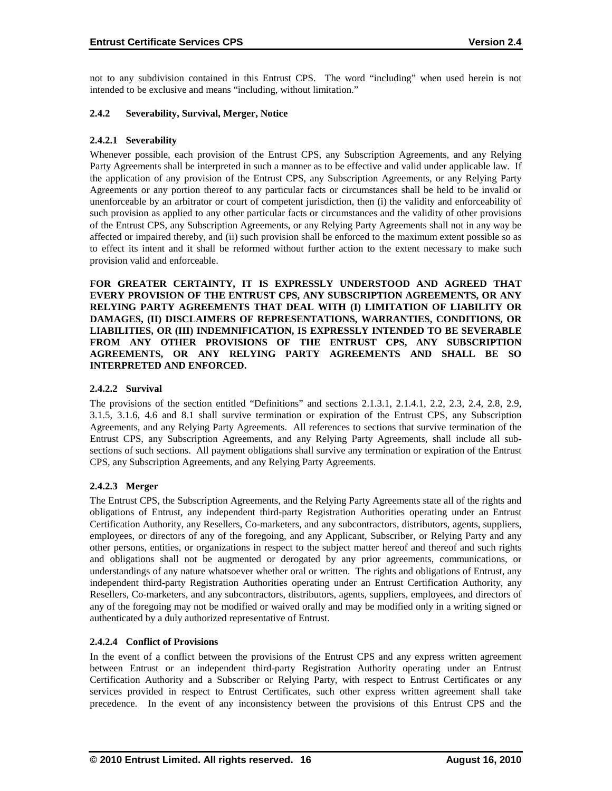not to any subdivision contained in this Entrust CPS. The word "including" when used herein is not intended to be exclusive and means "including, without limitation."

#### **2.4.2 Severability, Survival, Merger, Notice**

#### **2.4.2.1 Severability**

Whenever possible, each provision of the Entrust CPS, any Subscription Agreements, and any Relying Party Agreements shall be interpreted in such a manner as to be effective and valid under applicable law. If the application of any provision of the Entrust CPS, any Subscription Agreements, or any Relying Party Agreements or any portion thereof to any particular facts or circumstances shall be held to be invalid or unenforceable by an arbitrator or court of competent jurisdiction, then (i) the validity and enforceability of such provision as applied to any other particular facts or circumstances and the validity of other provisions of the Entrust CPS, any Subscription Agreements, or any Relying Party Agreements shall not in any way be affected or impaired thereby, and (ii) such provision shall be enforced to the maximum extent possible so as to effect its intent and it shall be reformed without further action to the extent necessary to make such provision valid and enforceable.

**FOR GREATER CERTAINTY, IT IS EXPRESSLY UNDERSTOOD AND AGREED THAT EVERY PROVISION OF THE ENTRUST CPS, ANY SUBSCRIPTION AGREEMENTS, OR ANY RELYING PARTY AGREEMENTS THAT DEAL WITH (I) LIMITATION OF LIABILITY OR DAMAGES, (II) DISCLAIMERS OF REPRESENTATIONS, WARRANTIES, CONDITIONS, OR LIABILITIES, OR (III) INDEMNIFICATION, IS EXPRESSLY INTENDED TO BE SEVERABLE FROM ANY OTHER PROVISIONS OF THE ENTRUST CPS, ANY SUBSCRIPTION AGREEMENTS, OR ANY RELYING PARTY AGREEMENTS AND SHALL BE SO INTERPRETED AND ENFORCED.**

### **2.4.2.2 Survival**

The provisions of the section entitled "Definitions" and sections 2.1.3.1, 2.1.4.1, 2.2, 2.3, 2.4, 2.8, 2.9, 3.1.5, 3.1.6, 4.6 and 8.1 shall survive termination or expiration of the Entrust CPS, any Subscription Agreements, and any Relying Party Agreements. All references to sections that survive termination of the Entrust CPS, any Subscription Agreements, and any Relying Party Agreements, shall include all subsections of such sections. All payment obligations shall survive any termination or expiration of the Entrust CPS, any Subscription Agreements, and any Relying Party Agreements.

# **2.4.2.3 Merger**

The Entrust CPS, the Subscription Agreements, and the Relying Party Agreements state all of the rights and obligations of Entrust, any independent third-party Registration Authorities operating under an Entrust Certification Authority, any Resellers, Co-marketers, and any subcontractors, distributors, agents, suppliers, employees, or directors of any of the foregoing, and any Applicant, Subscriber, or Relying Party and any other persons, entities, or organizations in respect to the subject matter hereof and thereof and such rights and obligations shall not be augmented or derogated by any prior agreements, communications, or understandings of any nature whatsoever whether oral or written. The rights and obligations of Entrust, any independent third-party Registration Authorities operating under an Entrust Certification Authority, any Resellers, Co-marketers, and any subcontractors, distributors, agents, suppliers, employees, and directors of any of the foregoing may not be modified or waived orally and may be modified only in a writing signed or authenticated by a duly authorized representative of Entrust.

#### **2.4.2.4 Conflict of Provisions**

In the event of a conflict between the provisions of the Entrust CPS and any express written agreement between Entrust or an independent third-party Registration Authority operating under an Entrust Certification Authority and a Subscriber or Relying Party, with respect to Entrust Certificates or any services provided in respect to Entrust Certificates, such other express written agreement shall take precedence. In the event of any inconsistency between the provisions of this Entrust CPS and the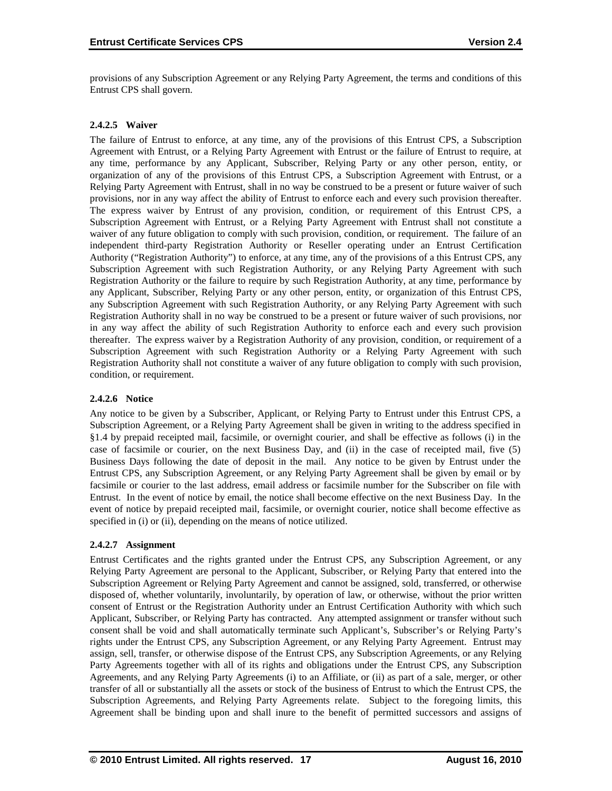provisions of any Subscription Agreement or any Relying Party Agreement, the terms and conditions of this Entrust CPS shall govern.

### **2.4.2.5 Waiver**

The failure of Entrust to enforce, at any time, any of the provisions of this Entrust CPS, a Subscription Agreement with Entrust, or a Relying Party Agreement with Entrust or the failure of Entrust to require, at any time, performance by any Applicant, Subscriber, Relying Party or any other person, entity, or organization of any of the provisions of this Entrust CPS, a Subscription Agreement with Entrust, or a Relying Party Agreement with Entrust, shall in no way be construed to be a present or future waiver of such provisions, nor in any way affect the ability of Entrust to enforce each and every such provision thereafter. The express waiver by Entrust of any provision, condition, or requirement of this Entrust CPS, a Subscription Agreement with Entrust, or a Relying Party Agreement with Entrust shall not constitute a waiver of any future obligation to comply with such provision, condition, or requirement. The failure of an independent third-party Registration Authority or Reseller operating under an Entrust Certification Authority ("Registration Authority") to enforce, at any time, any of the provisions of a this Entrust CPS, any Subscription Agreement with such Registration Authority, or any Relying Party Agreement with such Registration Authority or the failure to require by such Registration Authority, at any time, performance by any Applicant, Subscriber, Relying Party or any other person, entity, or organization of this Entrust CPS, any Subscription Agreement with such Registration Authority, or any Relying Party Agreement with such Registration Authority shall in no way be construed to be a present or future waiver of such provisions, nor in any way affect the ability of such Registration Authority to enforce each and every such provision thereafter. The express waiver by a Registration Authority of any provision, condition, or requirement of a Subscription Agreement with such Registration Authority or a Relying Party Agreement with such Registration Authority shall not constitute a waiver of any future obligation to comply with such provision, condition, or requirement.

#### **2.4.2.6 Notice**

Any notice to be given by a Subscriber, Applicant, or Relying Party to Entrust under this Entrust CPS, a Subscription Agreement, or a Relying Party Agreement shall be given in writing to the address specified in §1.4 by prepaid receipted mail, facsimile, or overnight courier, and shall be effective as follows (i) in the case of facsimile or courier, on the next Business Day, and (ii) in the case of receipted mail, five (5) Business Days following the date of deposit in the mail. Any notice to be given by Entrust under the Entrust CPS, any Subscription Agreement, or any Relying Party Agreement shall be given by email or by facsimile or courier to the last address, email address or facsimile number for the Subscriber on file with Entrust. In the event of notice by email, the notice shall become effective on the next Business Day. In the event of notice by prepaid receipted mail, facsimile, or overnight courier, notice shall become effective as specified in (i) or (ii), depending on the means of notice utilized.

# **2.4.2.7 Assignment**

Entrust Certificates and the rights granted under the Entrust CPS, any Subscription Agreement, or any Relying Party Agreement are personal to the Applicant, Subscriber, or Relying Party that entered into the Subscription Agreement or Relying Party Agreement and cannot be assigned, sold, transferred, or otherwise disposed of, whether voluntarily, involuntarily, by operation of law, or otherwise, without the prior written consent of Entrust or the Registration Authority under an Entrust Certification Authority with which such Applicant, Subscriber, or Relying Party has contracted. Any attempted assignment or transfer without such consent shall be void and shall automatically terminate such Applicant's, Subscriber's or Relying Party's rights under the Entrust CPS, any Subscription Agreement, or any Relying Party Agreement. Entrust may assign, sell, transfer, or otherwise dispose of the Entrust CPS, any Subscription Agreements, or any Relying Party Agreements together with all of its rights and obligations under the Entrust CPS, any Subscription Agreements, and any Relying Party Agreements (i) to an Affiliate, or (ii) as part of a sale, merger, or other transfer of all or substantially all the assets or stock of the business of Entrust to which the Entrust CPS, the Subscription Agreements, and Relying Party Agreements relate. Subject to the foregoing limits, this Agreement shall be binding upon and shall inure to the benefit of permitted successors and assigns of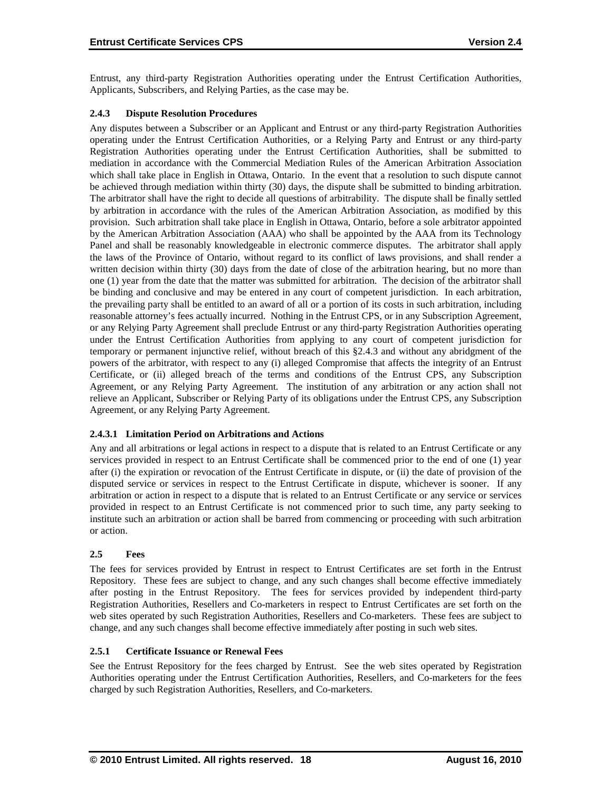Entrust, any third-party Registration Authorities operating under the Entrust Certification Authorities, Applicants, Subscribers, and Relying Parties, as the case may be.

## **2.4.3 Dispute Resolution Procedures**

Any disputes between a Subscriber or an Applicant and Entrust or any third-party Registration Authorities operating under the Entrust Certification Authorities, or a Relying Party and Entrust or any third-party Registration Authorities operating under the Entrust Certification Authorities, shall be submitted to mediation in accordance with the Commercial Mediation Rules of the American Arbitration Association which shall take place in English in Ottawa, Ontario. In the event that a resolution to such dispute cannot be achieved through mediation within thirty (30) days, the dispute shall be submitted to binding arbitration. The arbitrator shall have the right to decide all questions of arbitrability. The dispute shall be finally settled by arbitration in accordance with the rules of the American Arbitration Association, as modified by this provision. Such arbitration shall take place in English in Ottawa, Ontario, before a sole arbitrator appointed by the American Arbitration Association (AAA) who shall be appointed by the AAA from its Technology Panel and shall be reasonably knowledgeable in electronic commerce disputes. The arbitrator shall apply the laws of the Province of Ontario, without regard to its conflict of laws provisions, and shall render a written decision within thirty (30) days from the date of close of the arbitration hearing, but no more than one (1) year from the date that the matter was submitted for arbitration. The decision of the arbitrator shall be binding and conclusive and may be entered in any court of competent jurisdiction. In each arbitration, the prevailing party shall be entitled to an award of all or a portion of its costs in such arbitration, including reasonable attorney's fees actually incurred. Nothing in the Entrust CPS, or in any Subscription Agreement, or any Relying Party Agreement shall preclude Entrust or any third-party Registration Authorities operating under the Entrust Certification Authorities from applying to any court of competent jurisdiction for temporary or permanent injunctive relief, without breach of this §2.4.3 and without any abridgment of the powers of the arbitrator, with respect to any (i) alleged Compromise that affects the integrity of an Entrust Certificate, or (ii) alleged breach of the terms and conditions of the Entrust CPS, any Subscription Agreement, or any Relying Party Agreement. The institution of any arbitration or any action shall not relieve an Applicant, Subscriber or Relying Party of its obligations under the Entrust CPS, any Subscription Agreement, or any Relying Party Agreement.

# **2.4.3.1 Limitation Period on Arbitrations and Actions**

Any and all arbitrations or legal actions in respect to a dispute that is related to an Entrust Certificate or any services provided in respect to an Entrust Certificate shall be commenced prior to the end of one (1) year after (i) the expiration or revocation of the Entrust Certificate in dispute, or (ii) the date of provision of the disputed service or services in respect to the Entrust Certificate in dispute, whichever is sooner. If any arbitration or action in respect to a dispute that is related to an Entrust Certificate or any service or services provided in respect to an Entrust Certificate is not commenced prior to such time, any party seeking to institute such an arbitration or action shall be barred from commencing or proceeding with such arbitration or action.

# **2.5 Fees**

The fees for services provided by Entrust in respect to Entrust Certificates are set forth in the Entrust Repository. These fees are subject to change, and any such changes shall become effective immediately after posting in the Entrust Repository. The fees for services provided by independent third-party Registration Authorities, Resellers and Co-marketers in respect to Entrust Certificates are set forth on the web sites operated by such Registration Authorities, Resellers and Co-marketers. These fees are subject to change, and any such changes shall become effective immediately after posting in such web sites.

#### **2.5.1 Certificate Issuance or Renewal Fees**

See the Entrust Repository for the fees charged by Entrust. See the web sites operated by Registration Authorities operating under the Entrust Certification Authorities, Resellers, and Co-marketers for the fees charged by such Registration Authorities, Resellers, and Co-marketers.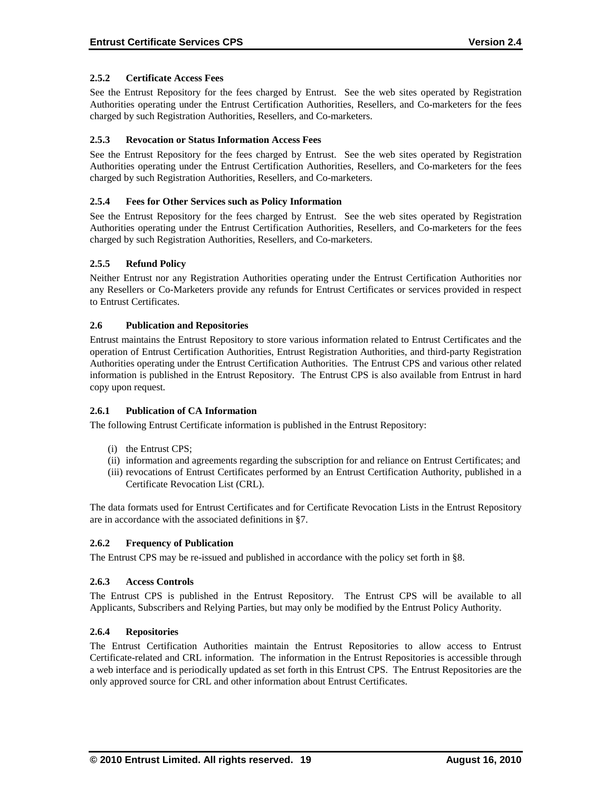## **2.5.2 Certificate Access Fees**

See the Entrust Repository for the fees charged by Entrust. See the web sites operated by Registration Authorities operating under the Entrust Certification Authorities, Resellers, and Co-marketers for the fees charged by such Registration Authorities, Resellers, and Co-marketers.

### **2.5.3 Revocation or Status Information Access Fees**

See the Entrust Repository for the fees charged by Entrust. See the web sites operated by Registration Authorities operating under the Entrust Certification Authorities, Resellers, and Co-marketers for the fees charged by such Registration Authorities, Resellers, and Co-marketers.

### **2.5.4 Fees for Other Services such as Policy Information**

See the Entrust Repository for the fees charged by Entrust. See the web sites operated by Registration Authorities operating under the Entrust Certification Authorities, Resellers, and Co-marketers for the fees charged by such Registration Authorities, Resellers, and Co-marketers.

### **2.5.5 Refund Policy**

Neither Entrust nor any Registration Authorities operating under the Entrust Certification Authorities nor any Resellers or Co-Marketers provide any refunds for Entrust Certificates or services provided in respect to Entrust Certificates.

#### **2.6 Publication and Repositories**

Entrust maintains the Entrust Repository to store various information related to Entrust Certificates and the operation of Entrust Certification Authorities, Entrust Registration Authorities, and third-party Registration Authorities operating under the Entrust Certification Authorities. The Entrust CPS and various other related information is published in the Entrust Repository. The Entrust CPS is also available from Entrust in hard copy upon request.

#### **2.6.1 Publication of CA Information**

The following Entrust Certificate information is published in the Entrust Repository:

- (i) the Entrust CPS;
- (ii) information and agreements regarding the subscription for and reliance on Entrust Certificates; and
- (iii) revocations of Entrust Certificates performed by an Entrust Certification Authority, published in a Certificate Revocation List (CRL).

The data formats used for Entrust Certificates and for Certificate Revocation Lists in the Entrust Repository are in accordance with the associated definitions in §7.

#### **2.6.2 Frequency of Publication**

The Entrust CPS may be re-issued and published in accordance with the policy set forth in §8.

#### **2.6.3 Access Controls**

The Entrust CPS is published in the Entrust Repository. The Entrust CPS will be available to all Applicants, Subscribers and Relying Parties, but may only be modified by the Entrust Policy Authority.

#### **2.6.4 Repositories**

The Entrust Certification Authorities maintain the Entrust Repositories to allow access to Entrust Certificate-related and CRL information. The information in the Entrust Repositories is accessible through a web interface and is periodically updated as set forth in this Entrust CPS. The Entrust Repositories are the only approved source for CRL and other information about Entrust Certificates.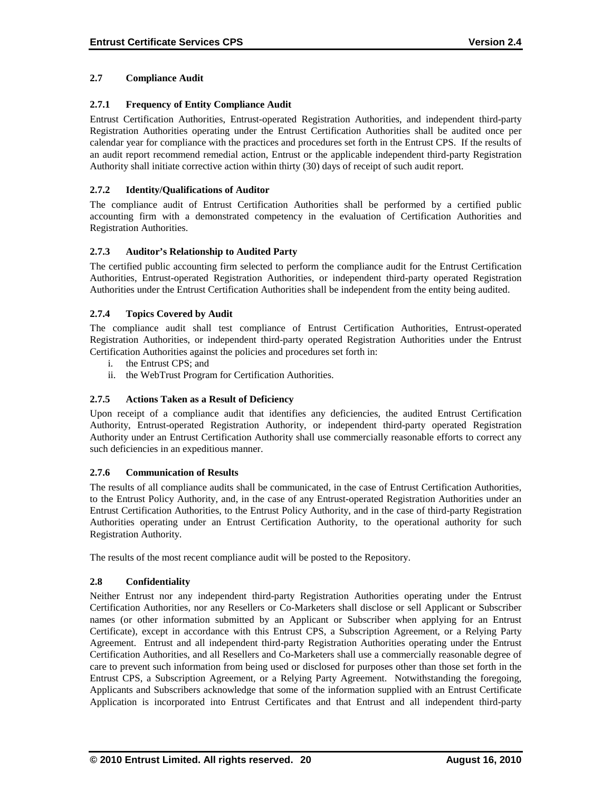### **2.7 Compliance Audit**

### **2.7.1 Frequency of Entity Compliance Audit**

Entrust Certification Authorities, Entrust-operated Registration Authorities, and independent third-party Registration Authorities operating under the Entrust Certification Authorities shall be audited once per calendar year for compliance with the practices and procedures set forth in the Entrust CPS. If the results of an audit report recommend remedial action, Entrust or the applicable independent third-party Registration Authority shall initiate corrective action within thirty (30) days of receipt of such audit report.

#### **2.7.2 Identity/Qualifications of Auditor**

The compliance audit of Entrust Certification Authorities shall be performed by a certified public accounting firm with a demonstrated competency in the evaluation of Certification Authorities and Registration Authorities.

### **2.7.3 Auditor's Relationship to Audited Party**

The certified public accounting firm selected to perform the compliance audit for the Entrust Certification Authorities, Entrust-operated Registration Authorities, or independent third-party operated Registration Authorities under the Entrust Certification Authorities shall be independent from the entity being audited.

### **2.7.4 Topics Covered by Audit**

The compliance audit shall test compliance of Entrust Certification Authorities, Entrust-operated Registration Authorities, or independent third-party operated Registration Authorities under the Entrust Certification Authorities against the policies and procedures set forth in:

- i. the Entrust CPS; and
- ii. the WebTrust Program for Certification Authorities.

#### **2.7.5 Actions Taken as a Result of Deficiency**

Upon receipt of a compliance audit that identifies any deficiencies, the audited Entrust Certification Authority, Entrust-operated Registration Authority, or independent third-party operated Registration Authority under an Entrust Certification Authority shall use commercially reasonable efforts to correct any such deficiencies in an expeditious manner.

#### **2.7.6 Communication of Results**

The results of all compliance audits shall be communicated, in the case of Entrust Certification Authorities, to the Entrust Policy Authority, and, in the case of any Entrust-operated Registration Authorities under an Entrust Certification Authorities, to the Entrust Policy Authority, and in the case of third-party Registration Authorities operating under an Entrust Certification Authority, to the operational authority for such Registration Authority.

The results of the most recent compliance audit will be posted to the Repository.

#### **2.8 Confidentiality**

Neither Entrust nor any independent third-party Registration Authorities operating under the Entrust Certification Authorities, nor any Resellers or Co-Marketers shall disclose or sell Applicant or Subscriber names (or other information submitted by an Applicant or Subscriber when applying for an Entrust Certificate), except in accordance with this Entrust CPS, a Subscription Agreement, or a Relying Party Agreement. Entrust and all independent third-party Registration Authorities operating under the Entrust Certification Authorities, and all Resellers and Co-Marketers shall use a commercially reasonable degree of care to prevent such information from being used or disclosed for purposes other than those set forth in the Entrust CPS, a Subscription Agreement, or a Relying Party Agreement. Notwithstanding the foregoing, Applicants and Subscribers acknowledge that some of the information supplied with an Entrust Certificate Application is incorporated into Entrust Certificates and that Entrust and all independent third-party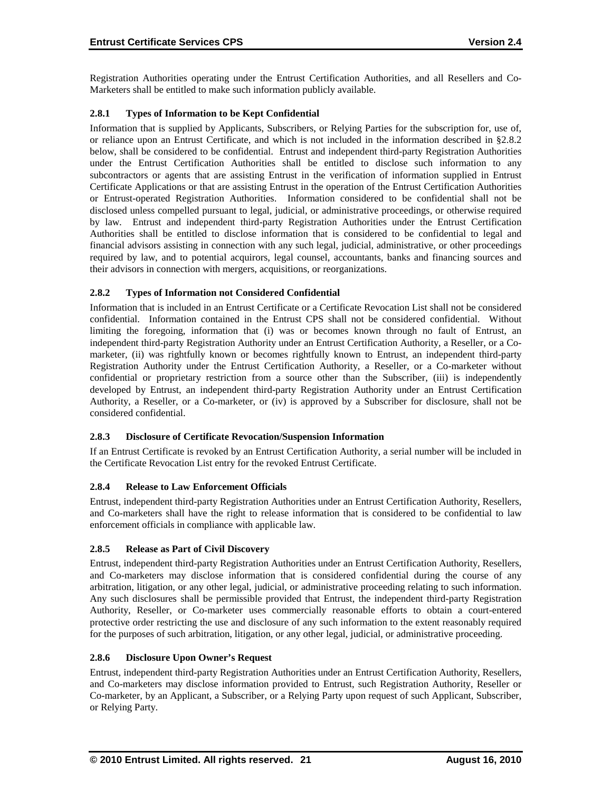Registration Authorities operating under the Entrust Certification Authorities, and all Resellers and Co-Marketers shall be entitled to make such information publicly available.

# **2.8.1 Types of Information to be Kept Confidential**

Information that is supplied by Applicants, Subscribers, or Relying Parties for the subscription for, use of, or reliance upon an Entrust Certificate, and which is not included in the information described in §2.8.2 below, shall be considered to be confidential. Entrust and independent third-party Registration Authorities under the Entrust Certification Authorities shall be entitled to disclose such information to any subcontractors or agents that are assisting Entrust in the verification of information supplied in Entrust Certificate Applications or that are assisting Entrust in the operation of the Entrust Certification Authorities or Entrust-operated Registration Authorities. Information considered to be confidential shall not be disclosed unless compelled pursuant to legal, judicial, or administrative proceedings, or otherwise required by law. Entrust and independent third-party Registration Authorities under the Entrust Certification Authorities shall be entitled to disclose information that is considered to be confidential to legal and financial advisors assisting in connection with any such legal, judicial, administrative, or other proceedings required by law, and to potential acquirors, legal counsel, accountants, banks and financing sources and their advisors in connection with mergers, acquisitions, or reorganizations.

# **2.8.2 Types of Information not Considered Confidential**

Information that is included in an Entrust Certificate or a Certificate Revocation List shall not be considered confidential. Information contained in the Entrust CPS shall not be considered confidential. Without limiting the foregoing, information that (i) was or becomes known through no fault of Entrust, an independent third-party Registration Authority under an Entrust Certification Authority, a Reseller, or a Comarketer, (ii) was rightfully known or becomes rightfully known to Entrust, an independent third-party Registration Authority under the Entrust Certification Authority, a Reseller, or a Co-marketer without confidential or proprietary restriction from a source other than the Subscriber, (iii) is independently developed by Entrust, an independent third-party Registration Authority under an Entrust Certification Authority, a Reseller, or a Co-marketer, or (iv) is approved by a Subscriber for disclosure, shall not be considered confidential.

# **2.8.3 Disclosure of Certificate Revocation/Suspension Information**

If an Entrust Certificate is revoked by an Entrust Certification Authority, a serial number will be included in the Certificate Revocation List entry for the revoked Entrust Certificate.

# **2.8.4 Release to Law Enforcement Officials**

Entrust, independent third-party Registration Authorities under an Entrust Certification Authority, Resellers, and Co-marketers shall have the right to release information that is considered to be confidential to law enforcement officials in compliance with applicable law.

# **2.8.5 Release as Part of Civil Discovery**

Entrust, independent third-party Registration Authorities under an Entrust Certification Authority, Resellers, and Co-marketers may disclose information that is considered confidential during the course of any arbitration, litigation, or any other legal, judicial, or administrative proceeding relating to such information. Any such disclosures shall be permissible provided that Entrust, the independent third-party Registration Authority, Reseller, or Co-marketer uses commercially reasonable efforts to obtain a court-entered protective order restricting the use and disclosure of any such information to the extent reasonably required for the purposes of such arbitration, litigation, or any other legal, judicial, or administrative proceeding.

# **2.8.6 Disclosure Upon Owner's Request**

Entrust, independent third-party Registration Authorities under an Entrust Certification Authority, Resellers, and Co-marketers may disclose information provided to Entrust, such Registration Authority, Reseller or Co-marketer, by an Applicant, a Subscriber, or a Relying Party upon request of such Applicant, Subscriber, or Relying Party.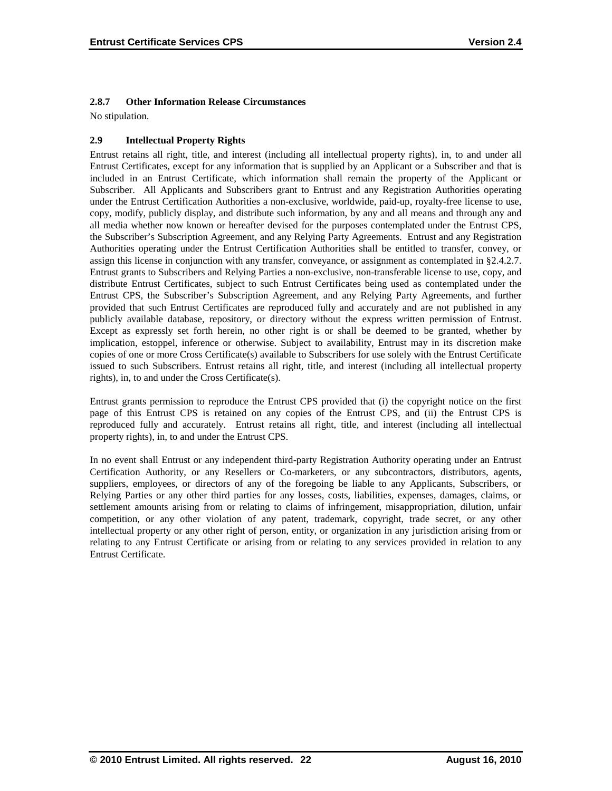### **2.8.7 Other Information Release Circumstances**

No stipulation.

# **2.9 Intellectual Property Rights**

Entrust retains all right, title, and interest (including all intellectual property rights), in, to and under all Entrust Certificates, except for any information that is supplied by an Applicant or a Subscriber and that is included in an Entrust Certificate, which information shall remain the property of the Applicant or Subscriber. All Applicants and Subscribers grant to Entrust and any Registration Authorities operating under the Entrust Certification Authorities a non-exclusive, worldwide, paid-up, royalty-free license to use, copy, modify, publicly display, and distribute such information, by any and all means and through any and all media whether now known or hereafter devised for the purposes contemplated under the Entrust CPS, the Subscriber's Subscription Agreement, and any Relying Party Agreements. Entrust and any Registration Authorities operating under the Entrust Certification Authorities shall be entitled to transfer, convey, or assign this license in conjunction with any transfer, conveyance, or assignment as contemplated in §2.4.2.7. Entrust grants to Subscribers and Relying Parties a non-exclusive, non-transferable license to use, copy, and distribute Entrust Certificates, subject to such Entrust Certificates being used as contemplated under the Entrust CPS, the Subscriber's Subscription Agreement, and any Relying Party Agreements, and further provided that such Entrust Certificates are reproduced fully and accurately and are not published in any publicly available database, repository, or directory without the express written permission of Entrust. Except as expressly set forth herein, no other right is or shall be deemed to be granted, whether by implication, estoppel, inference or otherwise. Subject to availability, Entrust may in its discretion make copies of one or more Cross Certificate(s) available to Subscribers for use solely with the Entrust Certificate issued to such Subscribers. Entrust retains all right, title, and interest (including all intellectual property rights), in, to and under the Cross Certificate(s).

Entrust grants permission to reproduce the Entrust CPS provided that (i) the copyright notice on the first page of this Entrust CPS is retained on any copies of the Entrust CPS, and (ii) the Entrust CPS is reproduced fully and accurately. Entrust retains all right, title, and interest (including all intellectual property rights), in, to and under the Entrust CPS.

In no event shall Entrust or any independent third-party Registration Authority operating under an Entrust Certification Authority, or any Resellers or Co-marketers, or any subcontractors, distributors, agents, suppliers, employees, or directors of any of the foregoing be liable to any Applicants, Subscribers, or Relying Parties or any other third parties for any losses, costs, liabilities, expenses, damages, claims, or settlement amounts arising from or relating to claims of infringement, misappropriation, dilution, unfair competition, or any other violation of any patent, trademark, copyright, trade secret, or any other intellectual property or any other right of person, entity, or organization in any jurisdiction arising from or relating to any Entrust Certificate or arising from or relating to any services provided in relation to any Entrust Certificate.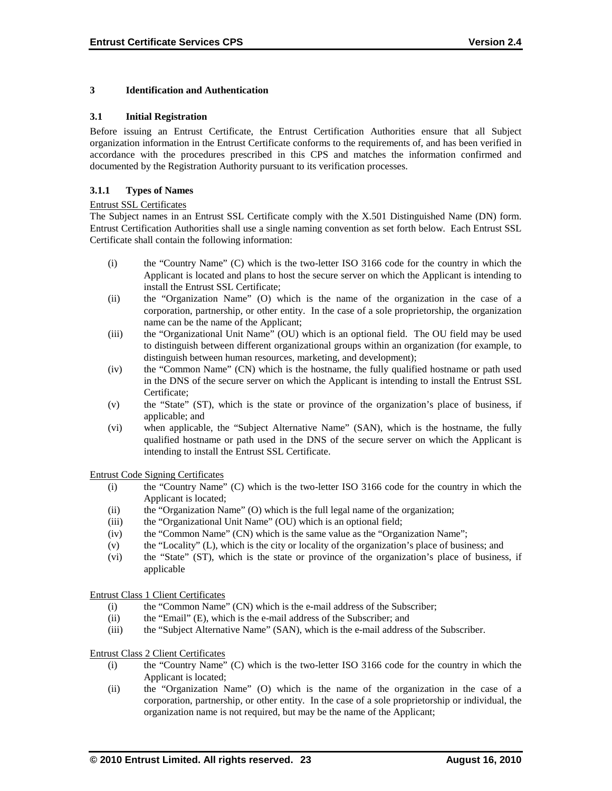#### **3 Identification and Authentication**

#### **3.1 Initial Registration**

Before issuing an Entrust Certificate, the Entrust Certification Authorities ensure that all Subject organization information in the Entrust Certificate conforms to the requirements of, and has been verified in accordance with the procedures prescribed in this CPS and matches the information confirmed and documented by the Registration Authority pursuant to its verification processes.

#### **3.1.1 Types of Names**

#### Entrust SSL Certificates

The Subject names in an Entrust SSL Certificate comply with the X.501 Distinguished Name (DN) form. Entrust Certification Authorities shall use a single naming convention as set forth below. Each Entrust SSL Certificate shall contain the following information:

- (i) the "Country Name" (C) which is the two-letter ISO 3166 code for the country in which the Applicant is located and plans to host the secure server on which the Applicant is intending to install the Entrust SSL Certificate;
- (ii) the "Organization Name" (O) which is the name of the organization in the case of a corporation, partnership, or other entity. In the case of a sole proprietorship, the organization name can be the name of the Applicant;
- (iii) the "Organizational Unit Name" (OU) which is an optional field. The OU field may be used to distinguish between different organizational groups within an organization (for example, to distinguish between human resources, marketing, and development);
- (iv) the "Common Name" (CN) which is the hostname, the fully qualified hostname or path used in the DNS of the secure server on which the Applicant is intending to install the Entrust SSL Certificate;
- (v) the "State" (ST), which is the state or province of the organization's place of business, if applicable; and
- (vi) when applicable, the "Subject Alternative Name" (SAN), which is the hostname, the fully qualified hostname or path used in the DNS of the secure server on which the Applicant is intending to install the Entrust SSL Certificate.

Entrust Code Signing Certificates

- (i) the "Country Name" (C) which is the two-letter ISO 3166 code for the country in which the Applicant is located;
- (ii) the "Organization Name" (O) which is the full legal name of the organization;
- (iii) the "Organizational Unit Name" (OU) which is an optional field;
- (iv) the "Common Name" (CN) which is the same value as the "Organization Name";
- (v) the "Locality" (L), which is the city or locality of the organization's place of business; and
- (vi) the "State" (ST), which is the state or province of the organization's place of business, if applicable

Entrust Class 1 Client Certificates

- (i) the "Common Name" (CN) which is the e-mail address of the Subscriber;
- (ii) the "Email" (E), which is the e-mail address of the Subscriber; and
- (iii) the "Subject Alternative Name" (SAN), which is the e-mail address of the Subscriber.

#### Entrust Class 2 Client Certificates

- (i) the "Country Name" (C) which is the two-letter ISO 3166 code for the country in which the Applicant is located;
- (ii) the "Organization Name" (O) which is the name of the organization in the case of a corporation, partnership, or other entity. In the case of a sole proprietorship or individual, the organization name is not required, but may be the name of the Applicant;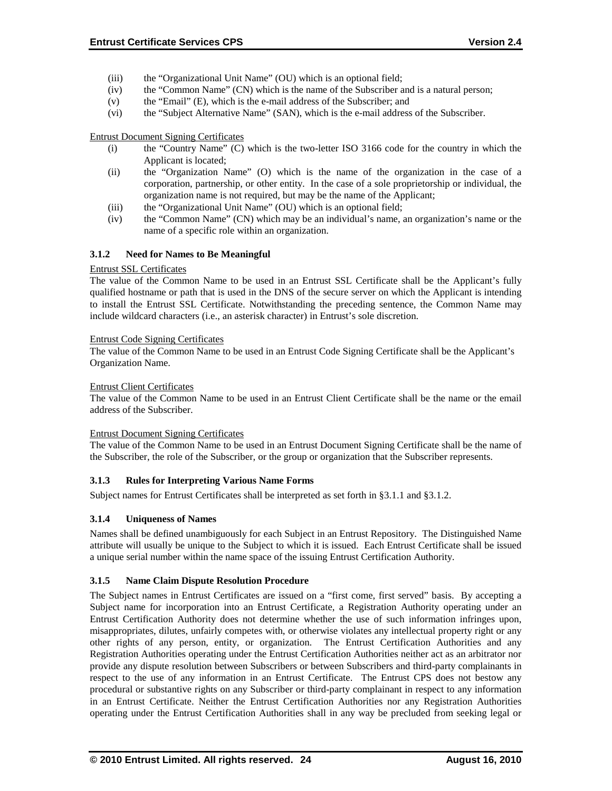- (iii) the "Organizational Unit Name" (OU) which is an optional field;
- (iv) the "Common Name" (CN) which is the name of the Subscriber and is a natural person;
- (v) the "Email" (E), which is the e-mail address of the Subscriber; and
- (vi) the "Subject Alternative Name" (SAN), which is the e-mail address of the Subscriber.

#### Entrust Document Signing Certificates

- (i) the "Country Name" (C) which is the two-letter ISO 3166 code for the country in which the Applicant is located;
- (ii) the "Organization Name" (O) which is the name of the organization in the case of a corporation, partnership, or other entity. In the case of a sole proprietorship or individual, the organization name is not required, but may be the name of the Applicant;
- (iii) the "Organizational Unit Name" (OU) which is an optional field;
- (iv) the "Common Name" (CN) which may be an individual's name, an organization's name or the name of a specific role within an organization.

### **3.1.2 Need for Names to Be Meaningful**

#### Entrust SSL Certificates

The value of the Common Name to be used in an Entrust SSL Certificate shall be the Applicant's fully qualified hostname or path that is used in the DNS of the secure server on which the Applicant is intending to install the Entrust SSL Certificate. Notwithstanding the preceding sentence, the Common Name may include wildcard characters (i.e., an asterisk character) in Entrust's sole discretion.

#### Entrust Code Signing Certificates

The value of the Common Name to be used in an Entrust Code Signing Certificate shall be the Applicant's Organization Name.

#### Entrust Client Certificates

The value of the Common Name to be used in an Entrust Client Certificate shall be the name or the email address of the Subscriber.

#### Entrust Document Signing Certificates

The value of the Common Name to be used in an Entrust Document Signing Certificate shall be the name of the Subscriber, the role of the Subscriber, or the group or organization that the Subscriber represents.

#### **3.1.3 Rules for Interpreting Various Name Forms**

Subject names for Entrust Certificates shall be interpreted as set forth in §3.1.1 and §3.1.2.

#### **3.1.4 Uniqueness of Names**

Names shall be defined unambiguously for each Subject in an Entrust Repository. The Distinguished Name attribute will usually be unique to the Subject to which it is issued. Each Entrust Certificate shall be issued a unique serial number within the name space of the issuing Entrust Certification Authority.

#### **3.1.5 Name Claim Dispute Resolution Procedure**

The Subject names in Entrust Certificates are issued on a "first come, first served" basis. By accepting a Subject name for incorporation into an Entrust Certificate, a Registration Authority operating under an Entrust Certification Authority does not determine whether the use of such information infringes upon, misappropriates, dilutes, unfairly competes with, or otherwise violates any intellectual property right or any other rights of any person, entity, or organization. The Entrust Certification Authorities and any Registration Authorities operating under the Entrust Certification Authorities neither act as an arbitrator nor provide any dispute resolution between Subscribers or between Subscribers and third-party complainants in respect to the use of any information in an Entrust Certificate. The Entrust CPS does not bestow any procedural or substantive rights on any Subscriber or third-party complainant in respect to any information in an Entrust Certificate. Neither the Entrust Certification Authorities nor any Registration Authorities operating under the Entrust Certification Authorities shall in any way be precluded from seeking legal or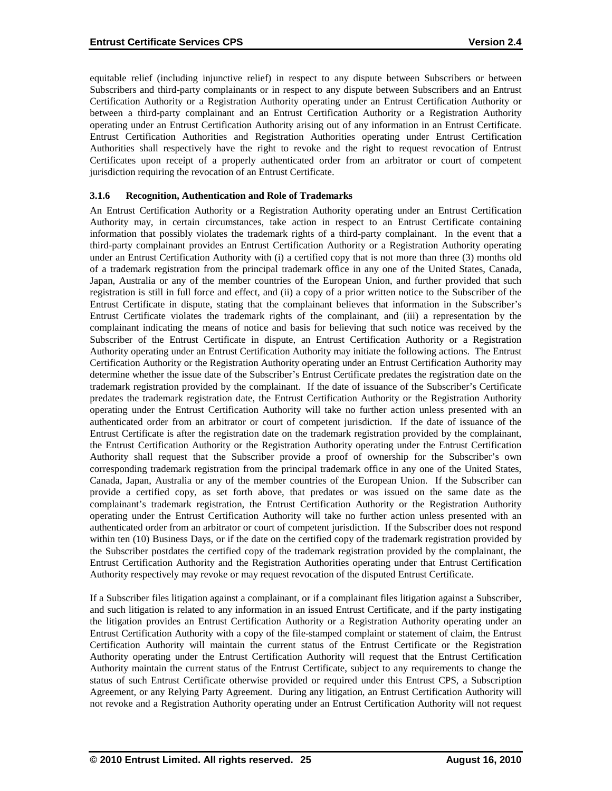equitable relief (including injunctive relief) in respect to any dispute between Subscribers or between Subscribers and third-party complainants or in respect to any dispute between Subscribers and an Entrust Certification Authority or a Registration Authority operating under an Entrust Certification Authority or between a third-party complainant and an Entrust Certification Authority or a Registration Authority operating under an Entrust Certification Authority arising out of any information in an Entrust Certificate. Entrust Certification Authorities and Registration Authorities operating under Entrust Certification Authorities shall respectively have the right to revoke and the right to request revocation of Entrust Certificates upon receipt of a properly authenticated order from an arbitrator or court of competent jurisdiction requiring the revocation of an Entrust Certificate.

### **3.1.6 Recognition, Authentication and Role of Trademarks**

An Entrust Certification Authority or a Registration Authority operating under an Entrust Certification Authority may, in certain circumstances, take action in respect to an Entrust Certificate containing information that possibly violates the trademark rights of a third-party complainant. In the event that a third-party complainant provides an Entrust Certification Authority or a Registration Authority operating under an Entrust Certification Authority with (i) a certified copy that is not more than three (3) months old of a trademark registration from the principal trademark office in any one of the United States, Canada, Japan, Australia or any of the member countries of the European Union, and further provided that such registration is still in full force and effect, and (ii) a copy of a prior written notice to the Subscriber of the Entrust Certificate in dispute, stating that the complainant believes that information in the Subscriber's Entrust Certificate violates the trademark rights of the complainant, and (iii) a representation by the complainant indicating the means of notice and basis for believing that such notice was received by the Subscriber of the Entrust Certificate in dispute, an Entrust Certification Authority or a Registration Authority operating under an Entrust Certification Authority may initiate the following actions. The Entrust Certification Authority or the Registration Authority operating under an Entrust Certification Authority may determine whether the issue date of the Subscriber's Entrust Certificate predates the registration date on the trademark registration provided by the complainant. If the date of issuance of the Subscriber's Certificate predates the trademark registration date, the Entrust Certification Authority or the Registration Authority operating under the Entrust Certification Authority will take no further action unless presented with an authenticated order from an arbitrator or court of competent jurisdiction. If the date of issuance of the Entrust Certificate is after the registration date on the trademark registration provided by the complainant, the Entrust Certification Authority or the Registration Authority operating under the Entrust Certification Authority shall request that the Subscriber provide a proof of ownership for the Subscriber's own corresponding trademark registration from the principal trademark office in any one of the United States, Canada, Japan, Australia or any of the member countries of the European Union. If the Subscriber can provide a certified copy, as set forth above, that predates or was issued on the same date as the complainant's trademark registration, the Entrust Certification Authority or the Registration Authority operating under the Entrust Certification Authority will take no further action unless presented with an authenticated order from an arbitrator or court of competent jurisdiction. If the Subscriber does not respond within ten (10) Business Days, or if the date on the certified copy of the trademark registration provided by the Subscriber postdates the certified copy of the trademark registration provided by the complainant, the Entrust Certification Authority and the Registration Authorities operating under that Entrust Certification Authority respectively may revoke or may request revocation of the disputed Entrust Certificate.

If a Subscriber files litigation against a complainant, or if a complainant files litigation against a Subscriber, and such litigation is related to any information in an issued Entrust Certificate, and if the party instigating the litigation provides an Entrust Certification Authority or a Registration Authority operating under an Entrust Certification Authority with a copy of the file-stamped complaint or statement of claim, the Entrust Certification Authority will maintain the current status of the Entrust Certificate or the Registration Authority operating under the Entrust Certification Authority will request that the Entrust Certification Authority maintain the current status of the Entrust Certificate, subject to any requirements to change the status of such Entrust Certificate otherwise provided or required under this Entrust CPS, a Subscription Agreement, or any Relying Party Agreement. During any litigation, an Entrust Certification Authority will not revoke and a Registration Authority operating under an Entrust Certification Authority will not request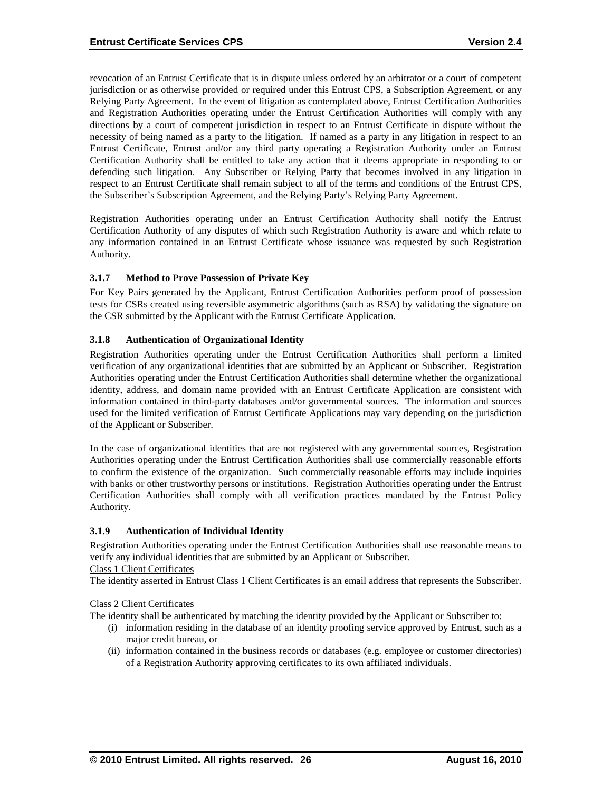revocation of an Entrust Certificate that is in dispute unless ordered by an arbitrator or a court of competent jurisdiction or as otherwise provided or required under this Entrust CPS, a Subscription Agreement, or any Relying Party Agreement. In the event of litigation as contemplated above, Entrust Certification Authorities and Registration Authorities operating under the Entrust Certification Authorities will comply with any directions by a court of competent jurisdiction in respect to an Entrust Certificate in dispute without the necessity of being named as a party to the litigation. If named as a party in any litigation in respect to an Entrust Certificate, Entrust and/or any third party operating a Registration Authority under an Entrust Certification Authority shall be entitled to take any action that it deems appropriate in responding to or defending such litigation. Any Subscriber or Relying Party that becomes involved in any litigation in respect to an Entrust Certificate shall remain subject to all of the terms and conditions of the Entrust CPS, the Subscriber's Subscription Agreement, and the Relying Party's Relying Party Agreement.

Registration Authorities operating under an Entrust Certification Authority shall notify the Entrust Certification Authority of any disputes of which such Registration Authority is aware and which relate to any information contained in an Entrust Certificate whose issuance was requested by such Registration Authority.

### **3.1.7 Method to Prove Possession of Private Key**

For Key Pairs generated by the Applicant, Entrust Certification Authorities perform proof of possession tests for CSRs created using reversible asymmetric algorithms (such as RSA) by validating the signature on the CSR submitted by the Applicant with the Entrust Certificate Application.

### **3.1.8 Authentication of Organizational Identity**

Registration Authorities operating under the Entrust Certification Authorities shall perform a limited verification of any organizational identities that are submitted by an Applicant or Subscriber. Registration Authorities operating under the Entrust Certification Authorities shall determine whether the organizational identity, address, and domain name provided with an Entrust Certificate Application are consistent with information contained in third-party databases and/or governmental sources. The information and sources used for the limited verification of Entrust Certificate Applications may vary depending on the jurisdiction of the Applicant or Subscriber.

In the case of organizational identities that are not registered with any governmental sources, Registration Authorities operating under the Entrust Certification Authorities shall use commercially reasonable efforts to confirm the existence of the organization. Such commercially reasonable efforts may include inquiries with banks or other trustworthy persons or institutions. Registration Authorities operating under the Entrust Certification Authorities shall comply with all verification practices mandated by the Entrust Policy Authority.

#### **3.1.9 Authentication of Individual Identity**

Registration Authorities operating under the Entrust Certification Authorities shall use reasonable means to verify any individual identities that are submitted by an Applicant or Subscriber.

#### Class 1 Client Certificates

The identity asserted in Entrust Class 1 Client Certificates is an email address that represents the Subscriber.

#### Class 2 Client Certificates

The identity shall be authenticated by matching the identity provided by the Applicant or Subscriber to:

- (i) information residing in the database of an identity proofing service approved by Entrust, such as a major credit bureau, or
- (ii) information contained in the business records or databases (e.g. employee or customer directories) of a Registration Authority approving certificates to its own affiliated individuals.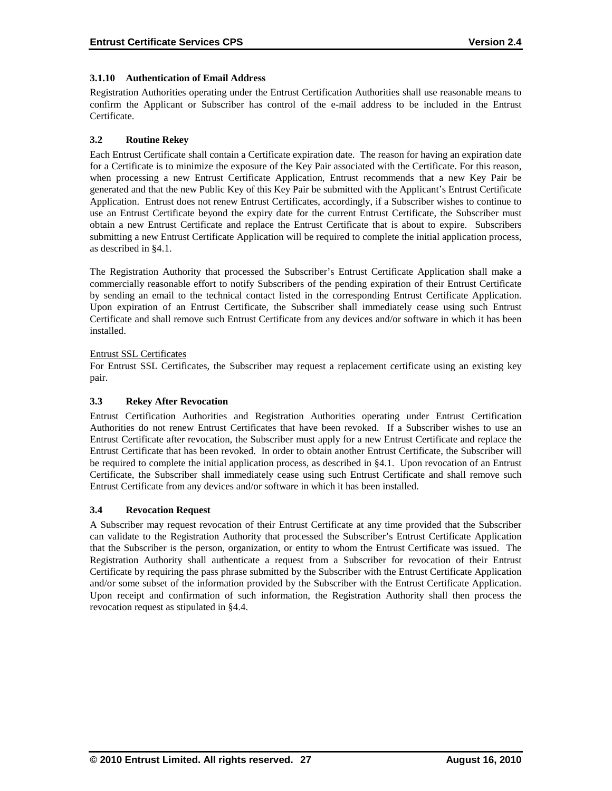#### **3.1.10 Authentication of Email Address**

Registration Authorities operating under the Entrust Certification Authorities shall use reasonable means to confirm the Applicant or Subscriber has control of the e-mail address to be included in the Entrust Certificate.

#### **3.2 Routine Rekey**

Each Entrust Certificate shall contain a Certificate expiration date. The reason for having an expiration date for a Certificate is to minimize the exposure of the Key Pair associated with the Certificate. For this reason, when processing a new Entrust Certificate Application, Entrust recommends that a new Key Pair be generated and that the new Public Key of this Key Pair be submitted with the Applicant's Entrust Certificate Application. Entrust does not renew Entrust Certificates, accordingly, if a Subscriber wishes to continue to use an Entrust Certificate beyond the expiry date for the current Entrust Certificate, the Subscriber must obtain a new Entrust Certificate and replace the Entrust Certificate that is about to expire. Subscribers submitting a new Entrust Certificate Application will be required to complete the initial application process, as described in §4.1.

The Registration Authority that processed the Subscriber's Entrust Certificate Application shall make a commercially reasonable effort to notify Subscribers of the pending expiration of their Entrust Certificate by sending an email to the technical contact listed in the corresponding Entrust Certificate Application. Upon expiration of an Entrust Certificate, the Subscriber shall immediately cease using such Entrust Certificate and shall remove such Entrust Certificate from any devices and/or software in which it has been installed.

#### Entrust SSL Certificates

For Entrust SSL Certificates, the Subscriber may request a replacement certificate using an existing key pair.

#### **3.3 Rekey After Revocation**

Entrust Certification Authorities and Registration Authorities operating under Entrust Certification Authorities do not renew Entrust Certificates that have been revoked. If a Subscriber wishes to use an Entrust Certificate after revocation, the Subscriber must apply for a new Entrust Certificate and replace the Entrust Certificate that has been revoked. In order to obtain another Entrust Certificate, the Subscriber will be required to complete the initial application process, as described in §4.1. Upon revocation of an Entrust Certificate, the Subscriber shall immediately cease using such Entrust Certificate and shall remove such Entrust Certificate from any devices and/or software in which it has been installed.

#### **3.4 Revocation Request**

A Subscriber may request revocation of their Entrust Certificate at any time provided that the Subscriber can validate to the Registration Authority that processed the Subscriber's Entrust Certificate Application that the Subscriber is the person, organization, or entity to whom the Entrust Certificate was issued. The Registration Authority shall authenticate a request from a Subscriber for revocation of their Entrust Certificate by requiring the pass phrase submitted by the Subscriber with the Entrust Certificate Application and/or some subset of the information provided by the Subscriber with the Entrust Certificate Application. Upon receipt and confirmation of such information, the Registration Authority shall then process the revocation request as stipulated in §4.4.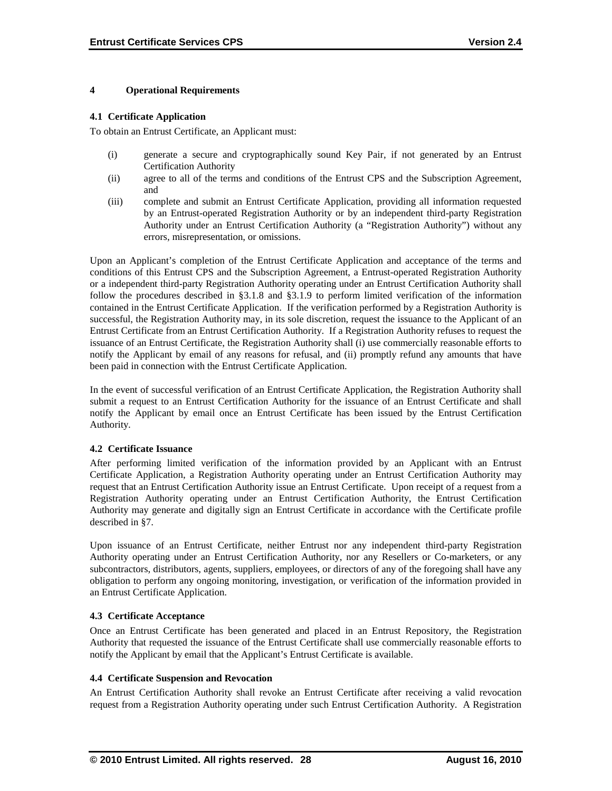#### **4 Operational Requirements**

#### **4.1 Certificate Application**

To obtain an Entrust Certificate, an Applicant must:

- (i) generate a secure and cryptographically sound Key Pair, if not generated by an Entrust Certification Authority
- (ii) agree to all of the terms and conditions of the Entrust CPS and the Subscription Agreement, and
- (iii) complete and submit an Entrust Certificate Application, providing all information requested by an Entrust-operated Registration Authority or by an independent third-party Registration Authority under an Entrust Certification Authority (a "Registration Authority") without any errors, misrepresentation, or omissions.

Upon an Applicant's completion of the Entrust Certificate Application and acceptance of the terms and conditions of this Entrust CPS and the Subscription Agreement, a Entrust-operated Registration Authority or a independent third-party Registration Authority operating under an Entrust Certification Authority shall follow the procedures described in §3.1.8 and §3.1.9 to perform limited verification of the information contained in the Entrust Certificate Application. If the verification performed by a Registration Authority is successful, the Registration Authority may, in its sole discretion, request the issuance to the Applicant of an Entrust Certificate from an Entrust Certification Authority. If a Registration Authority refuses to request the issuance of an Entrust Certificate, the Registration Authority shall (i) use commercially reasonable efforts to notify the Applicant by email of any reasons for refusal, and (ii) promptly refund any amounts that have been paid in connection with the Entrust Certificate Application.

In the event of successful verification of an Entrust Certificate Application, the Registration Authority shall submit a request to an Entrust Certification Authority for the issuance of an Entrust Certificate and shall notify the Applicant by email once an Entrust Certificate has been issued by the Entrust Certification Authority.

#### **4.2 Certificate Issuance**

After performing limited verification of the information provided by an Applicant with an Entrust Certificate Application, a Registration Authority operating under an Entrust Certification Authority may request that an Entrust Certification Authority issue an Entrust Certificate. Upon receipt of a request from a Registration Authority operating under an Entrust Certification Authority, the Entrust Certification Authority may generate and digitally sign an Entrust Certificate in accordance with the Certificate profile described in §7.

Upon issuance of an Entrust Certificate, neither Entrust nor any independent third-party Registration Authority operating under an Entrust Certification Authority, nor any Resellers or Co-marketers, or any subcontractors, distributors, agents, suppliers, employees, or directors of any of the foregoing shall have any obligation to perform any ongoing monitoring, investigation, or verification of the information provided in an Entrust Certificate Application.

#### **4.3 Certificate Acceptance**

Once an Entrust Certificate has been generated and placed in an Entrust Repository, the Registration Authority that requested the issuance of the Entrust Certificate shall use commercially reasonable efforts to notify the Applicant by email that the Applicant's Entrust Certificate is available.

#### **4.4 Certificate Suspension and Revocation**

An Entrust Certification Authority shall revoke an Entrust Certificate after receiving a valid revocation request from a Registration Authority operating under such Entrust Certification Authority. A Registration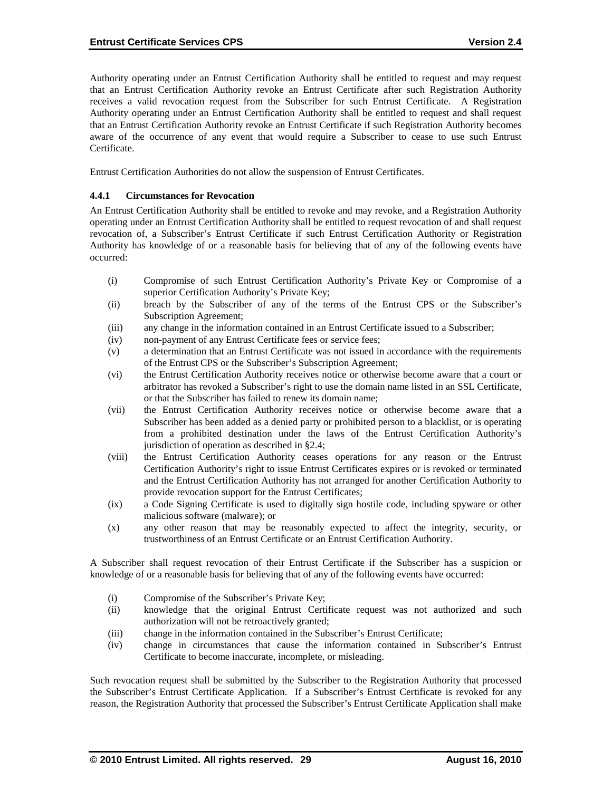Authority operating under an Entrust Certification Authority shall be entitled to request and may request that an Entrust Certification Authority revoke an Entrust Certificate after such Registration Authority receives a valid revocation request from the Subscriber for such Entrust Certificate. A Registration Authority operating under an Entrust Certification Authority shall be entitled to request and shall request that an Entrust Certification Authority revoke an Entrust Certificate if such Registration Authority becomes aware of the occurrence of any event that would require a Subscriber to cease to use such Entrust Certificate.

Entrust Certification Authorities do not allow the suspension of Entrust Certificates.

#### **4.4.1 Circumstances for Revocation**

An Entrust Certification Authority shall be entitled to revoke and may revoke, and a Registration Authority operating under an Entrust Certification Authority shall be entitled to request revocation of and shall request revocation of, a Subscriber's Entrust Certificate if such Entrust Certification Authority or Registration Authority has knowledge of or a reasonable basis for believing that of any of the following events have occurred:

- (i) Compromise of such Entrust Certification Authority's Private Key or Compromise of a superior Certification Authority's Private Key;
- (ii) breach by the Subscriber of any of the terms of the Entrust CPS or the Subscriber's Subscription Agreement;
- (iii) any change in the information contained in an Entrust Certificate issued to a Subscriber;
- (iv) non-payment of any Entrust Certificate fees or service fees;
- (v) a determination that an Entrust Certificate was not issued in accordance with the requirements of the Entrust CPS or the Subscriber's Subscription Agreement;
- (vi) the Entrust Certification Authority receives notice or otherwise become aware that a court or arbitrator has revoked a Subscriber's right to use the domain name listed in an SSL Certificate, or that the Subscriber has failed to renew its domain name;
- (vii) the Entrust Certification Authority receives notice or otherwise become aware that a Subscriber has been added as a denied party or prohibited person to a blacklist, or is operating from a prohibited destination under the laws of the Entrust Certification Authority's jurisdiction of operation as described in §2.4;
- (viii) the Entrust Certification Authority ceases operations for any reason or the Entrust Certification Authority's right to issue Entrust Certificates expires or is revoked or terminated and the Entrust Certification Authority has not arranged for another Certification Authority to provide revocation support for the Entrust Certificates;
- (ix) a Code Signing Certificate is used to digitally sign hostile code, including spyware or other malicious software (malware); or
- (x) any other reason that may be reasonably expected to affect the integrity, security, or trustworthiness of an Entrust Certificate or an Entrust Certification Authority.

A Subscriber shall request revocation of their Entrust Certificate if the Subscriber has a suspicion or knowledge of or a reasonable basis for believing that of any of the following events have occurred:

- (i) Compromise of the Subscriber's Private Key;
- (ii) knowledge that the original Entrust Certificate request was not authorized and such authorization will not be retroactively granted;
- (iii) change in the information contained in the Subscriber's Entrust Certificate;
- (iv) change in circumstances that cause the information contained in Subscriber's Entrust Certificate to become inaccurate, incomplete, or misleading.

Such revocation request shall be submitted by the Subscriber to the Registration Authority that processed the Subscriber's Entrust Certificate Application. If a Subscriber's Entrust Certificate is revoked for any reason, the Registration Authority that processed the Subscriber's Entrust Certificate Application shall make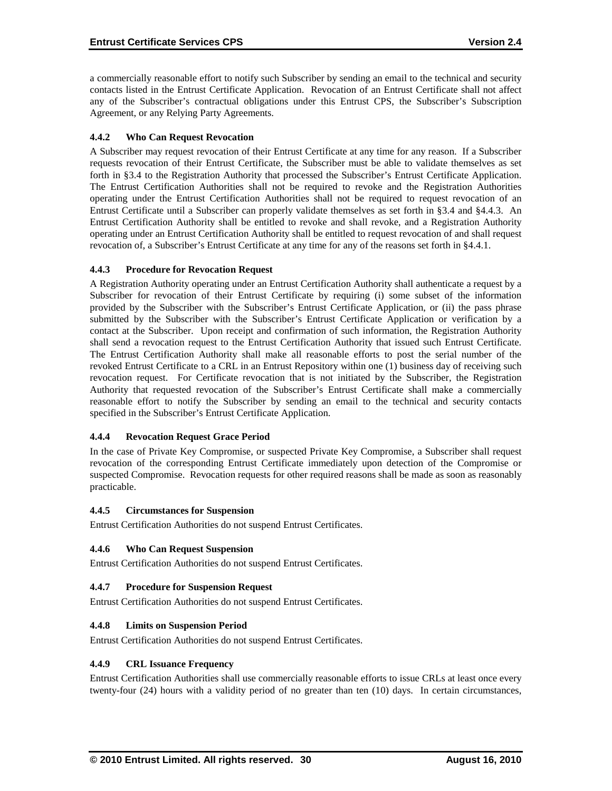a commercially reasonable effort to notify such Subscriber by sending an email to the technical and security contacts listed in the Entrust Certificate Application. Revocation of an Entrust Certificate shall not affect any of the Subscriber's contractual obligations under this Entrust CPS, the Subscriber's Subscription Agreement, or any Relying Party Agreements.

# **4.4.2 Who Can Request Revocation**

A Subscriber may request revocation of their Entrust Certificate at any time for any reason. If a Subscriber requests revocation of their Entrust Certificate, the Subscriber must be able to validate themselves as set forth in §3.4 to the Registration Authority that processed the Subscriber's Entrust Certificate Application. The Entrust Certification Authorities shall not be required to revoke and the Registration Authorities operating under the Entrust Certification Authorities shall not be required to request revocation of an Entrust Certificate until a Subscriber can properly validate themselves as set forth in §3.4 and §4.4.3. An Entrust Certification Authority shall be entitled to revoke and shall revoke, and a Registration Authority operating under an Entrust Certification Authority shall be entitled to request revocation of and shall request revocation of, a Subscriber's Entrust Certificate at any time for any of the reasons set forth in §4.4.1.

### **4.4.3 Procedure for Revocation Request**

A Registration Authority operating under an Entrust Certification Authority shall authenticate a request by a Subscriber for revocation of their Entrust Certificate by requiring (i) some subset of the information provided by the Subscriber with the Subscriber's Entrust Certificate Application, or (ii) the pass phrase submitted by the Subscriber with the Subscriber's Entrust Certificate Application or verification by a contact at the Subscriber. Upon receipt and confirmation of such information, the Registration Authority shall send a revocation request to the Entrust Certification Authority that issued such Entrust Certificate. The Entrust Certification Authority shall make all reasonable efforts to post the serial number of the revoked Entrust Certificate to a CRL in an Entrust Repository within one (1) business day of receiving such revocation request. For Certificate revocation that is not initiated by the Subscriber, the Registration Authority that requested revocation of the Subscriber's Entrust Certificate shall make a commercially reasonable effort to notify the Subscriber by sending an email to the technical and security contacts specified in the Subscriber's Entrust Certificate Application.

# **4.4.4 Revocation Request Grace Period**

In the case of Private Key Compromise, or suspected Private Key Compromise, a Subscriber shall request revocation of the corresponding Entrust Certificate immediately upon detection of the Compromise or suspected Compromise. Revocation requests for other required reasons shall be made as soon as reasonably practicable.

# **4.4.5 Circumstances for Suspension**

Entrust Certification Authorities do not suspend Entrust Certificates.

#### **4.4.6 Who Can Request Suspension**

Entrust Certification Authorities do not suspend Entrust Certificates.

#### **4.4.7 Procedure for Suspension Request**

Entrust Certification Authorities do not suspend Entrust Certificates.

#### **4.4.8 Limits on Suspension Period**

Entrust Certification Authorities do not suspend Entrust Certificates.

#### **4.4.9 CRL Issuance Frequency**

Entrust Certification Authorities shall use commercially reasonable efforts to issue CRLs at least once every twenty-four (24) hours with a validity period of no greater than ten (10) days. In certain circumstances,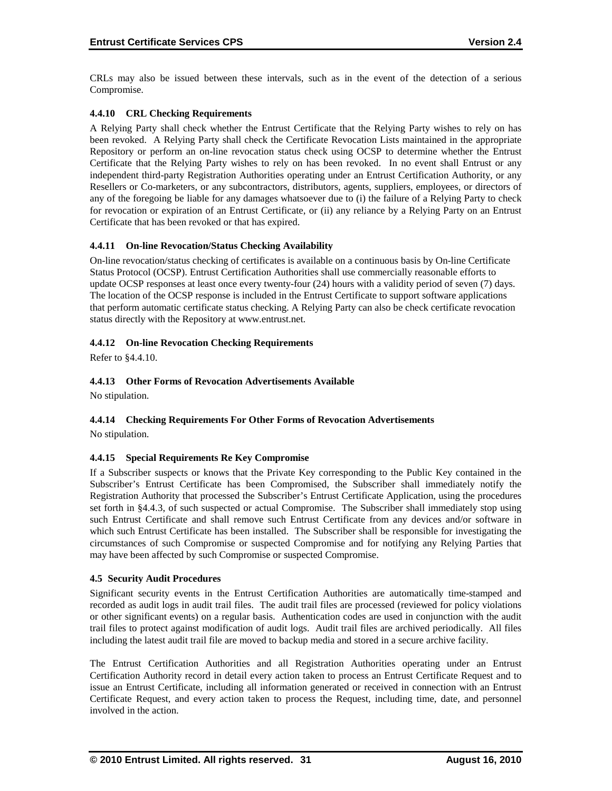CRLs may also be issued between these intervals, such as in the event of the detection of a serious Compromise.

# **4.4.10 CRL Checking Requirements**

A Relying Party shall check whether the Entrust Certificate that the Relying Party wishes to rely on has been revoked. A Relying Party shall check the Certificate Revocation Lists maintained in the appropriate Repository or perform an on-line revocation status check using OCSP to determine whether the Entrust Certificate that the Relying Party wishes to rely on has been revoked. In no event shall Entrust or any independent third-party Registration Authorities operating under an Entrust Certification Authority, or any Resellers or Co-marketers, or any subcontractors, distributors, agents, suppliers, employees, or directors of any of the foregoing be liable for any damages whatsoever due to (i) the failure of a Relying Party to check for revocation or expiration of an Entrust Certificate, or (ii) any reliance by a Relying Party on an Entrust Certificate that has been revoked or that has expired.

### **4.4.11 On-line Revocation/Status Checking Availability**

On-line revocation/status checking of certificates is available on a continuous basis by On-line Certificate Status Protocol (OCSP). Entrust Certification Authorities shall use commercially reasonable efforts to update OCSP responses at least once every twenty-four (24) hours with a validity period of seven (7) days. The location of the OCSP response is included in the Entrust Certificate to support software applications that perform automatic certificate status checking. A Relying Party can also be check certificate revocation status directly with the Repository at www.entrust.net.

### **4.4.12 On-line Revocation Checking Requirements**

Refer to §4.4.10.

# **4.4.13 Other Forms of Revocation Advertisements Available**

No stipulation.

# **4.4.14 Checking Requirements For Other Forms of Revocation Advertisements**

No stipulation.

# **4.4.15 Special Requirements Re Key Compromise**

If a Subscriber suspects or knows that the Private Key corresponding to the Public Key contained in the Subscriber's Entrust Certificate has been Compromised, the Subscriber shall immediately notify the Registration Authority that processed the Subscriber's Entrust Certificate Application, using the procedures set forth in §4.4.3, of such suspected or actual Compromise. The Subscriber shall immediately stop using such Entrust Certificate and shall remove such Entrust Certificate from any devices and/or software in which such Entrust Certificate has been installed. The Subscriber shall be responsible for investigating the circumstances of such Compromise or suspected Compromise and for notifying any Relying Parties that may have been affected by such Compromise or suspected Compromise.

#### **4.5 Security Audit Procedures**

Significant security events in the Entrust Certification Authorities are automatically time-stamped and recorded as audit logs in audit trail files. The audit trail files are processed (reviewed for policy violations or other significant events) on a regular basis. Authentication codes are used in conjunction with the audit trail files to protect against modification of audit logs. Audit trail files are archived periodically. All files including the latest audit trail file are moved to backup media and stored in a secure archive facility.

The Entrust Certification Authorities and all Registration Authorities operating under an Entrust Certification Authority record in detail every action taken to process an Entrust Certificate Request and to issue an Entrust Certificate, including all information generated or received in connection with an Entrust Certificate Request, and every action taken to process the Request, including time, date, and personnel involved in the action.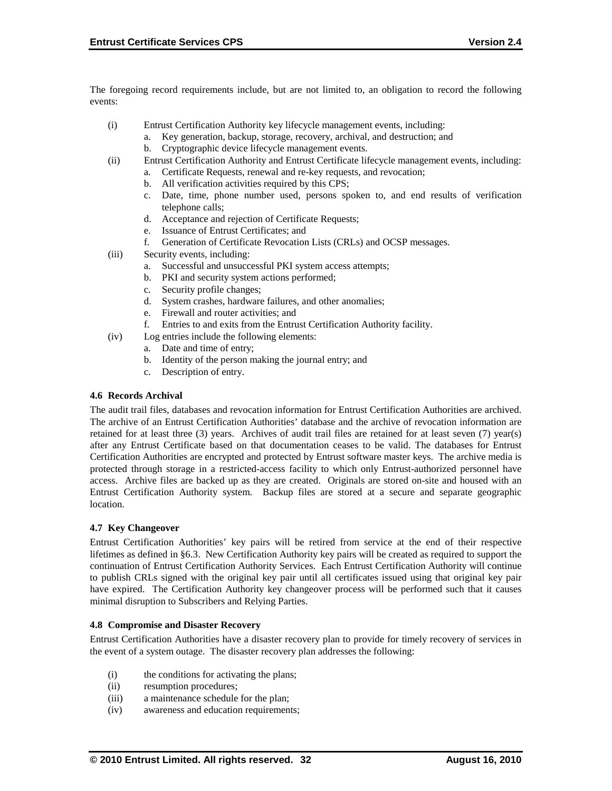The foregoing record requirements include, but are not limited to, an obligation to record the following events:

- (i) Entrust Certification Authority key lifecycle management events, including:
	- a. Key generation, backup, storage, recovery, archival, and destruction; and
	- b. Cryptographic device lifecycle management events.
- (ii) Entrust Certification Authority and Entrust Certificate lifecycle management events, including:
	- a. Certificate Requests, renewal and re-key requests, and revocation;
		- b. All verification activities required by this CPS;
	- c. Date, time, phone number used, persons spoken to, and end results of verification telephone calls;
	- d. Acceptance and rejection of Certificate Requests;
	- e. Issuance of Entrust Certificates; and
	- f. Generation of Certificate Revocation Lists (CRLs) and OCSP messages.
- (iii) Security events, including:
	- a. Successful and unsuccessful PKI system access attempts;
	- b. PKI and security system actions performed;
	- c. Security profile changes;
	- d. System crashes, hardware failures, and other anomalies;
	- e. Firewall and router activities; and
	- f. Entries to and exits from the Entrust Certification Authority facility.
- (iv) Log entries include the following elements:
	- a. Date and time of entry;
	- b. Identity of the person making the journal entry; and
	- c. Description of entry.

#### **4.6 Records Archival**

The audit trail files, databases and revocation information for Entrust Certification Authorities are archived. The archive of an Entrust Certification Authorities' database and the archive of revocation information are retained for at least three (3) years. Archives of audit trail files are retained for at least seven (7) year(s) after any Entrust Certificate based on that documentation ceases to be valid. The databases for Entrust Certification Authorities are encrypted and protected by Entrust software master keys. The archive media is protected through storage in a restricted-access facility to which only Entrust-authorized personnel have access. Archive files are backed up as they are created. Originals are stored on-site and housed with an Entrust Certification Authority system. Backup files are stored at a secure and separate geographic location.

#### **4.7 Key Changeover**

Entrust Certification Authorities' key pairs will be retired from service at the end of their respective lifetimes as defined in §6.3. New Certification Authority key pairs will be created as required to support the continuation of Entrust Certification Authority Services. Each Entrust Certification Authority will continue to publish CRLs signed with the original key pair until all certificates issued using that original key pair have expired. The Certification Authority key changeover process will be performed such that it causes minimal disruption to Subscribers and Relying Parties.

#### **4.8 Compromise and Disaster Recovery**

Entrust Certification Authorities have a disaster recovery plan to provide for timely recovery of services in the event of a system outage. The disaster recovery plan addresses the following:

- (i) the conditions for activating the plans;
- (ii) resumption procedures;
- (iii) a maintenance schedule for the plan;
- (iv) awareness and education requirements;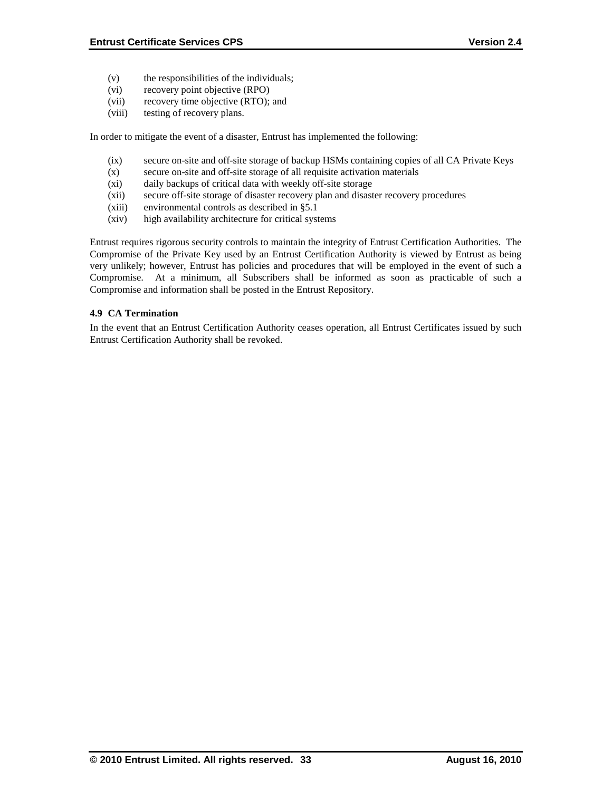- (v) the responsibilities of the individuals;
- (vi) recovery point objective (RPO)
- (vii) recovery time objective (RTO); and
- (viii) testing of recovery plans.

In order to mitigate the event of a disaster, Entrust has implemented the following:

- (ix) secure on-site and off-site storage of backup HSMs containing copies of all CA Private Keys
- (x) secure on-site and off-site storage of all requisite activation materials
- (xi) daily backups of critical data with weekly off-site storage
- (xii) secure off-site storage of disaster recovery plan and disaster recovery procedures
- (xiii) environmental controls as described in §5.1
- (xiv) high availability architecture for critical systems

Entrust requires rigorous security controls to maintain the integrity of Entrust Certification Authorities. The Compromise of the Private Key used by an Entrust Certification Authority is viewed by Entrust as being very unlikely; however, Entrust has policies and procedures that will be employed in the event of such a Compromise. At a minimum, all Subscribers shall be informed as soon as practicable of such a Compromise and information shall be posted in the Entrust Repository.

### **4.9 CA Termination**

In the event that an Entrust Certification Authority ceases operation, all Entrust Certificates issued by such Entrust Certification Authority shall be revoked.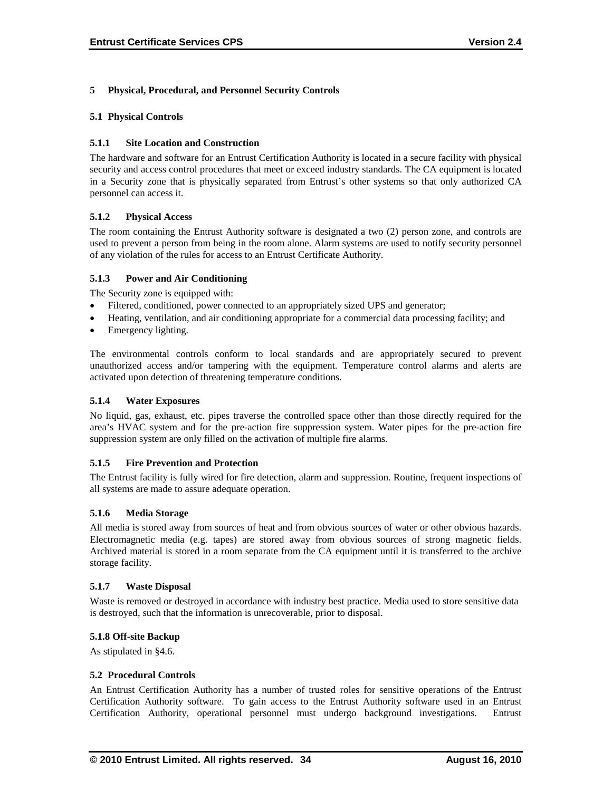#### **5 Physical, Procedural, and Personnel Security Controls**

#### **5.1 Physical Controls**

#### **5.1.1 Site Location and Construction**

The hardware and software for an Entrust Certification Authority is located in a secure facility with physical security and access control procedures that meet or exceed industry standards. The CA equipment is located in a Security zone that is physically separated from Entrust's other systems so that only authorized CA personnel can access it.

#### **5.1.2 Physical Access**

The room containing the Entrust Authority software is designated a two (2) person zone, and controls are used to prevent a person from being in the room alone. Alarm systems are used to notify security personnel of any violation of the rules for access to an Entrust Certificate Authority.

#### **5.1.3 Power and Air Conditioning**

The Security zone is equipped with:

- Filtered, conditioned, power connected to an appropriately sized UPS and generator;
- Heating, ventilation, and air conditioning appropriate for a commercial data processing facility; and
- Emergency lighting.

The environmental controls conform to local standards and are appropriately secured to prevent unauthorized access and/or tampering with the equipment. Temperature control alarms and alerts are activated upon detection of threatening temperature conditions.

#### **5.1.4 Water Exposures**

No liquid, gas, exhaust, etc. pipes traverse the controlled space other than those directly required for the area's HVAC system and for the pre-action fire suppression system. Water pipes for the pre-action fire suppression system are only filled on the activation of multiple fire alarms.

#### **5.1.5 Fire Prevention and Protection**

The Entrust facility is fully wired for fire detection, alarm and suppression. Routine, frequent inspections of all systems are made to assure adequate operation.

#### **5.1.6 Media Storage**

All media is stored away from sources of heat and from obvious sources of water or other obvious hazards. Electromagnetic media (e.g. tapes) are stored away from obvious sources of strong magnetic fields. Archived material is stored in a room separate from the CA equipment until it is transferred to the archive storage facility.

#### **5.1.7 Waste Disposal**

Waste is removed or destroyed in accordance with industry best practice. Media used to store sensitive data is destroyed, such that the information is unrecoverable, prior to disposal.

#### **5.1.8 Off-site Backup**

As stipulated in §4.6.

#### **5.2 Procedural Controls**

An Entrust Certification Authority has a number of trusted roles for sensitive operations of the Entrust Certification Authority software. To gain access to the Entrust Authority software used in an Entrust Certification Authority, operational personnel must undergo background investigations. Entrust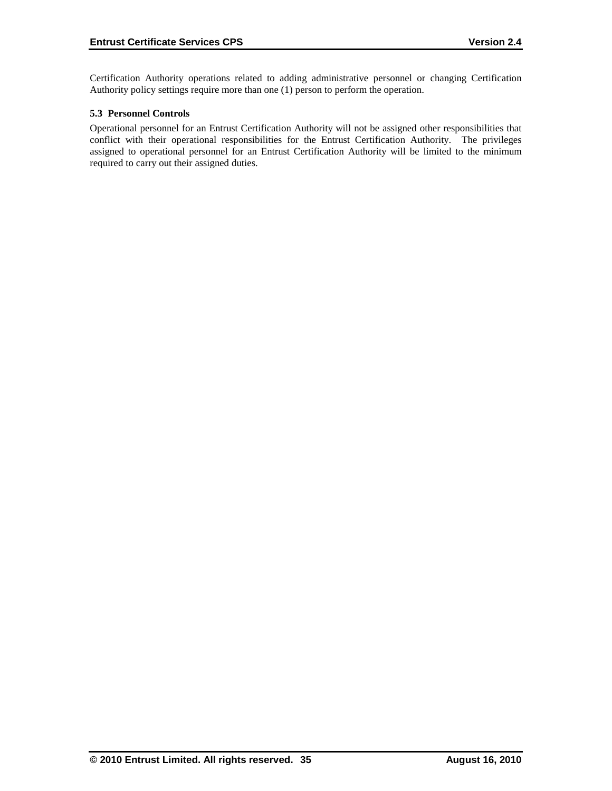Certification Authority operations related to adding administrative personnel or changing Certification Authority policy settings require more than one (1) person to perform the operation.

## **5.3 Personnel Controls**

Operational personnel for an Entrust Certification Authority will not be assigned other responsibilities that conflict with their operational responsibilities for the Entrust Certification Authority. The privileges assigned to operational personnel for an Entrust Certification Authority will be limited to the minimum required to carry out their assigned duties.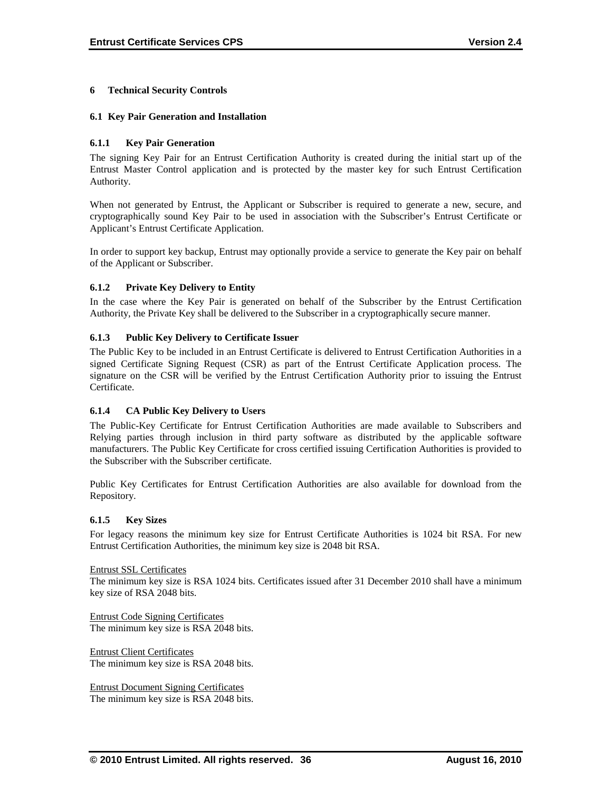#### **6 Technical Security Controls**

#### **6.1 Key Pair Generation and Installation**

#### **6.1.1 Key Pair Generation**

The signing Key Pair for an Entrust Certification Authority is created during the initial start up of the Entrust Master Control application and is protected by the master key for such Entrust Certification Authority.

When not generated by Entrust, the Applicant or Subscriber is required to generate a new, secure, and cryptographically sound Key Pair to be used in association with the Subscriber's Entrust Certificate or Applicant's Entrust Certificate Application.

In order to support key backup, Entrust may optionally provide a service to generate the Key pair on behalf of the Applicant or Subscriber.

#### **6.1.2 Private Key Delivery to Entity**

In the case where the Key Pair is generated on behalf of the Subscriber by the Entrust Certification Authority, the Private Key shall be delivered to the Subscriber in a cryptographically secure manner.

#### **6.1.3 Public Key Delivery to Certificate Issuer**

The Public Key to be included in an Entrust Certificate is delivered to Entrust Certification Authorities in a signed Certificate Signing Request (CSR) as part of the Entrust Certificate Application process. The signature on the CSR will be verified by the Entrust Certification Authority prior to issuing the Entrust Certificate.

#### **6.1.4 CA Public Key Delivery to Users**

The Public-Key Certificate for Entrust Certification Authorities are made available to Subscribers and Relying parties through inclusion in third party software as distributed by the applicable software manufacturers. The Public Key Certificate for cross certified issuing Certification Authorities is provided to the Subscriber with the Subscriber certificate.

Public Key Certificates for Entrust Certification Authorities are also available for download from the Repository.

#### **6.1.5 Key Sizes**

For legacy reasons the minimum key size for Entrust Certificate Authorities is 1024 bit RSA. For new Entrust Certification Authorities, the minimum key size is 2048 bit RSA.

#### Entrust SSL Certificates

The minimum key size is RSA 1024 bits. Certificates issued after 31 December 2010 shall have a minimum key size of RSA 2048 bits.

Entrust Code Signing Certificates The minimum key size is RSA 2048 bits.

Entrust Client Certificates The minimum key size is RSA 2048 bits.

Entrust Document Signing Certificates The minimum key size is RSA 2048 bits.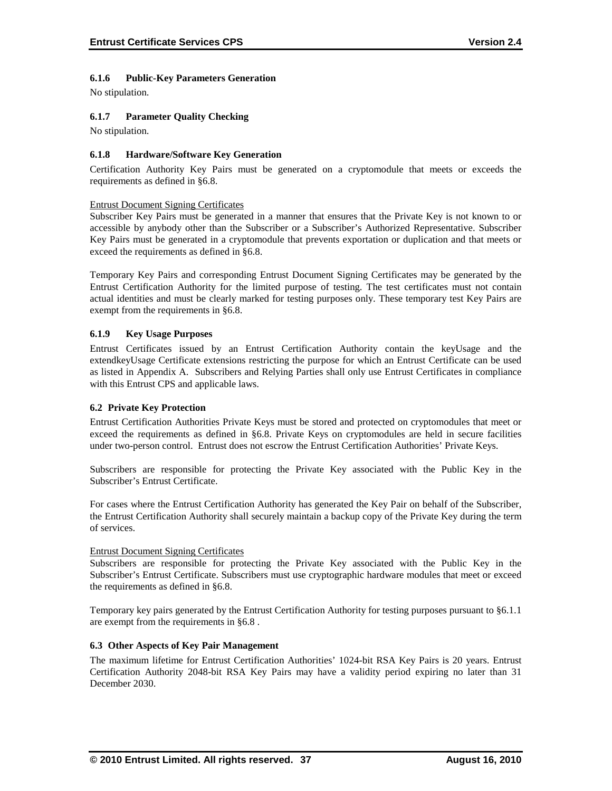#### **6.1.6 Public-Key Parameters Generation**

No stipulation.

#### **6.1.7 Parameter Quality Checking**

No stipulation.

#### **6.1.8 Hardware/Software Key Generation**

Certification Authority Key Pairs must be generated on a cryptomodule that meets or exceeds the requirements as defined in §6.8.

#### Entrust Document Signing Certificates

Subscriber Key Pairs must be generated in a manner that ensures that the Private Key is not known to or accessible by anybody other than the Subscriber or a Subscriber's Authorized Representative. Subscriber Key Pairs must be generated in a cryptomodule that prevents exportation or duplication and that meets or exceed the requirements as defined in §6.8.

Temporary Key Pairs and corresponding Entrust Document Signing Certificates may be generated by the Entrust Certification Authority for the limited purpose of testing. The test certificates must not contain actual identities and must be clearly marked for testing purposes only. These temporary test Key Pairs are exempt from the requirements in §6.8.

#### **6.1.9 Key Usage Purposes**

Entrust Certificates issued by an Entrust Certification Authority contain the keyUsage and the extendkeyUsage Certificate extensions restricting the purpose for which an Entrust Certificate can be used as listed in Appendix A. Subscribers and Relying Parties shall only use Entrust Certificates in compliance with this Entrust CPS and applicable laws.

#### **6.2 Private Key Protection**

Entrust Certification Authorities Private Keys must be stored and protected on cryptomodules that meet or exceed the requirements as defined in §6.8. Private Keys on cryptomodules are held in secure facilities under two-person control. Entrust does not escrow the Entrust Certification Authorities' Private Keys.

Subscribers are responsible for protecting the Private Key associated with the Public Key in the Subscriber's Entrust Certificate.

For cases where the Entrust Certification Authority has generated the Key Pair on behalf of the Subscriber, the Entrust Certification Authority shall securely maintain a backup copy of the Private Key during the term of services.

#### Entrust Document Signing Certificates

Subscribers are responsible for protecting the Private Key associated with the Public Key in the Subscriber's Entrust Certificate. Subscribers must use cryptographic hardware modules that meet or exceed the requirements as defined in §6.8.

Temporary key pairs generated by the Entrust Certification Authority for testing purposes pursuant to §6.1.1 are exempt from the requirements in §6.8 .

#### **6.3 Other Aspects of Key Pair Management**

The maximum lifetime for Entrust Certification Authorities' 1024-bit RSA Key Pairs is 20 years. Entrust Certification Authority 2048-bit RSA Key Pairs may have a validity period expiring no later than 31 December 2030.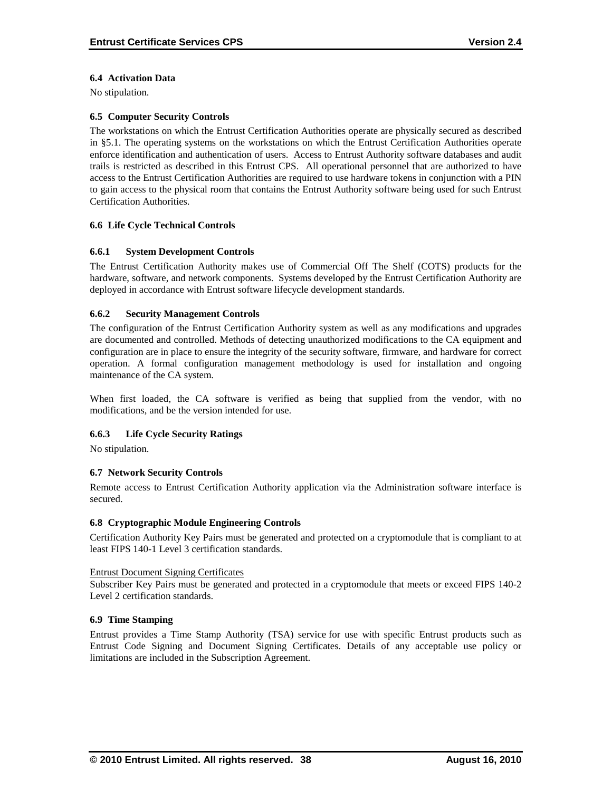#### **6.4 Activation Data**

No stipulation.

#### **6.5 Computer Security Controls**

The workstations on which the Entrust Certification Authorities operate are physically secured as described in §5.1. The operating systems on the workstations on which the Entrust Certification Authorities operate enforce identification and authentication of users. Access to Entrust Authority software databases and audit trails is restricted as described in this Entrust CPS. All operational personnel that are authorized to have access to the Entrust Certification Authorities are required to use hardware tokens in conjunction with a PIN to gain access to the physical room that contains the Entrust Authority software being used for such Entrust Certification Authorities.

#### **6.6 Life Cycle Technical Controls**

#### **6.6.1 System Development Controls**

The Entrust Certification Authority makes use of Commercial Off The Shelf (COTS) products for the hardware, software, and network components. Systems developed by the Entrust Certification Authority are deployed in accordance with Entrust software lifecycle development standards.

#### **6.6.2 Security Management Controls**

The configuration of the Entrust Certification Authority system as well as any modifications and upgrades are documented and controlled. Methods of detecting unauthorized modifications to the CA equipment and configuration are in place to ensure the integrity of the security software, firmware, and hardware for correct operation. A formal configuration management methodology is used for installation and ongoing maintenance of the CA system.

When first loaded, the CA software is verified as being that supplied from the vendor, with no modifications, and be the version intended for use.

#### **6.6.3 Life Cycle Security Ratings**

No stipulation.

#### **6.7 Network Security Controls**

Remote access to Entrust Certification Authority application via the Administration software interface is secured.

#### **6.8 Cryptographic Module Engineering Controls**

Certification Authority Key Pairs must be generated and protected on a cryptomodule that is compliant to at least FIPS 140-1 Level 3 certification standards.

#### Entrust Document Signing Certificates

Subscriber Key Pairs must be generated and protected in a cryptomodule that meets or exceed FIPS 140-2 Level 2 certification standards.

#### **6.9 Time Stamping**

Entrust provides a Time Stamp Authority (TSA) service for use with specific Entrust products such as Entrust Code Signing and Document Signing Certificates. Details of any acceptable use policy or limitations are included in the Subscription Agreement.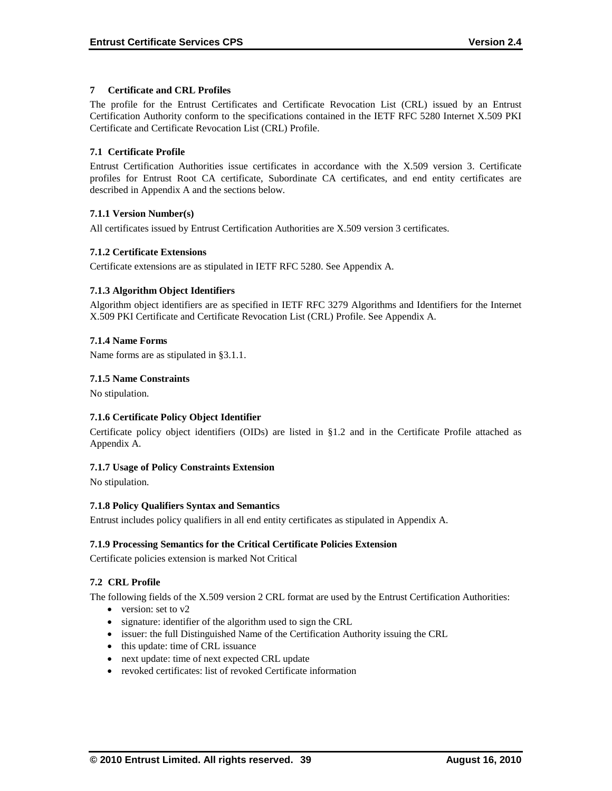#### **7 Certificate and CRL Profiles**

The profile for the Entrust Certificates and Certificate Revocation List (CRL) issued by an Entrust Certification Authority conform to the specifications contained in the IETF RFC 5280 Internet X.509 PKI Certificate and Certificate Revocation List (CRL) Profile.

### **7.1 Certificate Profile**

Entrust Certification Authorities issue certificates in accordance with the X.509 version 3. Certificate profiles for Entrust Root CA certificate, Subordinate CA certificates, and end entity certificates are described in Appendix A and the sections below.

### **7.1.1 Version Number(s)**

All certificates issued by Entrust Certification Authorities are X.509 version 3 certificates.

### **7.1.2 Certificate Extensions**

Certificate extensions are as stipulated in IETF RFC 5280. See Appendix A.

### **7.1.3 Algorithm Object Identifiers**

Algorithm object identifiers are as specified in IETF RFC 3279 Algorithms and Identifiers for the Internet X.509 PKI Certificate and Certificate Revocation List (CRL) Profile. See Appendix A.

### **7.1.4 Name Forms**

Name forms are as stipulated in §3.1.1.

### **7.1.5 Name Constraints**

No stipulation.

# **7.1.6 Certificate Policy Object Identifier**

Certificate policy object identifiers (OIDs) are listed in §1.2 and in the Certificate Profile attached as Appendix A.

# **7.1.7 Usage of Policy Constraints Extension**

No stipulation.

#### **7.1.8 Policy Qualifiers Syntax and Semantics**

Entrust includes policy qualifiers in all end entity certificates as stipulated in Appendix A.

# **7.1.9 Processing Semantics for the Critical Certificate Policies Extension**

Certificate policies extension is marked Not Critical

# **7.2 CRL Profile**

The following fields of the X.509 version 2 CRL format are used by the Entrust Certification Authorities:

- version: set to v2
- signature: identifier of the algorithm used to sign the CRL
- issuer: the full Distinguished Name of the Certification Authority issuing the CRL
- this update: time of CRL issuance
- next update: time of next expected CRL update
- revoked certificates: list of revoked Certificate information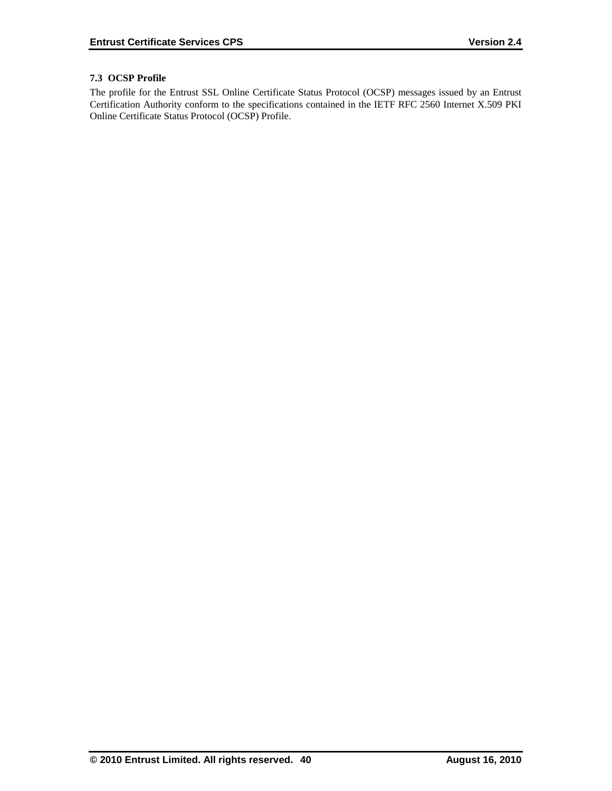# **7.3 OCSP Profile**

The profile for the Entrust SSL Online Certificate Status Protocol (OCSP) messages issued by an Entrust Certification Authority conform to the specifications contained in the IETF RFC 2560 Internet X.509 PKI Online Certificate Status Protocol (OCSP) Profile.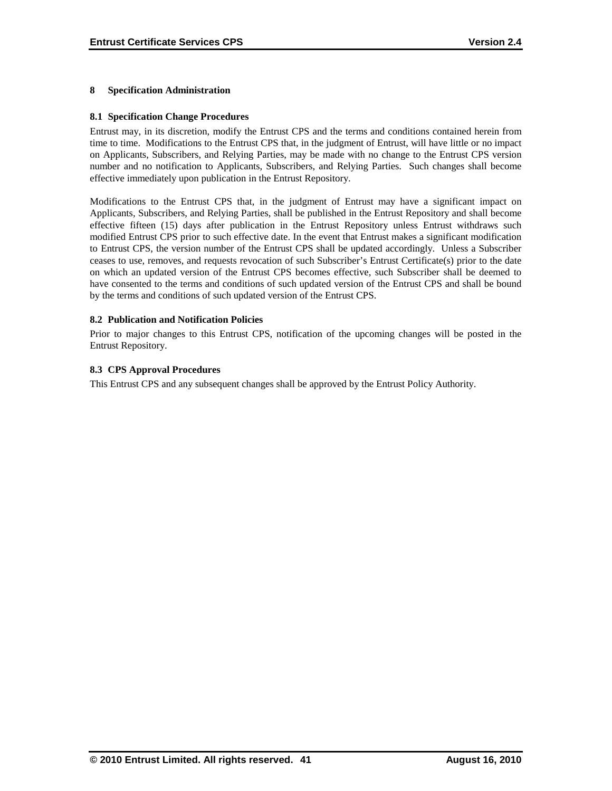## **8 Specification Administration**

#### **8.1 Specification Change Procedures**

Entrust may, in its discretion, modify the Entrust CPS and the terms and conditions contained herein from time to time. Modifications to the Entrust CPS that, in the judgment of Entrust, will have little or no impact on Applicants, Subscribers, and Relying Parties, may be made with no change to the Entrust CPS version number and no notification to Applicants, Subscribers, and Relying Parties. Such changes shall become effective immediately upon publication in the Entrust Repository.

Modifications to the Entrust CPS that, in the judgment of Entrust may have a significant impact on Applicants, Subscribers, and Relying Parties, shall be published in the Entrust Repository and shall become effective fifteen (15) days after publication in the Entrust Repository unless Entrust withdraws such modified Entrust CPS prior to such effective date. In the event that Entrust makes a significant modification to Entrust CPS, the version number of the Entrust CPS shall be updated accordingly. Unless a Subscriber ceases to use, removes, and requests revocation of such Subscriber's Entrust Certificate(s) prior to the date on which an updated version of the Entrust CPS becomes effective, such Subscriber shall be deemed to have consented to the terms and conditions of such updated version of the Entrust CPS and shall be bound by the terms and conditions of such updated version of the Entrust CPS.

### **8.2 Publication and Notification Policies**

Prior to major changes to this Entrust CPS, notification of the upcoming changes will be posted in the Entrust Repository.

### **8.3 CPS Approval Procedures**

This Entrust CPS and any subsequent changes shall be approved by the Entrust Policy Authority.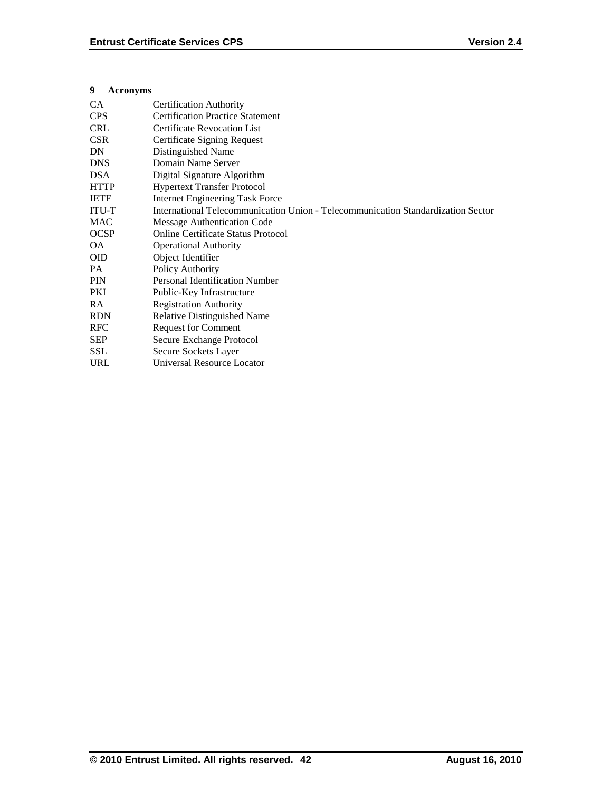### **9 Acronyms**

| CA           | <b>Certification Authority</b>                                                   |
|--------------|----------------------------------------------------------------------------------|
| <b>CPS</b>   | <b>Certification Practice Statement</b>                                          |
| <b>CRL</b>   | <b>Certificate Revocation List</b>                                               |
| <b>CSR</b>   | Certificate Signing Request                                                      |
| DN           | Distinguished Name                                                               |
| <b>DNS</b>   | Domain Name Server                                                               |
| <b>DSA</b>   | Digital Signature Algorithm                                                      |
| <b>HTTP</b>  | <b>Hypertext Transfer Protocol</b>                                               |
| <b>IETF</b>  | <b>Internet Engineering Task Force</b>                                           |
| <b>ITU-T</b> | International Telecommunication Union - Telecommunication Standardization Sector |
| <b>MAC</b>   | Message Authentication Code                                                      |
| <b>OCSP</b>  | <b>Online Certificate Status Protocol</b>                                        |
| <b>OA</b>    | <b>Operational Authority</b>                                                     |
| <b>OID</b>   | Object Identifier                                                                |
| PA           | Policy Authority                                                                 |
| PIN          | <b>Personal Identification Number</b>                                            |
| PKI          | Public-Key Infrastructure                                                        |
| RA           | <b>Registration Authority</b>                                                    |
| <b>RDN</b>   | <b>Relative Distinguished Name</b>                                               |
| <b>RFC</b>   | <b>Request for Comment</b>                                                       |
| <b>SEP</b>   | Secure Exchange Protocol                                                         |
| <b>SSL</b>   | Secure Sockets Layer                                                             |
| URL          | Universal Resource Locator                                                       |
|              |                                                                                  |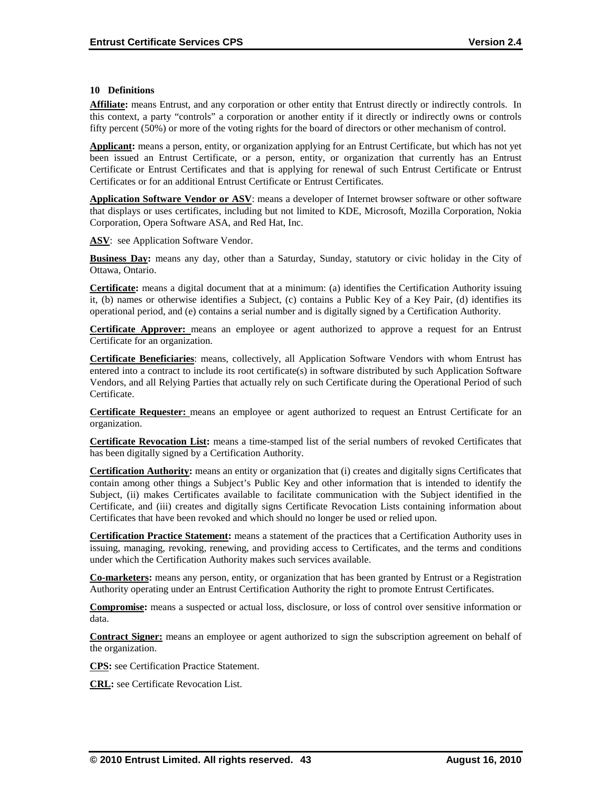#### **10 Definitions**

**Affiliate:** means Entrust, and any corporation or other entity that Entrust directly or indirectly controls. In this context, a party "controls" a corporation or another entity if it directly or indirectly owns or controls fifty percent (50%) or more of the voting rights for the board of directors or other mechanism of control.

**Applicant:** means a person, entity, or organization applying for an Entrust Certificate, but which has not yet been issued an Entrust Certificate, or a person, entity, or organization that currently has an Entrust Certificate or Entrust Certificates and that is applying for renewal of such Entrust Certificate or Entrust Certificates or for an additional Entrust Certificate or Entrust Certificates.

**Application Software Vendor or ASV**: means a developer of Internet browser software or other software that displays or uses certificates, including but not limited to KDE, Microsoft, Mozilla Corporation, Nokia Corporation, Opera Software ASA, and Red Hat, Inc.

**ASV**: see Application Software Vendor.

**Business Day:** means any day, other than a Saturday, Sunday, statutory or civic holiday in the City of Ottawa, Ontario.

**Certificate:** means a digital document that at a minimum: (a) identifies the Certification Authority issuing it, (b) names or otherwise identifies a Subject, (c) contains a Public Key of a Key Pair, (d) identifies its operational period, and (e) contains a serial number and is digitally signed by a Certification Authority.

**Certificate Approver:** means an employee or agent authorized to approve a request for an Entrust Certificate for an organization.

**Certificate Beneficiaries**: means, collectively, all Application Software Vendors with whom Entrust has entered into a contract to include its root certificate(s) in software distributed by such Application Software Vendors, and all Relying Parties that actually rely on such Certificate during the Operational Period of such Certificate.

**Certificate Requester:** means an employee or agent authorized to request an Entrust Certificate for an organization.

**Certificate Revocation List:** means a time-stamped list of the serial numbers of revoked Certificates that has been digitally signed by a Certification Authority.

**Certification Authority:** means an entity or organization that (i) creates and digitally signs Certificates that contain among other things a Subject's Public Key and other information that is intended to identify the Subject, (ii) makes Certificates available to facilitate communication with the Subject identified in the Certificate, and (iii) creates and digitally signs Certificate Revocation Lists containing information about Certificates that have been revoked and which should no longer be used or relied upon.

**Certification Practice Statement:** means a statement of the practices that a Certification Authority uses in issuing, managing, revoking, renewing, and providing access to Certificates, and the terms and conditions under which the Certification Authority makes such services available.

**Co-marketers:** means any person, entity, or organization that has been granted by Entrust or a Registration Authority operating under an Entrust Certification Authority the right to promote Entrust Certificates.

**Compromise:** means a suspected or actual loss, disclosure, or loss of control over sensitive information or data.

**Contract Signer:** means an employee or agent authorized to sign the subscription agreement on behalf of the organization.

**CPS:** see Certification Practice Statement.

**CRL:** see Certificate Revocation List.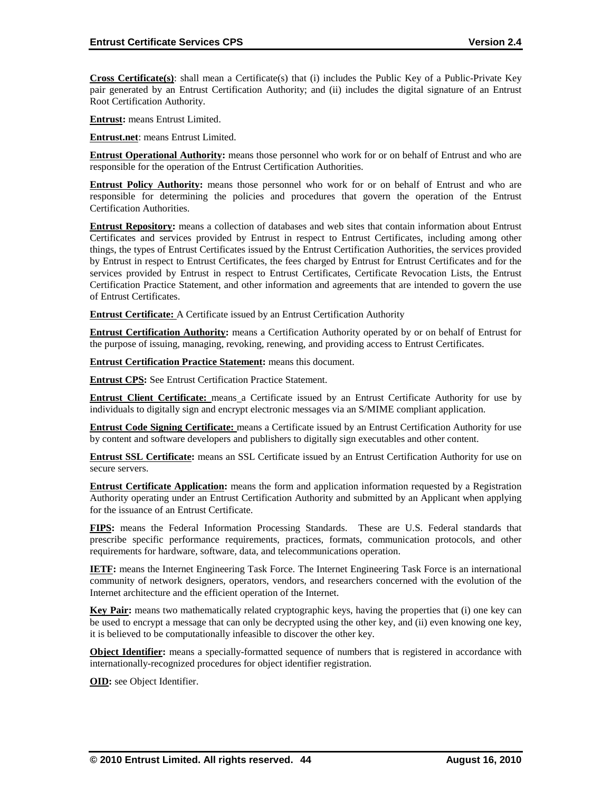**Cross Certificate(s)**: shall mean a Certificate(s) that (i) includes the Public Key of a Public-Private Key pair generated by an Entrust Certification Authority; and (ii) includes the digital signature of an Entrust Root Certification Authority.

**Entrust:** means Entrust Limited.

**Entrust.net**: means Entrust Limited.

**Entrust Operational Authority:** means those personnel who work for or on behalf of Entrust and who are responsible for the operation of the Entrust Certification Authorities.

**Entrust Policy Authority:** means those personnel who work for or on behalf of Entrust and who are responsible for determining the policies and procedures that govern the operation of the Entrust Certification Authorities.

**Entrust Repository:** means a collection of databases and web sites that contain information about Entrust Certificates and services provided by Entrust in respect to Entrust Certificates, including among other things, the types of Entrust Certificates issued by the Entrust Certification Authorities, the services provided by Entrust in respect to Entrust Certificates, the fees charged by Entrust for Entrust Certificates and for the services provided by Entrust in respect to Entrust Certificates, Certificate Revocation Lists, the Entrust Certification Practice Statement, and other information and agreements that are intended to govern the use of Entrust Certificates.

**Entrust Certificate:** A Certificate issued by an Entrust Certification Authority

**Entrust Certification Authority:** means a Certification Authority operated by or on behalf of Entrust for the purpose of issuing, managing, revoking, renewing, and providing access to Entrust Certificates.

**Entrust Certification Practice Statement:** means this document.

**Entrust CPS:** See Entrust Certification Practice Statement.

**Entrust Client Certificate:** means a Certificate issued by an Entrust Certificate Authority for use by individuals to digitally sign and encrypt electronic messages via an S/MIME compliant application.

**Entrust Code Signing Certificate:** means a Certificate issued by an Entrust Certification Authority for use by content and software developers and publishers to digitally sign executables and other content.

**Entrust SSL Certificate:** means an SSL Certificate issued by an Entrust Certification Authority for use on secure servers.

**Entrust Certificate Application:** means the form and application information requested by a Registration Authority operating under an Entrust Certification Authority and submitted by an Applicant when applying for the issuance of an Entrust Certificate.

**FIPS :** means the Federal Information Processing Standards. These are U.S. Federal standards that prescribe specific performance requirements, practices, formats, communication protocols, and other requirements for hardware, software, data, and telecommunications operation.

**IETF:** means the Internet Engineering Task Force. The Internet Engineering Task Force is an international community of network designers, operators, vendors, and researchers concerned with the evolution of the Internet architecture and the efficient operation of the Internet.

**Key Pair:** means two mathematically related cryptographic keys, having the properties that (i) one key can be used to encrypt a message that can only be decrypted using the other key, and (ii) even knowing one key, it is believed to be computationally infeasible to discover the other key.

**Object Identifier:** means a specially-formatted sequence of numbers that is registered in accordance with internationally-recognized procedures for object identifier registration.

**OID:** see Object Identifier.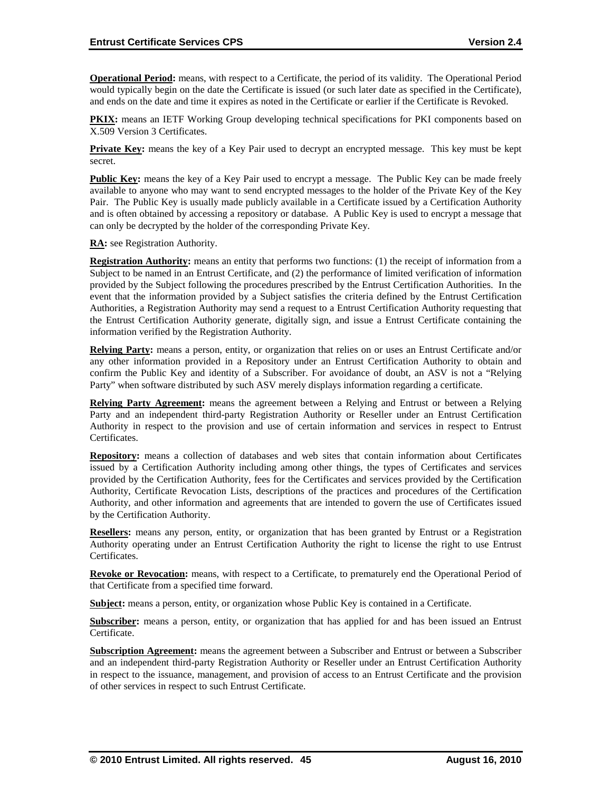**Operational Period:** means, with respect to a Certificate, the period of its validity. The Operational Period would typically begin on the date the Certificate is issued (or such later date as specified in the Certificate), and ends on the date and time it expires as noted in the Certificate or earlier if the Certificate is Revoked.

**PKIX:** means an IETF Working Group developing technical specifications for PKI components based on X.509 Version 3 Certificates.

**Private Key:** means the key of a Key Pair used to decrypt an encrypted message. This key must be kept secret.

**Public Key:** means the key of a Key Pair used to encrypt a message. The Public Key can be made freely available to anyone who may want to send encrypted messages to the holder of the Private Key of the Key Pair. The Public Key is usually made publicly available in a Certificate issued by a Certification Authority and is often obtained by accessing a repository or database. A Public Key is used to encrypt a message that can only be decrypted by the holder of the corresponding Private Key.

**RA:** see Registration Authority.

**Registration Authority:** means an entity that performs two functions: (1) the receipt of information from a Subject to be named in an Entrust Certificate, and (2) the performance of limited verification of information provided by the Subject following the procedures prescribed by the Entrust Certification Authorities. In the event that the information provided by a Subject satisfies the criteria defined by the Entrust Certification Authorities, a Registration Authority may send a request to a Entrust Certification Authority requesting that the Entrust Certification Authority generate, digitally sign, and issue a Entrust Certificate containing the information verified by the Registration Authority.

**Relying Party:** means a person, entity, or organization that relies on or uses an Entrust Certificate and/or any other information provided in a Repository under an Entrust Certification Authority to obtain and confirm the Public Key and identity of a Subscriber. For avoidance of doubt, an ASV is not a "Relying Party" when software distributed by such ASV merely displays information regarding a certificate.

**Relying Party Agreement:** means the agreement between a Relying and Entrust or between a Relying Party and an independent third-party Registration Authority or Reseller under an Entrust Certification Authority in respect to the provision and use of certain information and services in respect to Entrust Certificates.

**Repository:** means a collection of databases and web sites that contain information about Certificates issued by a Certification Authority including among other things, the types of Certificates and services provided by the Certification Authority, fees for the Certificates and services provided by the Certification Authority, Certificate Revocation Lists, descriptions of the practices and procedures of the Certification Authority, and other information and agreements that are intended to govern the use of Certificates issued by the Certification Authority.

**Resellers:** means any person, entity, or organization that has been granted by Entrust or a Registration Authority operating under an Entrust Certification Authority the right to license the right to use Entrust Certificates.

**Revoke or Revocation:** means, with respect to a Certificate, to prematurely end the Operational Period of that Certificate from a specified time forward.

**Subject:** means a person, entity, or organization whose Public Key is contained in a Certificate.

**Subscriber:** means a person, entity, or organization that has applied for and has been issued an Entrust Certificate.

**Subscription Agreement:** means the agreement between a Subscriber and Entrust or between a Subscriber and an independent third-party Registration Authority or Reseller under an Entrust Certification Authority in respect to the issuance, management, and provision of access to an Entrust Certificate and the provision of other services in respect to such Entrust Certificate.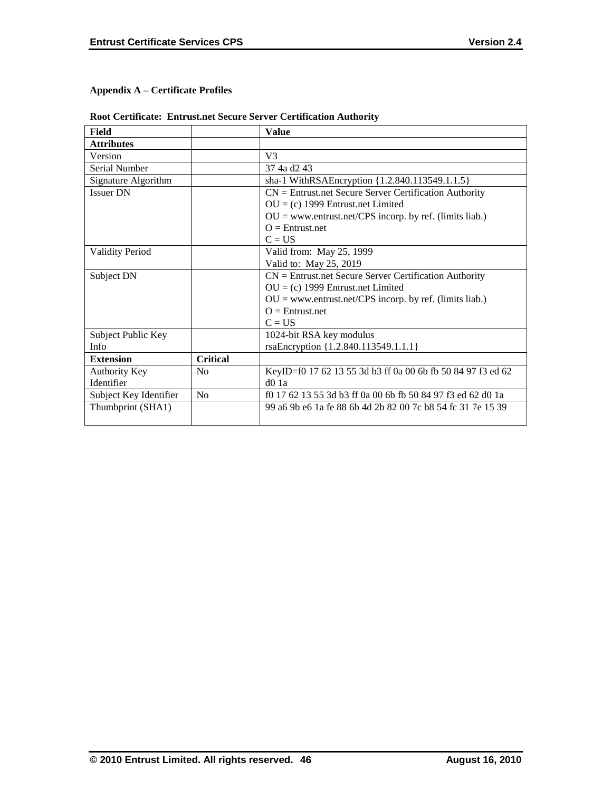# **Appendix A – Certificate Profiles**

|  |  |  | <b>Root Certificate: Entrust.net Secure Server Certification Authority</b> |
|--|--|--|----------------------------------------------------------------------------|
|--|--|--|----------------------------------------------------------------------------|

| Field                  |                 | <b>Value</b>                                                |
|------------------------|-----------------|-------------------------------------------------------------|
| <b>Attributes</b>      |                 |                                                             |
| Version                |                 | V <sub>3</sub>                                              |
| Serial Number          |                 | 37 4a d2 43                                                 |
| Signature Algorithm    |                 | sha-1 WithRSAEncryption {1.2.840.113549.1.1.5}              |
| <b>Issuer DN</b>       |                 | $CN =$ Entrust.net Secure Server Certification Authority    |
|                        |                 | $OU = (c)$ 1999 Entrust.net Limited                         |
|                        |                 | $OU = www.entrust.net/CPS incorp. by ref. (limits liab.)$   |
|                        |                 | $Q =$ Entrust.net                                           |
|                        |                 | $C = US$                                                    |
| <b>Validity Period</b> |                 | Valid from: May 25, 1999                                    |
|                        |                 | Valid to: May 25, 2019                                      |
| Subject DN             |                 | $CN =$ Entrust.net Secure Server Certification Authority    |
|                        |                 | $OU = (c)$ 1999 Entrust.net Limited                         |
|                        |                 | $OU = www.entrust.net/CPS incorp. by ref. (limits liab.)$   |
|                        |                 | $Q =$ Entrust.net                                           |
|                        |                 | $C = US$                                                    |
| Subject Public Key     |                 | 1024-bit RSA key modulus                                    |
| Info                   |                 | rsaEncryption {1.2.840.113549.1.1.1}                        |
| <b>Extension</b>       | <b>Critical</b> |                                                             |
| Authority Key          | N <sub>0</sub>  | KeyID=f0 17 62 13 55 3d b3 ff 0a 00 6b fb 50 84 97 f3 ed 62 |
| Identifier             |                 | $d0$ 1a                                                     |
| Subject Key Identifier | No              | f0 17 62 13 55 3d b3 ff 0a 00 6b fb 50 84 97 f3 ed 62 d0 1a |
| Thumbprint (SHA1)      |                 | 99 a6 9b e6 1a fe 88 6b 4d 2b 82 00 7c b8 54 fc 31 7e 15 39 |
|                        |                 |                                                             |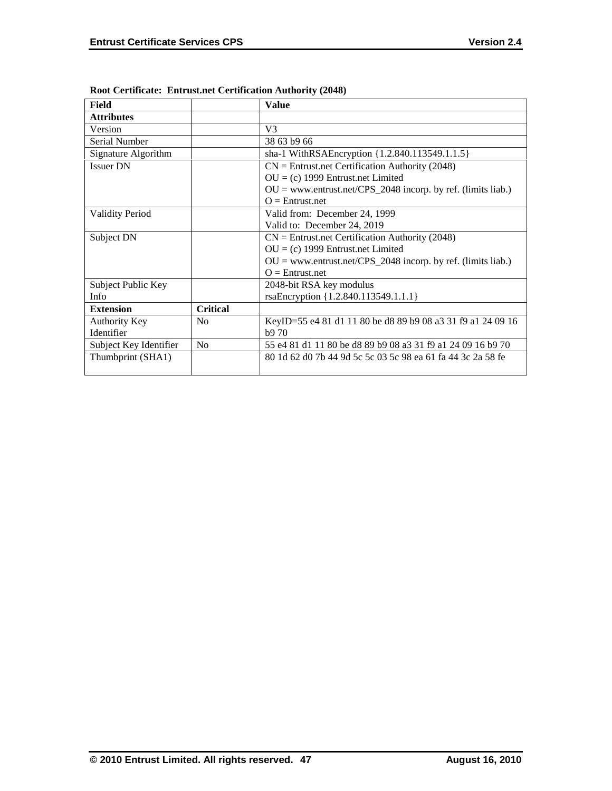| Field                  |                 | <b>Value</b>                                                   |
|------------------------|-----------------|----------------------------------------------------------------|
| <b>Attributes</b>      |                 |                                                                |
| Version                |                 | V <sub>3</sub>                                                 |
| Serial Number          |                 | 38 63 b9 66                                                    |
| Signature Algorithm    |                 | sha-1 WithRSAEncryption {1.2.840.113549.1.1.5}                 |
| <b>Issuer DN</b>       |                 | $CN =$ Entrust.net Certification Authority (2048)              |
|                        |                 | $OU = (c)$ 1999 Entrust.net Limited                            |
|                        |                 | $OU = www.entrust.net/CPS_2048 incorp. by ref. (limits liab.)$ |
|                        |                 | $Q =$ Entrust.net                                              |
| <b>Validity Period</b> |                 | Valid from: December 24, 1999                                  |
|                        |                 | Valid to: December 24, 2019                                    |
| Subject DN             |                 | $CN =$ Entrust.net Certification Authority (2048)              |
|                        |                 | $OU = (c)$ 1999 Entrust.net Limited                            |
|                        |                 | $OU = www.entrust.net/CPS_2048 incorp. by ref. (limits liab.)$ |
|                        |                 | $Q =$ Entrust.net                                              |
| Subject Public Key     |                 | 2048-bit RSA key modulus                                       |
| Info                   |                 | rsaEncryption {1.2.840.113549.1.1.1}                           |
| <b>Extension</b>       | <b>Critical</b> |                                                                |
| Authority Key          | N <sub>0</sub>  | KeyID=55 e4 81 d1 11 80 be d8 89 b9 08 a3 31 f9 a1 24 09 16    |
| Identifier             |                 | b970                                                           |
| Subject Key Identifier | N <sub>o</sub>  | 55 e4 81 d1 11 80 be d8 89 b9 08 a3 31 f9 a1 24 09 16 b9 70    |
| Thumbprint (SHA1)      |                 | 80 1d 62 d0 7b 44 9d 5c 5c 03 5c 98 ea 61 fa 44 3c 2a 58 fe    |
|                        |                 |                                                                |

**Root Certificate: Entrust.net Certification Authority (2048)**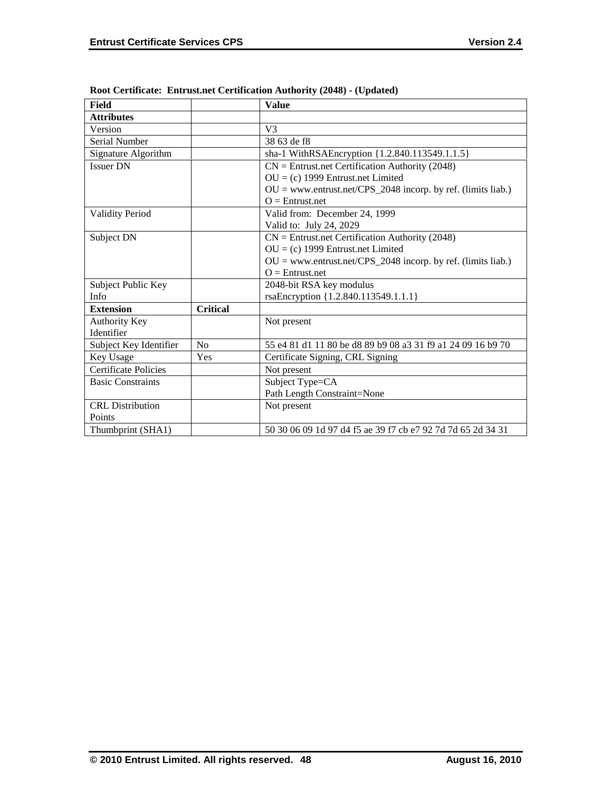| <b>Field</b>                |                 | <b>Value</b>                                                   |
|-----------------------------|-----------------|----------------------------------------------------------------|
| <b>Attributes</b>           |                 |                                                                |
| Version                     |                 | V <sub>3</sub>                                                 |
| <b>Serial Number</b>        |                 | 38.63 de f8                                                    |
| Signature Algorithm         |                 | sha-1 WithRSAEncryption {1.2.840.113549.1.1.5}                 |
| <b>Issuer DN</b>            |                 | $CN =$ Entrust.net Certification Authority (2048)              |
|                             |                 | $OU = (c)$ 1999 Entrust.net Limited                            |
|                             |                 | $OU =$ www.entrust.net/CPS_2048 incorp. by ref. (limits liab.) |
|                             |                 | $O =$ Entrust.net                                              |
| <b>Validity Period</b>      |                 | Valid from: December 24, 1999                                  |
|                             |                 | Valid to: July 24, 2029                                        |
| Subject DN                  |                 | $CN =$ Entrust.net Certification Authority (2048)              |
|                             |                 | $OU = (c)$ 1999 Entrust.net Limited                            |
|                             |                 | $OU = www.entrust.net/CPS_2048 incorp. by ref. (limits liab.)$ |
|                             |                 | $O =$ Entrust.net                                              |
| Subject Public Key          |                 | 2048-bit RSA key modulus                                       |
| Info                        |                 | rsaEncryption {1.2.840.113549.1.1.1}                           |
| <b>Extension</b>            | <b>Critical</b> |                                                                |
| Authority Key               |                 | Not present                                                    |
| Identifier                  |                 |                                                                |
| Subject Key Identifier      | No              | 55 e4 81 d1 11 80 be d8 89 b9 08 a3 31 f9 a1 24 09 16 b9 70    |
| Key Usage                   | Yes             | Certificate Signing, CRL Signing                               |
| <b>Certificate Policies</b> |                 | Not present                                                    |
| <b>Basic Constraints</b>    |                 | Subject Type=CA                                                |
|                             |                 | Path Length Constraint=None                                    |
| <b>CRL</b> Distribution     |                 | Not present                                                    |
| Points                      |                 |                                                                |
| Thumbprint (SHA1)           |                 | 50 30 06 09 1d 97 d4 f5 ae 39 f7 cb e7 92 7d 7d 65 2d 34 31    |

**Root Certificate: Entrust.net Certification Authority (2048) - (Updated)**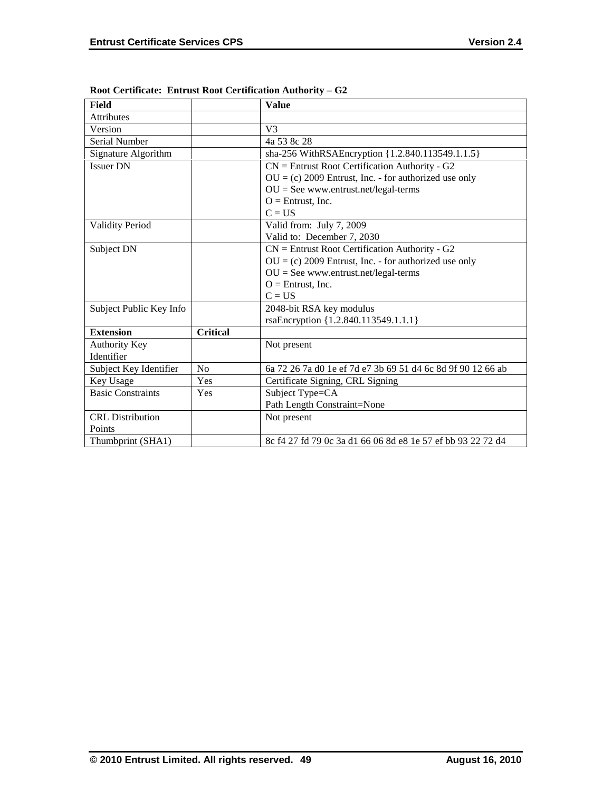| Field                    |                 | <b>Value</b>                                                |
|--------------------------|-----------------|-------------------------------------------------------------|
| <b>Attributes</b>        |                 |                                                             |
| Version                  |                 | V <sub>3</sub>                                              |
| Serial Number            |                 | 4a 53 8c 28                                                 |
| Signature Algorithm      |                 | sha-256 WithRSAEncryption {1.2.840.113549.1.1.5}            |
| <b>Issuer DN</b>         |                 | $CN =$ Entrust Root Certification Authority - G2            |
|                          |                 | $OU = (c) 2009$ Entrust, Inc. - for authorized use only     |
|                          |                 | $OU = See$ www.entrust.net/legal-terms                      |
|                          |                 | $O =$ Entrust, Inc.                                         |
|                          |                 | $C = US$                                                    |
| <b>Validity Period</b>   |                 | Valid from: July 7, 2009                                    |
|                          |                 | Valid to: December 7, 2030                                  |
| Subject DN               |                 | $CN =$ Entrust Root Certification Authority - G2            |
|                          |                 | $OU = (c) 2009$ Entrust, Inc. - for authorized use only     |
|                          |                 | $OU = See$ www.entrust.net/legal-terms                      |
|                          |                 | $O =$ Entrust, Inc.                                         |
|                          |                 | $C = US$                                                    |
| Subject Public Key Info  |                 | 2048-bit RSA key modulus                                    |
|                          |                 | rsaEncryption {1.2.840.113549.1.1.1}                        |
| <b>Extension</b>         | <b>Critical</b> |                                                             |
| <b>Authority Key</b>     |                 | Not present                                                 |
| Identifier               |                 |                                                             |
| Subject Key Identifier   | N <sub>o</sub>  | 6a 72 26 7a d0 1e ef 7d e7 3b 69 51 d4 6c 8d 9f 90 12 66 ab |
| Key Usage                | Yes             | Certificate Signing, CRL Signing                            |
| <b>Basic Constraints</b> | Yes             | Subject Type=CA                                             |
|                          |                 | Path Length Constraint=None                                 |
| <b>CRL</b> Distribution  |                 | Not present                                                 |
| Points                   |                 |                                                             |
| Thumbprint (SHA1)        |                 | 8c f4 27 fd 79 0c 3a d1 66 06 8d e8 1e 57 ef bb 93 22 72 d4 |

**Root Certificate: Entrust Root Certification Authority – G2**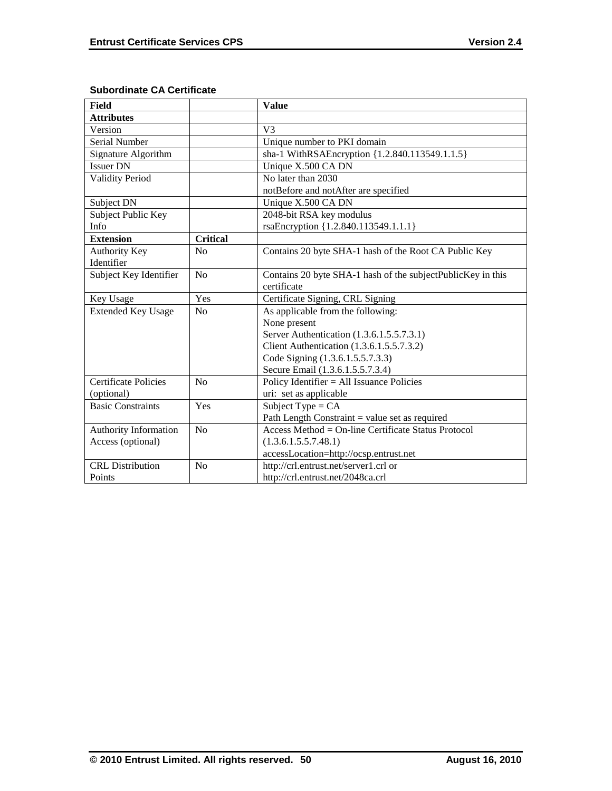| <b>Field</b>                |                 | <b>Value</b>                                                |
|-----------------------------|-----------------|-------------------------------------------------------------|
| <b>Attributes</b>           |                 |                                                             |
| Version                     |                 | V <sub>3</sub>                                              |
| Serial Number               |                 | Unique number to PKI domain                                 |
| Signature Algorithm         |                 | sha-1 WithRSAEncryption {1.2.840.113549.1.1.5}              |
| <b>Issuer DN</b>            |                 | Unique X.500 CA DN                                          |
| <b>Validity Period</b>      |                 | No later than 2030                                          |
|                             |                 | notBefore and notAfter are specified                        |
| Subject DN                  |                 | Unique X.500 CA DN                                          |
| Subject Public Key          |                 | 2048-bit RSA key modulus                                    |
| Info                        |                 | rsaEncryption {1.2.840.113549.1.1.1}                        |
| <b>Extension</b>            | <b>Critical</b> |                                                             |
| Authority Key               | N <sub>0</sub>  | Contains 20 byte SHA-1 hash of the Root CA Public Key       |
| Identifier                  |                 |                                                             |
| Subject Key Identifier      | No              | Contains 20 byte SHA-1 hash of the subjectPublicKey in this |
|                             |                 | certificate                                                 |
| Key Usage                   | Yes             | Certificate Signing, CRL Signing                            |
| <b>Extended Key Usage</b>   | No              | As applicable from the following:                           |
|                             |                 | None present                                                |
|                             |                 | Server Authentication (1.3.6.1.5.5.7.3.1)                   |
|                             |                 | Client Authentication (1.3.6.1.5.5.7.3.2)                   |
|                             |                 | Code Signing (1.3.6.1.5.5.7.3.3)                            |
|                             |                 | Secure Email (1.3.6.1.5.5.7.3.4)                            |
| <b>Certificate Policies</b> | No              | Policy Identifier = All Issuance Policies                   |
| (optional)                  |                 | uri: set as applicable                                      |
| <b>Basic Constraints</b>    | Yes             | Subject Type = $CA$                                         |
|                             |                 | Path Length Constraint $=$ value set as required            |
| Authority Information       | No              | Access Method = On-line Certificate Status Protocol         |
| Access (optional)           |                 | (1.3.6.1.5.5.7.48.1)                                        |
|                             |                 | accessLocation=http://ocsp.entrust.net                      |
| <b>CRL</b> Distribution     | No              | http://crl.entrust.net/server1.crl or                       |
| Points                      |                 | http://crl.entrust.net/2048ca.crl                           |

# **Subordinate CA Certificate**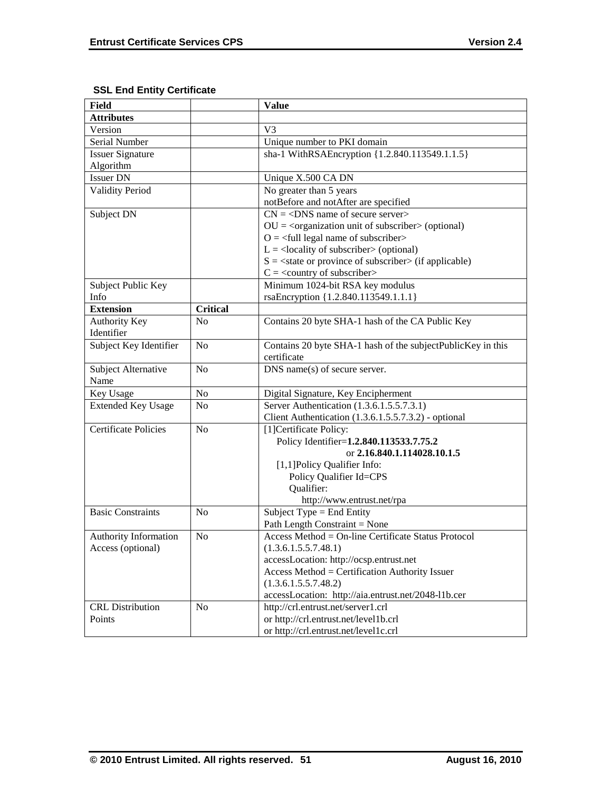# **SSL End Entity Certificate**

| <b>Field</b>                |                 | <b>Value</b>                                                   |
|-----------------------------|-----------------|----------------------------------------------------------------|
| <b>Attributes</b>           |                 |                                                                |
| Version                     |                 | V <sub>3</sub>                                                 |
| Serial Number               |                 | Unique number to PKI domain                                    |
| <b>Issuer Signature</b>     |                 | sha-1 WithRSAEncryption {1.2.840.113549.1.1.5}                 |
| Algorithm                   |                 |                                                                |
| <b>Issuer DN</b>            |                 | Unique X.500 CA DN                                             |
| <b>Validity Period</b>      |                 | No greater than 5 years                                        |
|                             |                 | notBefore and notAfter are specified                           |
| Subject DN                  |                 | $CN = <$ DNS name of secure server>                            |
|                             |                 | $OU = corganization unit of subscripter > (optional)$          |
|                             |                 | $Q = \text{full legal name of subscriber}$                     |
|                             |                 | $L =$ <locality of="" subscriber=""> (optional)</locality>     |
|                             |                 | $S = \text{state}$ or province of subscriber > (if applicable) |
|                             |                 | $C = \langle$ country of subscriber>                           |
| Subject Public Key          |                 | Minimum 1024-bit RSA key modulus                               |
| Info                        |                 | rsaEncryption {1.2.840.113549.1.1.1}                           |
| <b>Extension</b>            | <b>Critical</b> |                                                                |
| <b>Authority Key</b>        | N <sub>0</sub>  | Contains 20 byte SHA-1 hash of the CA Public Key               |
| Identifier                  |                 |                                                                |
| Subject Key Identifier      | N <sub>o</sub>  | Contains 20 byte SHA-1 hash of the subjectPublicKey in this    |
|                             |                 | certificate                                                    |
| Subject Alternative         | No              | DNS name(s) of secure server.                                  |
| Name                        |                 |                                                                |
| Key Usage                   | No              | Digital Signature, Key Encipherment                            |
| <b>Extended Key Usage</b>   | N <sub>0</sub>  | Server Authentication (1.3.6.1.5.5.7.3.1)                      |
|                             |                 | Client Authentication (1.3.6.1.5.5.7.3.2) - optional           |
| <b>Certificate Policies</b> | N <sub>0</sub>  | [1] Certificate Policy:                                        |
|                             |                 | Policy Identifier=1.2.840.113533.7.75.2                        |
|                             |                 | or 2.16.840.1.114028.10.1.5                                    |
|                             |                 | [1,1] Policy Qualifier Info:                                   |
|                             |                 | Policy Qualifier Id=CPS                                        |
|                             |                 | Qualifier:                                                     |
|                             |                 | http://www.entrust.net/rpa                                     |
| <b>Basic Constraints</b>    | N <sub>0</sub>  | Subject Type = End Entity                                      |
|                             |                 | Path Length Constraint = None                                  |
| Authority Information       | N <sub>o</sub>  | Access Method = On-line Certificate Status Protocol            |
| Access (optional)           |                 | (1.3.6.1.5.5.7.48.1)                                           |
|                             |                 | accessLocation: http://ocsp.entrust.net                        |
|                             |                 | Access Method = Certification Authority Issuer                 |
|                             |                 | (1.3.6.1.5.5.7.48.2)                                           |
|                             |                 | accessLocation: http://aia.entrust.net/2048-11b.cer            |
| <b>CRL</b> Distribution     | N <sub>o</sub>  | http://crl.entrust.net/server1.crl                             |
| Points                      |                 | or http://crl.entrust.net/level1b.crl                          |
|                             |                 | or http://crl.entrust.net/level1c.crl                          |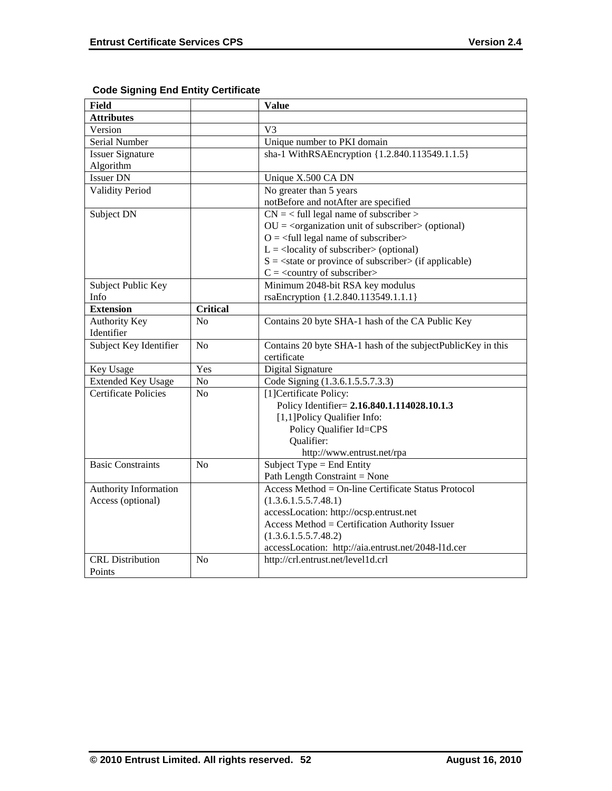| <b>Field</b>                |                 | <b>Value</b>                                                   |
|-----------------------------|-----------------|----------------------------------------------------------------|
| <b>Attributes</b>           |                 |                                                                |
| Version                     |                 | V <sub>3</sub>                                                 |
| Serial Number               |                 | Unique number to PKI domain                                    |
| <b>Issuer Signature</b>     |                 | sha-1 WithRSAEncryption {1.2.840.113549.1.1.5}                 |
| Algorithm                   |                 |                                                                |
| <b>Issuer DN</b>            |                 | Unique X.500 CA DN                                             |
| Validity Period             |                 | No greater than 5 years                                        |
|                             |                 | notBefore and notAfter are specified                           |
| Subject DN                  |                 | $CN =$ < full legal name of subscriber >                       |
|                             |                 | $OU = coganization unit of subscripter > (optional)$           |
|                             |                 | $Q = \text{full legal name of subscriber}$                     |
|                             |                 | $L =$ <locality of="" subscriber=""> (optional)</locality>     |
|                             |                 | $S = \text{state}$ or province of subscriber > (if applicable) |
|                             |                 | $C = \langle$ country of subscriber>                           |
| Subject Public Key          |                 | Minimum 2048-bit RSA key modulus                               |
| Info                        |                 | rsaEncryption {1.2.840.113549.1.1.1}                           |
| <b>Extension</b>            | <b>Critical</b> |                                                                |
| <b>Authority Key</b>        | N <sub>o</sub>  | Contains 20 byte SHA-1 hash of the CA Public Key               |
| Identifier                  |                 |                                                                |
| Subject Key Identifier      | N <sub>o</sub>  | Contains 20 byte SHA-1 hash of the subjectPublicKey in this    |
|                             |                 | certificate                                                    |
| Key Usage                   | Yes             | Digital Signature                                              |
| <b>Extended Key Usage</b>   | No              | Code Signing (1.3.6.1.5.5.7.3.3)                               |
| <b>Certificate Policies</b> | N <sub>o</sub>  | [1] Certificate Policy:                                        |
|                             |                 | Policy Identifier= 2.16.840.1.114028.10.1.3                    |
|                             |                 | [1,1]Policy Qualifier Info:                                    |
|                             |                 | Policy Qualifier Id=CPS                                        |
|                             |                 | Qualifier:                                                     |
|                             |                 | http://www.entrust.net/rpa                                     |
| <b>Basic Constraints</b>    | No              | Subject Type = End Entity                                      |
|                             |                 | Path Length Constraint = None                                  |
| Authority Information       |                 | Access Method = On-line Certificate Status Protocol            |
| Access (optional)           |                 | (1.3.6.1.5.5.7.48.1)                                           |
|                             |                 | accessLocation: http://ocsp.entrust.net                        |
|                             |                 | Access Method = Certification Authority Issuer                 |
|                             |                 | (1.3.6.1.5.5.7.48.2)                                           |
|                             |                 | accessLocation: http://aia.entrust.net/2048-11d.cer            |
| <b>CRL</b> Distribution     | N <sub>0</sub>  | http://crl.entrust.net/level1d.crl                             |
| Points                      |                 |                                                                |

# **Code Signing End Entity Certificate**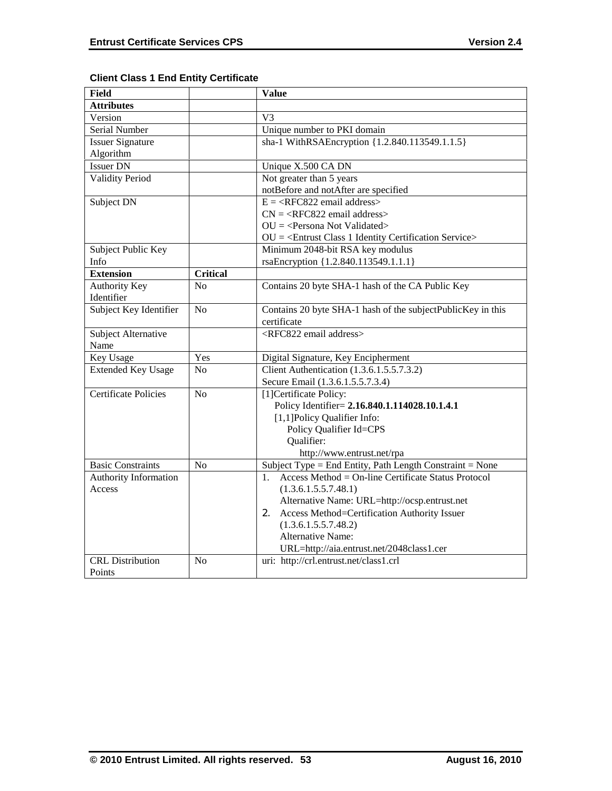| <b>Field</b>                |                 | <b>Value</b>                                                      |
|-----------------------------|-----------------|-------------------------------------------------------------------|
| <b>Attributes</b>           |                 |                                                                   |
| Version                     |                 | V <sub>3</sub>                                                    |
| <b>Serial Number</b>        |                 | Unique number to PKI domain                                       |
| <b>Issuer Signature</b>     |                 | sha-1 WithRSAEncryption {1.2.840.113549.1.1.5}                    |
| Algorithm                   |                 |                                                                   |
| <b>Issuer DN</b>            |                 | Unique X.500 CA DN                                                |
| <b>Validity Period</b>      |                 | Not greater than 5 years                                          |
|                             |                 | notBefore and notAfter are specified                              |
| Subject DN                  |                 | $E = \langle RFC822 \text{ email address} \rangle$                |
|                             |                 | $CN =  email address>$                                            |
|                             |                 | $OU = Persona Not Validated >$                                    |
|                             |                 | $OU = \langle Entrust Class 1 Identity Certain Service \rangle$   |
| Subject Public Key          |                 | Minimum 2048-bit RSA key modulus                                  |
| Info                        |                 | rsaEncryption {1.2.840.113549.1.1.1}                              |
| <b>Extension</b>            | <b>Critical</b> |                                                                   |
| <b>Authority Key</b>        | N <sub>o</sub>  | Contains 20 byte SHA-1 hash of the CA Public Key                  |
| Identifier                  |                 |                                                                   |
| Subject Key Identifier      | No              | Contains 20 byte SHA-1 hash of the subjectPublicKey in this       |
|                             |                 | certificate                                                       |
| Subject Alternative         |                 | <rfc822 address="" email=""></rfc822>                             |
| Name                        |                 |                                                                   |
| Key Usage                   | Yes             | Digital Signature, Key Encipherment                               |
| <b>Extended Key Usage</b>   | N <sub>0</sub>  | Client Authentication (1.3.6.1.5.5.7.3.2)                         |
|                             |                 | Secure Email (1.3.6.1.5.5.7.3.4)                                  |
| <b>Certificate Policies</b> | N <sub>0</sub>  | [1] Certificate Policy:                                           |
|                             |                 | Policy Identifier= 2.16.840.1.114028.10.1.4.1                     |
|                             |                 | [1,1]Policy Qualifier Info:                                       |
|                             |                 | Policy Qualifier Id=CPS                                           |
|                             |                 | Qualifier:                                                        |
|                             |                 | http://www.entrust.net/rpa                                        |
| <b>Basic Constraints</b>    | N <sub>o</sub>  | Subject Type = End Entity, Path Length Constraint = None          |
| Authority Information       |                 | $Access Method = On-line Centificance$ Status Protocol<br>$1_{-}$ |
| Access                      |                 | (1.3.6.1.5.5.7.48.1)                                              |
|                             |                 | Alternative Name: URL=http://ocsp.entrust.net                     |
|                             |                 | Access Method=Certification Authority Issuer<br>2.                |
|                             |                 | (1.3.6.1.5.5.7.48.2)                                              |
|                             |                 | <b>Alternative Name:</b>                                          |
|                             |                 | URL=http://aia.entrust.net/2048class1.cer                         |
| <b>CRL</b> Distribution     | No              | uri: http://crl.entrust.net/class1.crl                            |
| Points                      |                 |                                                                   |

# **Client Class 1 End Entity Certificate**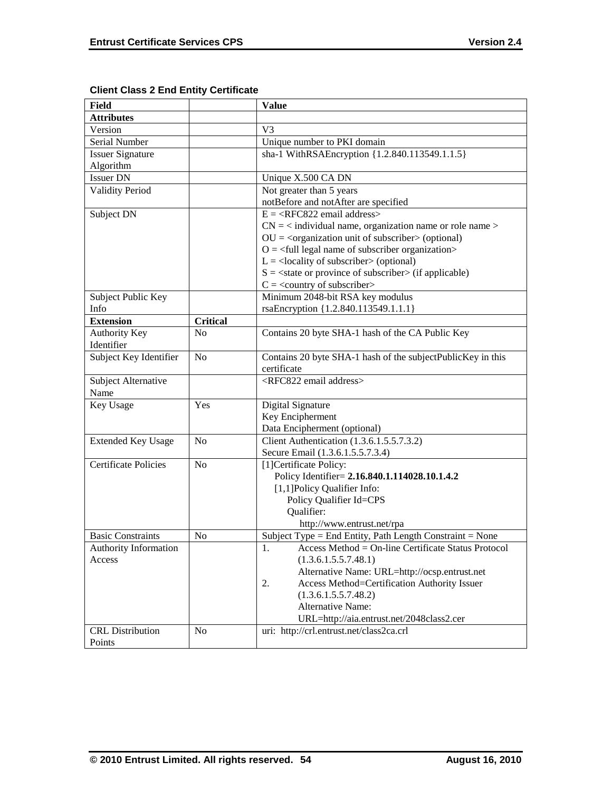| Field                       |                 | <b>Value</b>                                                 |
|-----------------------------|-----------------|--------------------------------------------------------------|
| <b>Attributes</b>           |                 |                                                              |
| Version                     |                 | V <sub>3</sub>                                               |
| Serial Number               |                 | Unique number to PKI domain                                  |
| <b>Issuer Signature</b>     |                 | sha-1 WithRSAEncryption {1.2.840.113549.1.1.5}               |
| Algorithm                   |                 |                                                              |
| <b>Issuer DN</b>            |                 | Unique X.500 CA DN                                           |
| <b>Validity Period</b>      |                 | Not greater than 5 years                                     |
|                             |                 | notBefore and notAfter are specified                         |
| Subject DN                  |                 | $E = \langle RFC822 \text{ email address} \rangle$           |
|                             |                 | $CN =$ < individual name, organization name or role name >   |
|                             |                 | $OU = coganization unit of subscripts (optional)$            |
|                             |                 | $O = \text{full legal name of subscriber organization}$      |
|                             |                 | $L =$ <locality of="" subscriber=""> (optional)</locality>   |
|                             |                 | $S = \text{state}$ or province of subscriber (if applicable) |
|                             |                 | $C = \langle$ country of subscriber>                         |
| Subject Public Key          |                 | Minimum 2048-bit RSA key modulus                             |
| Info                        |                 | rsaEncryption {1.2.840.113549.1.1.1}                         |
| <b>Extension</b>            | <b>Critical</b> |                                                              |
| Authority Key               | N <sub>0</sub>  | Contains 20 byte SHA-1 hash of the CA Public Key             |
| Identifier                  |                 |                                                              |
| Subject Key Identifier      | No              | Contains 20 byte SHA-1 hash of the subjectPublicKey in this  |
|                             |                 | certificate                                                  |
| Subject Alternative         |                 | <rfc822 address="" email=""></rfc822>                        |
| Name                        |                 |                                                              |
| Key Usage                   | Yes             | Digital Signature                                            |
|                             |                 | Key Encipherment                                             |
|                             |                 | Data Encipherment (optional)                                 |
| <b>Extended Key Usage</b>   | N <sub>0</sub>  | Client Authentication (1.3.6.1.5.5.7.3.2)                    |
|                             |                 | Secure Email (1.3.6.1.5.5.7.3.4)                             |
| <b>Certificate Policies</b> | N <sub>0</sub>  | [1] Certificate Policy:                                      |
|                             |                 | Policy Identifier= 2.16.840.1.114028.10.1.4.2                |
|                             |                 | [1,1] Policy Qualifier Info:                                 |
|                             |                 | Policy Qualifier Id=CPS                                      |
|                             |                 | Qualifier:                                                   |
|                             |                 | http://www.entrust.net/rpa                                   |
| <b>Basic Constraints</b>    | No              | Subject Type = End Entity, Path Length Constraint = None     |
| Authority Information       |                 | 1.<br>$Access Method = On-line Centlicate Status Protocol$   |
| Access                      |                 | (1.3.6.1.5.5.7.48.1)                                         |
|                             |                 | Alternative Name: URL=http://ocsp.entrust.net                |
|                             |                 | Access Method=Certification Authority Issuer<br>2.           |
|                             |                 | (1.3.6.1.5.5.7.48.2)                                         |
|                             |                 | Alternative Name:                                            |
|                             |                 | URL=http://aia.entrust.net/2048class2.cer                    |
| <b>CRL</b> Distribution     | No              | uri: http://crl.entrust.net/class2ca.crl                     |
| Points                      |                 |                                                              |

# **Client Class 2 End Entity Certificate**